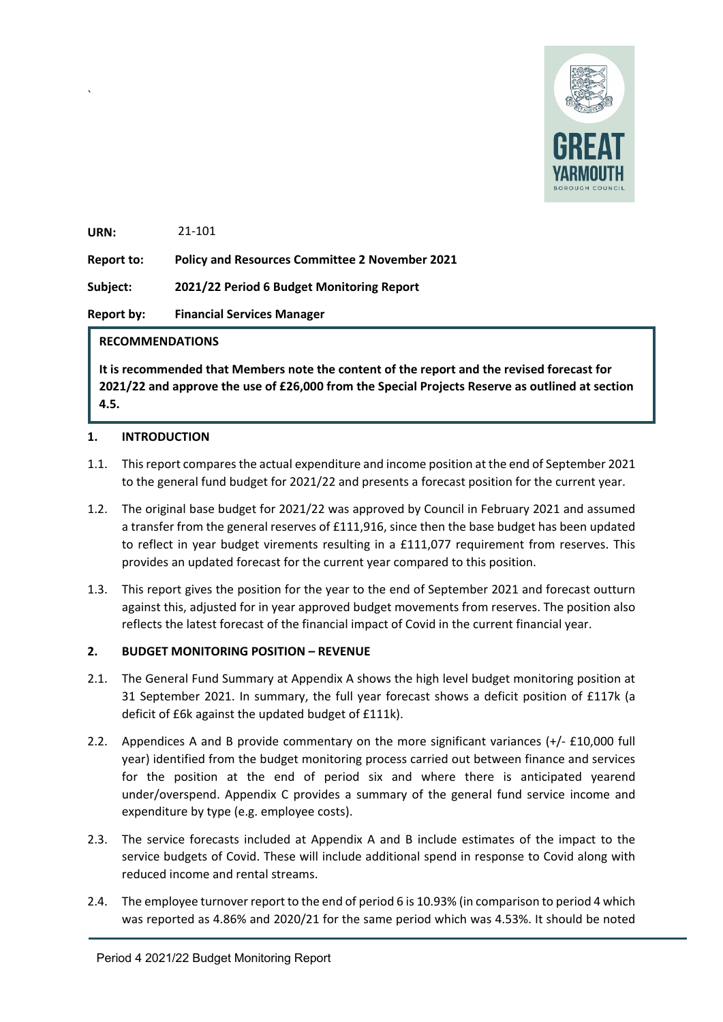

**URN:**  21-101

`

**Report to: Policy and Resources Committee 2 November 2021** 

**Subject: 2021/22 Period 6 Budget Monitoring Report**

**Report by: Financial Services Manager**

## **RECOMMENDATIONS**

**It is recommended that Members note the content of the report and the revised forecast for 2021/22 and approve the use of £26,000 from the Special Projects Reserve as outlined at section 4.5.** 

## **1. INTRODUCTION**

- 1.1. This report compares the actual expenditure and income position at the end of September 2021 to the general fund budget for 2021/22 and presents a forecast position for the current year.
- 1.2. The original base budget for 2021/22 was approved by Council in February 2021 and assumed a transfer from the general reserves of £111,916, since then the base budget has been updated to reflect in year budget virements resulting in a £111,077 requirement from reserves. This provides an updated forecast for the current year compared to this position.
- 1.3. This report gives the position for the year to the end of September 2021 and forecast outturn against this, adjusted for in year approved budget movements from reserves. The position also reflects the latest forecast of the financial impact of Covid in the current financial year.

# **2. BUDGET MONITORING POSITION – REVENUE**

- 2.1. The General Fund Summary at Appendix A shows the high level budget monitoring position at 31 September 2021. In summary, the full year forecast shows a deficit position of £117k (a deficit of £6k against the updated budget of £111k).
- 2.2. Appendices A and B provide commentary on the more significant variances (+/- £10,000 full year) identified from the budget monitoring process carried out between finance and services for the position at the end of period six and where there is anticipated yearend under/overspend. Appendix C provides a summary of the general fund service income and expenditure by type (e.g. employee costs).
- 2.3. The service forecasts included at Appendix A and B include estimates of the impact to the service budgets of Covid. These will include additional spend in response to Covid along with reduced income and rental streams.
- 2.4. The employee turnover report to the end of period 6 is 10.93% (in comparison to period 4 which was reported as 4.86% and 2020/21 for the same period which was 4.53%. It should be noted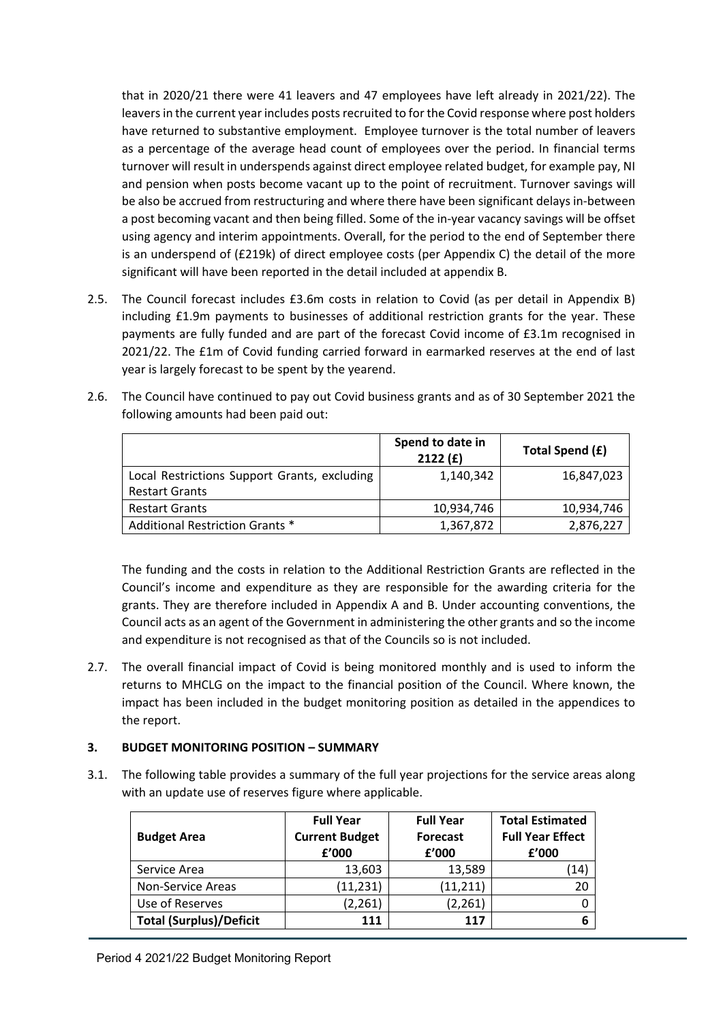that in 2020/21 there were 41 leavers and 47 employees have left already in 2021/22). The leavers in the current year includes posts recruited to for the Covid response where post holders have returned to substantive employment. Employee turnover is the total number of leavers as a percentage of the average head count of employees over the period. In financial terms turnover will result in underspends against direct employee related budget, for example pay, NI and pension when posts become vacant up to the point of recruitment. Turnover savings will be also be accrued from restructuring and where there have been significant delays in-between a post becoming vacant and then being filled. Some of the in-year vacancy savings will be offset using agency and interim appointments. Overall, for the period to the end of September there is an underspend of (£219k) of direct employee costs (per Appendix C) the detail of the more significant will have been reported in the detail included at appendix B.

- 2.5. The Council forecast includes £3.6m costs in relation to Covid (as per detail in Appendix B) including £1.9m payments to businesses of additional restriction grants for the year. These payments are fully funded and are part of the forecast Covid income of £3.1m recognised in 2021/22. The £1m of Covid funding carried forward in earmarked reserves at the end of last year is largely forecast to be spent by the yearend.
- 2.6. The Council have continued to pay out Covid business grants and as of 30 September 2021 the following amounts had been paid out:

|                                                                       | Spend to date in<br>2122(f) | Total Spend (£) |
|-----------------------------------------------------------------------|-----------------------------|-----------------|
| Local Restrictions Support Grants, excluding<br><b>Restart Grants</b> | 1,140,342                   | 16,847,023      |
| <b>Restart Grants</b>                                                 | 10,934,746                  | 10,934,746      |
| Additional Restriction Grants *                                       | 1,367,872                   | 2,876,227       |

The funding and the costs in relation to the Additional Restriction Grants are reflected in the Council's income and expenditure as they are responsible for the awarding criteria for the grants. They are therefore included in Appendix A and B. Under accounting conventions, the Council acts as an agent of the Government in administering the other grants and so the income and expenditure is not recognised as that of the Councils so is not included.

2.7. The overall financial impact of Covid is being monitored monthly and is used to inform the returns to MHCLG on the impact to the financial position of the Council. Where known, the impact has been included in the budget monitoring position as detailed in the appendices to the report.

## **3. BUDGET MONITORING POSITION – SUMMARY**

3.1. The following table provides a summary of the full year projections for the service areas along with an update use of reserves figure where applicable.

| <b>Budget Area</b>             | <b>Full Year</b><br><b>Current Budget</b><br>f'000 | <b>Full Year</b><br><b>Forecast</b><br>f'000 | <b>Total Estimated</b><br><b>Full Year Effect</b><br>f'000 |
|--------------------------------|----------------------------------------------------|----------------------------------------------|------------------------------------------------------------|
| Service Area                   | 13,603                                             | 13,589                                       | $\left(14\right)$                                          |
| Non-Service Areas              | (11, 231)                                          | (11, 211)                                    |                                                            |
| Use of Reserves                | (2, 261)                                           | (2, 261)                                     |                                                            |
| <b>Total (Surplus)/Deficit</b> | 111                                                | 117                                          |                                                            |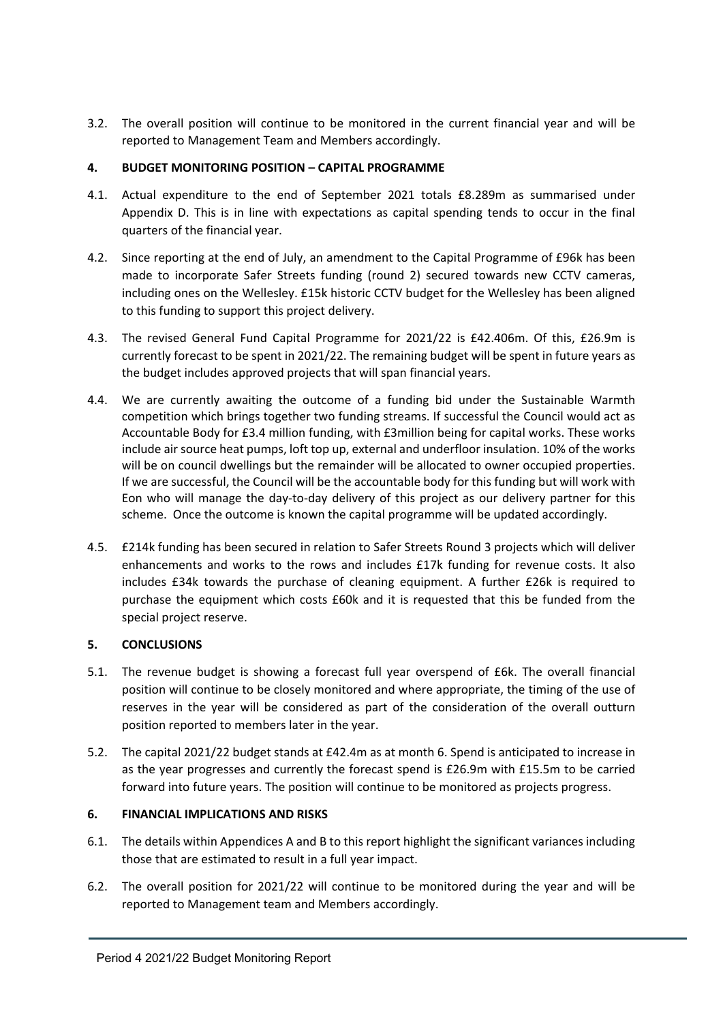3.2. The overall position will continue to be monitored in the current financial year and will be reported to Management Team and Members accordingly.

## **4. BUDGET MONITORING POSITION – CAPITAL PROGRAMME**

- 4.1. Actual expenditure to the end of September 2021 totals £8.289m as summarised under Appendix D. This is in line with expectations as capital spending tends to occur in the final quarters of the financial year.
- 4.2. Since reporting at the end of July, an amendment to the Capital Programme of £96k has been made to incorporate Safer Streets funding (round 2) secured towards new CCTV cameras, including ones on the Wellesley. £15k historic CCTV budget for the Wellesley has been aligned to this funding to support this project delivery.
- 4.3. The revised General Fund Capital Programme for 2021/22 is £42.406m. Of this, £26.9m is currently forecast to be spent in 2021/22. The remaining budget will be spent in future years as the budget includes approved projects that will span financial years.
- 4.4. We are currently awaiting the outcome of a funding bid under the Sustainable Warmth competition which brings together two funding streams. If successful the Council would act as Accountable Body for £3.4 million funding, with £3million being for capital works. These works include air source heat pumps, loft top up, external and underfloor insulation. 10% of the works will be on council dwellings but the remainder will be allocated to owner occupied properties. If we are successful, the Council will be the accountable body for this funding but will work with Eon who will manage the day-to-day delivery of this project as our delivery partner for this scheme. Once the outcome is known the capital programme will be updated accordingly.
- 4.5. £214k funding has been secured in relation to Safer Streets Round 3 projects which will deliver enhancements and works to the rows and includes £17k funding for revenue costs. It also includes £34k towards the purchase of cleaning equipment. A further £26k is required to purchase the equipment which costs £60k and it is requested that this be funded from the special project reserve.

## **5. CONCLUSIONS**

- 5.1. The revenue budget is showing a forecast full year overspend of £6k. The overall financial position will continue to be closely monitored and where appropriate, the timing of the use of reserves in the year will be considered as part of the consideration of the overall outturn position reported to members later in the year.
- 5.2. The capital 2021/22 budget stands at £42.4m as at month 6. Spend is anticipated to increase in as the year progresses and currently the forecast spend is £26.9m with £15.5m to be carried forward into future years. The position will continue to be monitored as projects progress.

## **6. FINANCIAL IMPLICATIONS AND RISKS**

- 6.1. The details within Appendices A and B to this report highlight the significant variances including those that are estimated to result in a full year impact.
- 6.2. The overall position for 2021/22 will continue to be monitored during the year and will be reported to Management team and Members accordingly.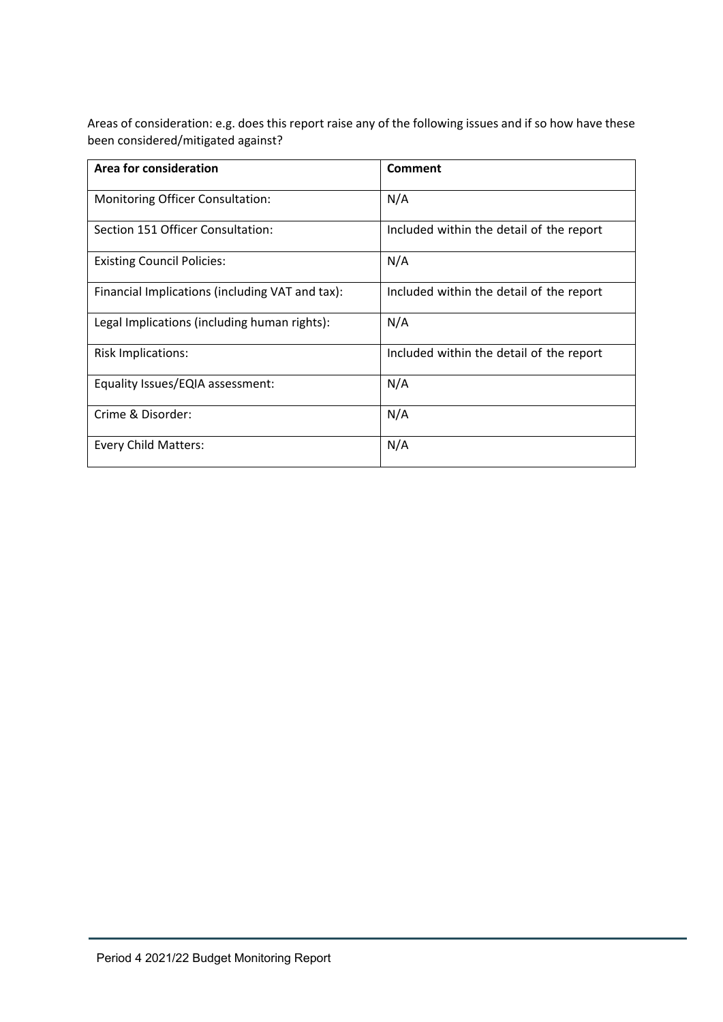Areas of consideration: e.g. does this report raise any of the following issues and if so how have these been considered/mitigated against?

| Area for consideration                          | Comment                                  |
|-------------------------------------------------|------------------------------------------|
| Monitoring Officer Consultation:                | N/A                                      |
| Section 151 Officer Consultation:               | Included within the detail of the report |
| <b>Existing Council Policies:</b>               | N/A                                      |
| Financial Implications (including VAT and tax): | Included within the detail of the report |
| Legal Implications (including human rights):    | N/A                                      |
| <b>Risk Implications:</b>                       | Included within the detail of the report |
| Equality Issues/EQIA assessment:                | N/A                                      |
| Crime & Disorder:                               | N/A                                      |
| <b>Every Child Matters:</b>                     | N/A                                      |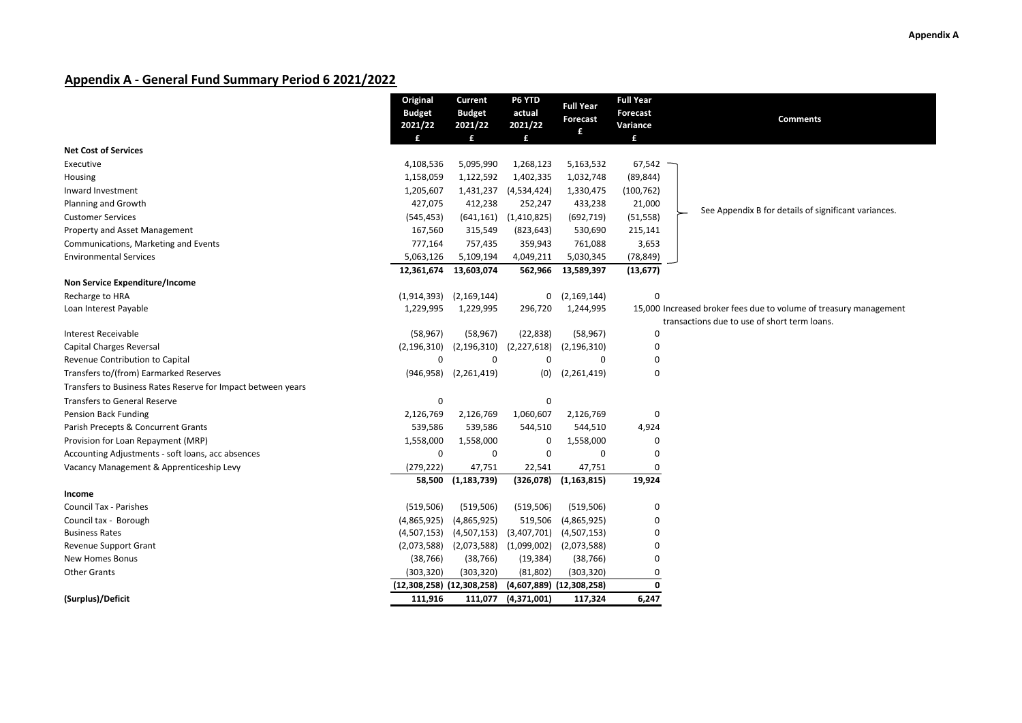## **Appendix A ‐ General Fund Summary Period 6 2021/2022**

|                                                              | Original<br><b>Budget</b> | Current<br><b>Budget</b>     | P6 YTD<br>actual | <b>Full Year</b>             | <b>Full Year</b><br>Forecast | <b>Comments</b>                                                                                                   |
|--------------------------------------------------------------|---------------------------|------------------------------|------------------|------------------------------|------------------------------|-------------------------------------------------------------------------------------------------------------------|
|                                                              | 2021/22                   | 2021/22                      | 2021/22          | Forecast<br>£                | Variance                     |                                                                                                                   |
| <b>Net Cost of Services</b>                                  |                           | £                            | £                |                              | £                            |                                                                                                                   |
|                                                              |                           |                              | 1,268,123        |                              |                              |                                                                                                                   |
| Executive                                                    | 4,108,536<br>1,158,059    | 5,095,990<br>1,122,592       | 1,402,335        | 5,163,532<br>1,032,748       | 67,542<br>(89, 844)          |                                                                                                                   |
| Housing                                                      |                           |                              |                  |                              |                              |                                                                                                                   |
| Inward Investment                                            | 1,205,607                 | 1,431,237                    | (4,534,424)      | 1,330,475                    | (100, 762)                   |                                                                                                                   |
| Planning and Growth                                          | 427,075                   | 412,238                      | 252,247          | 433,238                      | 21,000                       | See Appendix B for details of significant variances.                                                              |
| <b>Customer Services</b>                                     | (545, 453)                | (641, 161)                   | (1,410,825)      | (692, 719)                   | (51, 558)                    |                                                                                                                   |
| Property and Asset Management                                | 167,560                   | 315,549                      | (823, 643)       | 530,690                      | 215,141                      |                                                                                                                   |
| Communications, Marketing and Events                         | 777,164                   | 757,435                      | 359,943          | 761,088                      | 3,653                        |                                                                                                                   |
| <b>Environmental Services</b>                                | 5,063,126                 | 5,109,194                    | 4,049,211        | 5,030,345                    | (78, 849)                    |                                                                                                                   |
|                                                              | 12,361,674                | 13,603,074                   | 562,966          | 13,589,397                   | (13, 677)                    |                                                                                                                   |
| Non Service Expenditure/Income                               |                           |                              |                  |                              |                              |                                                                                                                   |
| Recharge to HRA                                              | (1,914,393)               | (2, 169, 144)                | 0                | (2, 169, 144)                | $\Omega$                     |                                                                                                                   |
| Loan Interest Payable                                        | 1,229,995                 | 1,229,995                    | 296,720          | 1,244,995                    |                              | 15,000 Increased broker fees due to volume of treasury management<br>transactions due to use of short term loans. |
| <b>Interest Receivable</b>                                   | (58, 967)                 | (58, 967)                    | (22, 838)        | (58, 967)                    | 0                            |                                                                                                                   |
| <b>Capital Charges Reversal</b>                              | (2, 196, 310)             | (2, 196, 310)                | (2,227,618)      | (2, 196, 310)                | 0                            |                                                                                                                   |
| Revenue Contribution to Capital                              | $\mathbf 0$               | $\Omega$                     | $\mathbf 0$      | $\Omega$                     | $\mathbf 0$                  |                                                                                                                   |
| Transfers to/(from) Earmarked Reserves                       |                           | $(946, 958)$ $(2, 261, 419)$ | (0)              | (2,261,419)                  | 0                            |                                                                                                                   |
| Transfers to Business Rates Reserve for Impact between years |                           |                              |                  |                              |                              |                                                                                                                   |
| <b>Transfers to General Reserve</b>                          | 0                         |                              | $\mathbf 0$      |                              |                              |                                                                                                                   |
| Pension Back Funding                                         | 2,126,769                 | 2,126,769                    | 1,060,607        | 2,126,769                    | 0                            |                                                                                                                   |
| Parish Precepts & Concurrent Grants                          | 539,586                   | 539,586                      | 544,510          | 544,510                      | 4,924                        |                                                                                                                   |
| Provision for Loan Repayment (MRP)                           | 1,558,000                 | 1,558,000                    | 0                | 1,558,000                    | 0                            |                                                                                                                   |
| Accounting Adjustments - soft loans, acc absences            | $\mathbf 0$               | 0                            | $\mathbf 0$      | $\Omega$                     | $\Omega$                     |                                                                                                                   |
| Vacancy Management & Apprenticeship Levy                     | (279, 222)                | 47,751                       | 22,541           | 47,751                       | 0                            |                                                                                                                   |
|                                                              | 58,500                    | (1, 183, 739)                | (326,078)        | (1, 163, 815)                | 19,924                       |                                                                                                                   |
| Income                                                       |                           |                              |                  |                              |                              |                                                                                                                   |
| Council Tax - Parishes                                       | (519, 506)                | (519, 506)                   | (519, 506)       | (519, 506)                   | 0                            |                                                                                                                   |
| Council tax - Borough                                        | (4,865,925)               | (4,865,925)                  | 519,506          | (4,865,925)                  | $\mathbf 0$                  |                                                                                                                   |
| <b>Business Rates</b>                                        | (4,507,153)               | (4,507,153)                  | (3,407,701)      | (4,507,153)                  | $\mathbf 0$                  |                                                                                                                   |
| Revenue Support Grant                                        | (2,073,588)               | (2,073,588)                  | (1,099,002)      | (2,073,588)                  | 0                            |                                                                                                                   |
| <b>New Homes Bonus</b>                                       | (38, 766)                 | (38, 766)                    | (19, 384)        | (38, 766)                    | 0                            |                                                                                                                   |
| <b>Other Grants</b>                                          | (303, 320)                | (303, 320)                   | (81, 802)        | (303, 320)                   | 0                            |                                                                                                                   |
|                                                              |                           | (12,308,258) (12,308,258)    |                  | $(4,607,889)$ $(12,308,258)$ | 0                            |                                                                                                                   |
| (Surplus)/Deficit                                            | 111,916                   | 111,077                      | (4,371,001)      | 117,324                      | 6,247                        |                                                                                                                   |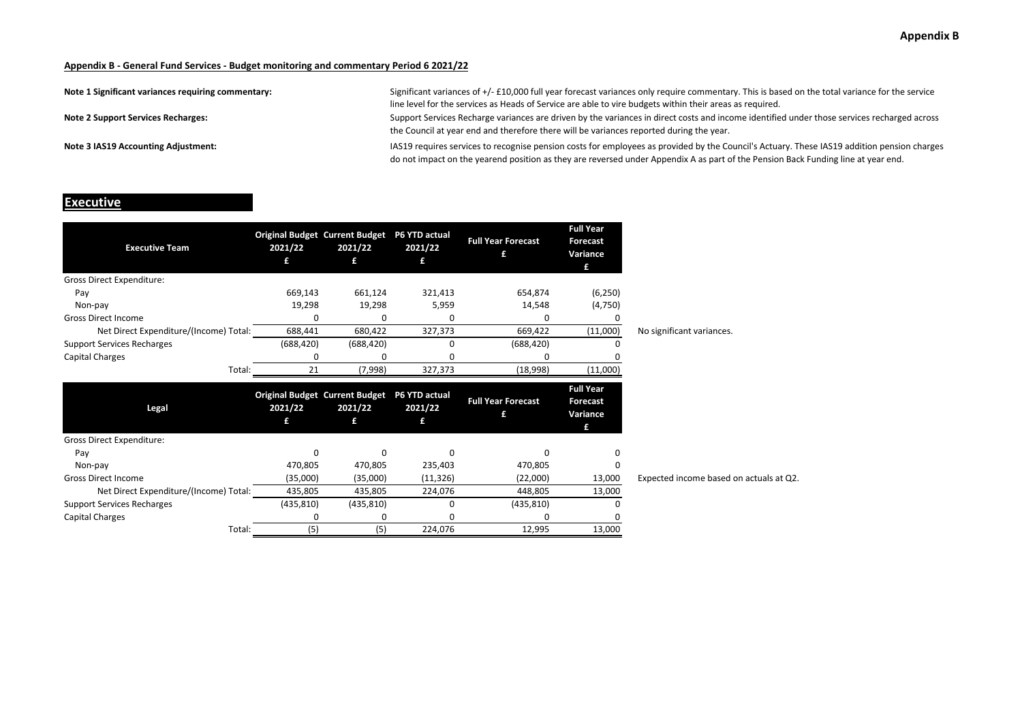| Note 1 Significant variances requiring commentary: | Significant variances of +/- £10,000 full year forecast variances only require commentary. This is based on the total variance for the service<br>line level for the services as Heads of Service are able to vire budgets within their areas as required.                       |
|----------------------------------------------------|----------------------------------------------------------------------------------------------------------------------------------------------------------------------------------------------------------------------------------------------------------------------------------|
| <b>Note 2 Support Services Recharges:</b>          | Support Services Recharge variances are driven by the variances in direct costs and income identified under those services recharged across<br>the Council at year end and therefore there will be variances reported during the year.                                           |
| Note 3 IAS19 Accounting Adjustment:                | IAS19 requires services to recognise pension costs for employees as provided by the Council's Actuary. These IAS19 addition pension charges<br>do not impact on the yearend position as they are reversed under Appendix A as part of the Pension Back Funding line at year end. |

#### **Executive**

| <b>Executive Team</b>                  | 2021/22    | <b>Original Budget Current Budget</b><br>2021/22<br>£ | P6 YTD actual<br>2021/22<br>£ | <b>Full Year Forecast</b> | <b>Full Year</b><br>Forecast<br>Variance<br>£        |                                         |
|----------------------------------------|------------|-------------------------------------------------------|-------------------------------|---------------------------|------------------------------------------------------|-----------------------------------------|
| <b>Gross Direct Expenditure:</b>       |            |                                                       |                               |                           |                                                      |                                         |
| Pay                                    | 669,143    | 661,124                                               | 321,413                       | 654,874                   | (6, 250)                                             |                                         |
| Non-pay                                | 19,298     | 19,298                                                | 5,959                         | 14,548                    | (4,750)                                              |                                         |
| <b>Gross Direct Income</b>             | O          | n                                                     | O                             | O                         |                                                      |                                         |
| Net Direct Expenditure/(Income) Total: | 688,441    | 680,422                                               | 327,373                       | 669,422                   | (11,000)                                             | No significant variances.               |
| <b>Support Services Recharges</b>      | (688, 420) | (688, 420)                                            | 0                             | (688, 420)                |                                                      |                                         |
| Capital Charges                        | ŋ          | n                                                     | ი                             | ŋ                         |                                                      |                                         |
| Total:                                 | 21         | (7,998)                                               | 327,373                       | (18,998)                  | (11,000)                                             |                                         |
|                                        |            |                                                       |                               |                           |                                                      |                                         |
| Legal                                  | 2021/22    | <b>Original Budget Current Budget</b><br>2021/22<br>£ | P6 YTD actual<br>2021/22<br>£ | <b>Full Year Forecast</b> | <b>Full Year</b><br><b>Forecast</b><br>Variance<br>£ |                                         |
| Gross Direct Expenditure:              |            |                                                       |                               |                           |                                                      |                                         |
| Pay                                    | $\Omega$   | $\Omega$                                              | $\Omega$                      | O                         |                                                      |                                         |
| Non-pay                                | 470,805    | 470,805                                               | 235,403                       | 470,805                   | 0                                                    |                                         |
| <b>Gross Direct Income</b>             | (35,000)   | (35,000)                                              | (11, 326)                     | (22,000)                  | 13,000                                               | Expected income based on actuals at Q2. |
| Net Direct Expenditure/(Income) Total: | 435,805    | 435,805                                               | 224,076                       | 448,805                   | 13,000                                               |                                         |
| <b>Support Services Recharges</b>      | (435, 810) | (435, 810)                                            | 0                             | (435, 810)                |                                                      |                                         |
| Capital Charges                        | ŋ          | C                                                     | n                             | ŋ                         |                                                      |                                         |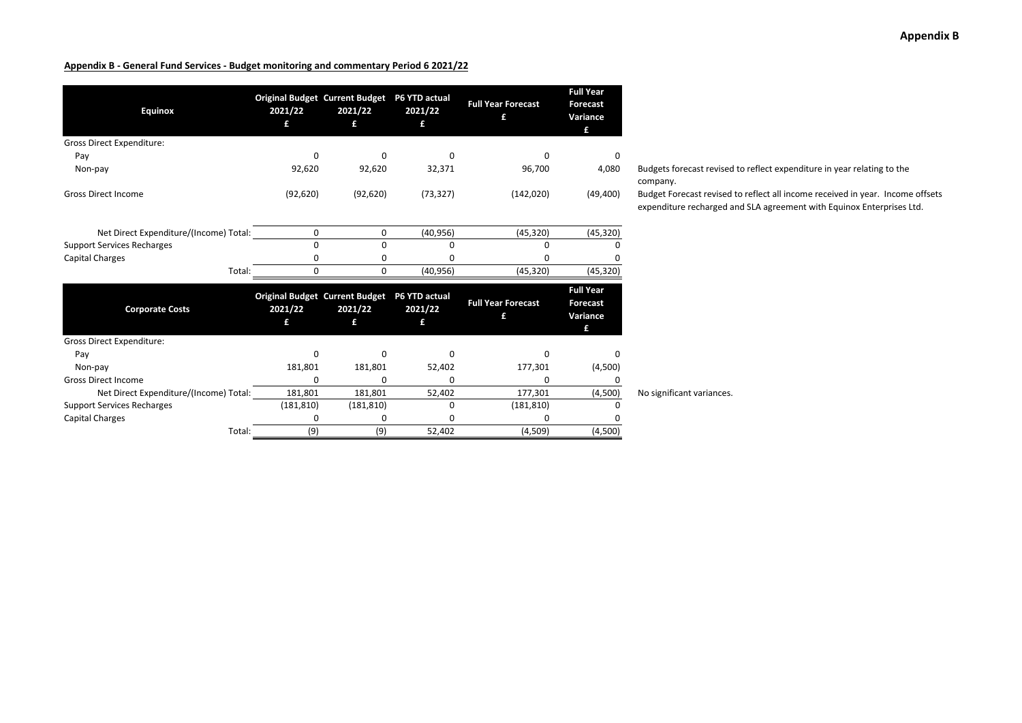| <b>Equinox</b>                         | <b>Original Budget Current Budget</b><br>2021/22<br>£ | 2021/22<br>£ | P6 YTD actual<br>2021/22<br>£ | <b>Full Year Forecast</b><br>£ | <b>Full Year</b><br><b>Forecast</b><br>Variance<br>£ |                                                         |
|----------------------------------------|-------------------------------------------------------|--------------|-------------------------------|--------------------------------|------------------------------------------------------|---------------------------------------------------------|
| <b>Gross Direct Expenditure:</b>       |                                                       |              |                               |                                |                                                      |                                                         |
| Pay                                    | $\Omega$                                              | 0            | <sup>0</sup>                  | 0                              | 0                                                    |                                                         |
| Non-pay                                | 92,620                                                | 92,620       | 32,371                        | 96,700                         | 4,080                                                | <b>Budgets forecast revised</b><br>company.             |
| <b>Gross Direct Income</b>             | (92, 620)                                             | (92, 620)    | (73, 327)                     | (142, 020)                     | (49, 400)                                            | <b>Budget Forecast revised</b><br>expenditure recharged |
| Net Direct Expenditure/(Income) Total: | 0                                                     | 0            | (40, 956)                     | (45, 320)                      | (45, 320)                                            |                                                         |
| <b>Support Services Recharges</b>      | $\mathbf 0$                                           | $\Omega$     | <sup>0</sup>                  | $\Omega$                       |                                                      |                                                         |
| <b>Capital Charges</b>                 | 0                                                     | 0            | n                             | 0                              |                                                      |                                                         |
| Total:                                 | $\mathbf 0$                                           | 0            | (40, 956)                     | (45, 320)                      | (45, 320)                                            |                                                         |
| <b>Corporate Costs</b>                 | <b>Original Budget Current Budget</b><br>2021/22<br>£ | 2021/22<br>£ | P6 YTD actual<br>2021/22<br>£ | <b>Full Year Forecast</b><br>£ | <b>Full Year</b><br><b>Forecast</b><br>Variance<br>£ |                                                         |
| <b>Gross Direct Expenditure:</b>       |                                                       |              |                               |                                |                                                      |                                                         |
| Pay                                    | $\Omega$                                              | 0            | <sup>0</sup>                  | 0                              |                                                      |                                                         |
| Non-pay                                | 181,801                                               | 181,801      | 52,402                        | 177,301                        | (4,500)                                              |                                                         |
| <b>Gross Direct Income</b>             | 0                                                     | 0            | n                             | 0                              |                                                      |                                                         |
| Net Direct Expenditure/(Income) Total: | 181,801                                               | 181,801      | 52,402                        | 177,301                        | (4,500)                                              | No significant variances.                               |
| <b>Support Services Recharges</b>      | (181, 810)                                            | (181, 810)   | 0                             | (181, 810)                     |                                                      |                                                         |
| <b>Capital Charges</b>                 | 0                                                     | n            |                               |                                |                                                      |                                                         |
| Total:                                 | (9)                                                   | (9)          | 52,402                        | (4,509)                        | (4,500)                                              |                                                         |

orecast revised to reflect expenditure in year relating to the

orecast revised to reflect all income received in year. Income offsets Ire recharged and SLA agreement with Equinox Enterprises Ltd.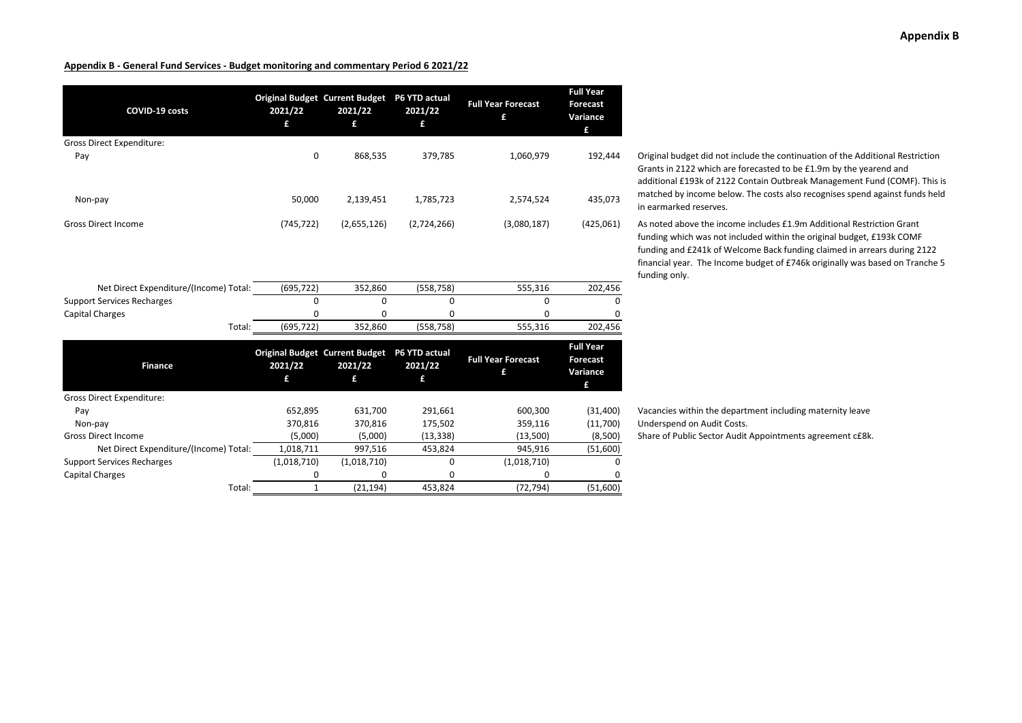| COVID-19 costs                         | 2021/22<br>£ | <b>Original Budget Current Budget</b><br>2021/22<br>£ | P6 YTD actual<br>2021/22<br>£ | <b>Full Year Forecast</b><br>£ | <b>Full Year</b><br><b>Forecast</b><br>Variance<br>£ |
|----------------------------------------|--------------|-------------------------------------------------------|-------------------------------|--------------------------------|------------------------------------------------------|
| <b>Gross Direct Expenditure:</b>       |              |                                                       |                               |                                |                                                      |
| Pay                                    | 0            | 868,535                                               | 379,785                       | 1,060,979                      | 192,444                                              |
| Non-pay                                | 50,000       | 2,139,451                                             | 1,785,723                     | 2,574,524                      | 435,073                                              |
| <b>Gross Direct Income</b>             | (745, 722)   | (2,655,126)                                           | (2,724,266)                   | (3,080,187)                    | (425,061)                                            |
|                                        |              |                                                       |                               |                                |                                                      |
| Net Direct Expenditure/(Income) Total: | (695, 722)   | 352,860                                               | (558, 758)                    | 555,316                        | 202,456                                              |
| <b>Support Services Recharges</b>      | 0            | 0                                                     | 0                             | 0                              | 0                                                    |
| Capital Charges                        | 0            | 0                                                     | 0                             | 0                              | 0                                                    |
| Total:                                 | (695, 722)   | 352,860                                               | (558, 758)                    | 555,316                        | 202,456                                              |
| <b>Finance</b>                         | 2021/22<br>f | <b>Original Budget Current Budget</b><br>2021/22<br>£ | P6 YTD actual<br>2021/22<br>£ | <b>Full Year Forecast</b><br>£ | <b>Full Year</b><br><b>Forecast</b><br>Variance<br>£ |
| <b>Gross Direct Expenditure:</b>       |              |                                                       |                               |                                |                                                      |
| Pay                                    | 652,895      | 631,700                                               | 291,661                       | 600,300                        | (31, 400)                                            |
| Non-pay                                | 370,816      | 370,816                                               | 175,502                       | 359,116                        | (11,700)                                             |
| <b>Gross Direct Income</b>             | (5,000)      | (5,000)                                               | (13, 338)                     | (13,500)                       | (8,500)                                              |
| Net Direct Expenditure/(Income) Total: | 1,018,711    | 997,516                                               | 453,824                       | 945,916                        | (51,600)                                             |
| <b>Support Services Recharges</b>      | (1,018,710)  | (1,018,710)                                           | 0                             | (1,018,710)                    | 0                                                    |
| <b>Capital Charges</b>                 | 0            | 0                                                     | 0                             | ŋ                              | <sup>0</sup>                                         |
| Total:                                 | $\mathbf{1}$ | (21, 194)                                             | 453,824                       | (72, 794)                      | (51,600)                                             |

Original budget did not include the continuation of the Additional Restriction Grants in 2122 which are forecasted to be £1.9m by the yearend and additional £193k of 2122 Contain Outbreak Management Fund (COMF). This is matched by income below. The costs also recognises spend against funds held in earmarked reserves.

As noted above the income includes £1.9m Additional Restriction Grant funding which was not included within the original budget, £193k COMF funding and £241k of Welcome Back funding claimed in arrears during 2122 financial year. The Income budget of £746k originally was based on Tranche 5 funding only.

Vacancies within the department including maternity leave Underspend on Audit Costs.

Share of Public Sector Audit Appointments agreement c£8k.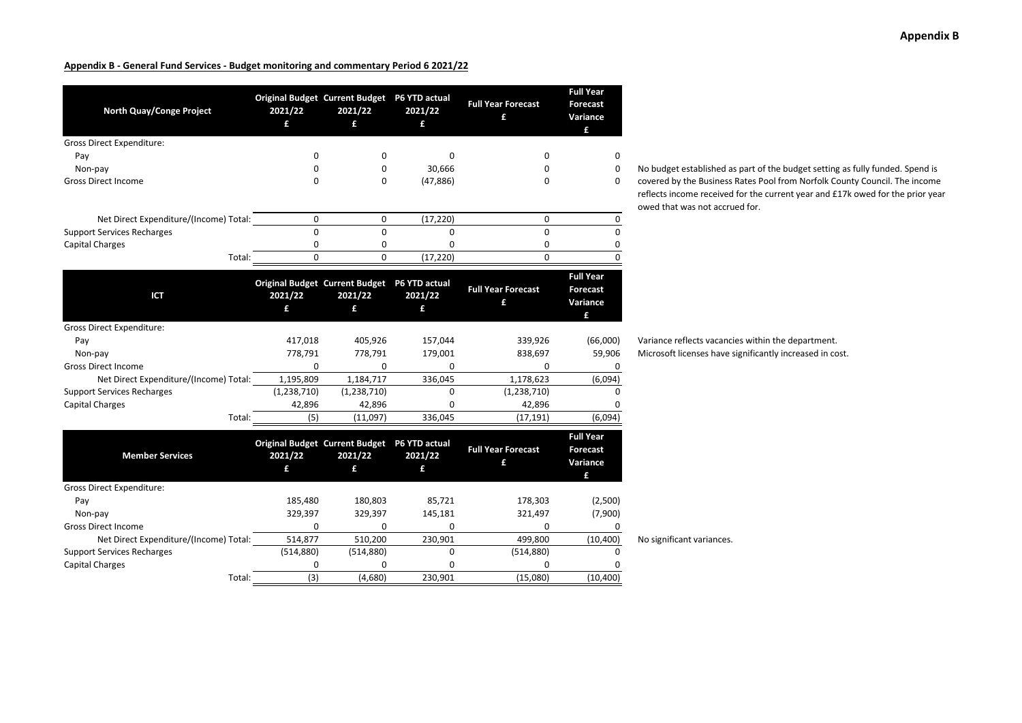| North Quay/Conge Project               | Original Budget Current Budget P6 YTD actual<br>2021/22<br>£ | 2021/22<br>£ | 2021/22<br>£ | <b>Full Year Forecast</b><br>£ | <b>Full Year</b><br><b>Forecast</b><br>Variance<br>£ |                           |
|----------------------------------------|--------------------------------------------------------------|--------------|--------------|--------------------------------|------------------------------------------------------|---------------------------|
| <b>Gross Direct Expenditure:</b>       |                                                              |              |              |                                |                                                      |                           |
| Pay                                    | $\Omega$                                                     | 0            | $\Omega$     | 0                              | 0                                                    |                           |
| Non-pay                                | 0                                                            | 0            | 30,666       | 0                              | 0                                                    | No budget established a   |
| <b>Gross Direct Income</b>             | $\Omega$                                                     | 0            | (47, 886)    | 0                              | 0                                                    | covered by the Business   |
|                                        |                                                              |              |              |                                |                                                      | reflects income received  |
| Net Direct Expenditure/(Income) Total: | 0                                                            | 0            | (17, 220)    | 0                              | 0                                                    | owed that was not accru   |
| <b>Support Services Recharges</b>      | $\mathbf 0$                                                  | 0            | 0            | 0                              | 0                                                    |                           |
| <b>Capital Charges</b>                 | 0                                                            | 0            | 0            | 0                              | 0                                                    |                           |
| Total:                                 | $\Omega$                                                     | 0            | (17, 220)    | $\Omega$                       | $\Omega$                                             |                           |
|                                        |                                                              |              |              |                                |                                                      |                           |
| ICT                                    | Original Budget Current Budget P6 YTD actual<br>2021/22<br>£ | 2021/22<br>£ | 2021/22<br>£ | <b>Full Year Forecast</b><br>£ | <b>Full Year</b><br><b>Forecast</b><br>Variance      |                           |
|                                        |                                                              |              |              |                                | £                                                    |                           |
| <b>Gross Direct Expenditure:</b>       |                                                              |              |              |                                |                                                      |                           |
| Pay                                    | 417,018                                                      | 405,926      | 157,044      | 339,926                        | (66,000)                                             | Variance reflects vacanc  |
| Non-pay                                | 778,791                                                      | 778,791      | 179,001      | 838,697                        | 59,906                                               | Microsoft licenses have   |
| <b>Gross Direct Income</b>             | 0                                                            | 0            | 0            | 0                              | 0                                                    |                           |
| Net Direct Expenditure/(Income) Total: | 1,195,809                                                    | 1,184,717    | 336,045      | 1,178,623                      | (6,094)                                              |                           |
| <b>Support Services Recharges</b>      | (1,238,710)                                                  | (1,238,710)  | 0            | (1,238,710)                    | 0                                                    |                           |
| <b>Capital Charges</b>                 | 42,896                                                       | 42,896       | $\Omega$     | 42,896                         |                                                      |                           |
| Total:                                 | (5)                                                          | (11,097)     | 336,045      | (17, 191)                      | (6,094)                                              |                           |
| <b>Member Services</b>                 | Original Budget Current Budget P6 YTD actual<br>2021/22<br>£ | 2021/22<br>£ | 2021/22<br>£ | <b>Full Year Forecast</b><br>£ | <b>Full Year</b><br>Forecast<br>Variance             |                           |
|                                        |                                                              |              |              |                                | £                                                    |                           |
| <b>Gross Direct Expenditure:</b>       | 185,480                                                      | 180,803      | 85,721       |                                | (2,500)                                              |                           |
| Pay                                    | 329,397                                                      | 329,397      | 145,181      | 178,303<br>321,497             | (7,900)                                              |                           |
| Non-pay<br><b>Gross Direct Income</b>  | 0                                                            | 0            | $\Omega$     | 0                              | 0                                                    |                           |
| Net Direct Expenditure/(Income) Total: | 514,877                                                      | 510,200      | 230,901      | 499,800                        | (10, 400)                                            | No significant variances. |
| <b>Support Services Recharges</b>      | (514, 880)                                                   | (514, 880)   | 0            | (514, 880)                     | 0                                                    |                           |
| <b>Capital Charges</b>                 | $\Omega$                                                     | 0            | $\Omega$     | 0                              |                                                      |                           |
| Total:                                 | (3)                                                          | (4,680)      | 230,901      | (15,080)                       | (10, 400)                                            |                           |
|                                        |                                                              |              |              |                                |                                                      |                           |

lget established as part of the budget setting as fully funded. Spend is covered by the Business Rates Pool from Norfolk County Council. The income s income received for the current year and £17k owed for the prior year hat was not accrued for.

ce reflects vacancies within the department. oft licenses have significantly increased in cost.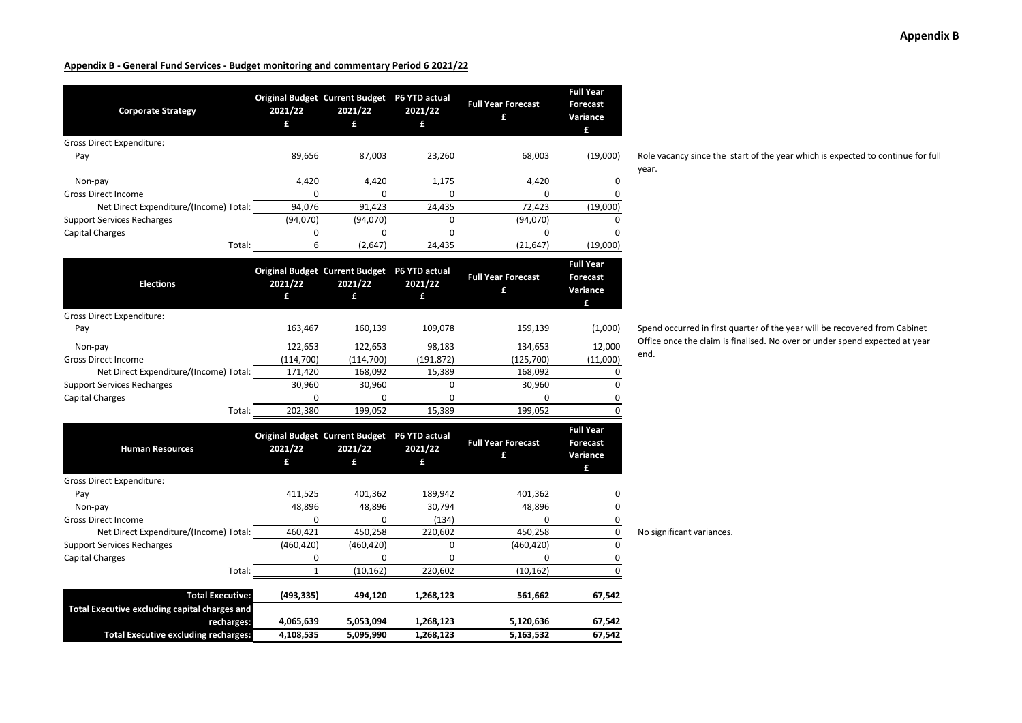| <b>Corporate Strategy</b>                     | Original Budget Current Budget P6 YTD actual<br>2021/22<br>£ | 2021/22<br>£ | 2021/22<br>£ | <b>Full Year Forecast</b><br>£ | <b>Full Year</b><br><b>Forecast</b><br>Variance<br>£ |                                   |
|-----------------------------------------------|--------------------------------------------------------------|--------------|--------------|--------------------------------|------------------------------------------------------|-----------------------------------|
| Gross Direct Expenditure:                     |                                                              |              |              |                                |                                                      |                                   |
| Pay                                           | 89,656                                                       | 87,003       | 23,260       | 68,003                         | (19,000)                                             | Role vacancy since the s<br>year. |
| Non-pay                                       | 4,420                                                        | 4,420        | 1,175        | 4,420                          | 0                                                    |                                   |
| <b>Gross Direct Income</b>                    | 0                                                            | 0            | 0            | 0                              | 0                                                    |                                   |
| Net Direct Expenditure/(Income) Total:        | 94,076                                                       | 91,423       | 24,435       | 72,423                         | (19,000)                                             |                                   |
| <b>Support Services Recharges</b>             | (94,070)                                                     | (94, 070)    | $\Omega$     | (94,070)                       | 0                                                    |                                   |
| Capital Charges                               | 0                                                            | 0            | 0            | 0                              | 0                                                    |                                   |
| Total:                                        | 6                                                            | (2,647)      | 24,435       | (21, 647)                      | (19,000)                                             |                                   |
| <b>Elections</b>                              | Original Budget Current Budget P6 YTD actual<br>2021/22<br>£ | 2021/22<br>£ | 2021/22<br>£ | <b>Full Year Forecast</b><br>£ | <b>Full Year</b><br><b>Forecast</b><br>Variance<br>£ |                                   |
| <b>Gross Direct Expenditure:</b>              |                                                              |              |              |                                |                                                      |                                   |
| Pay                                           | 163,467                                                      | 160,139      | 109,078      | 159,139                        | (1,000)                                              | Spend occurred in first o         |
| Non-pay                                       | 122,653                                                      | 122,653      | 98,183       | 134,653                        | 12,000                                               | Office once the claim is t        |
| <b>Gross Direct Income</b>                    | (114, 700)                                                   | (114,700)    | (191, 872)   | (125, 700)                     | (11,000)                                             | end.                              |
| Net Direct Expenditure/(Income) Total:        | 171,420                                                      | 168,092      | 15,389       | 168,092                        | 0                                                    |                                   |
| <b>Support Services Recharges</b>             | 30,960                                                       | 30,960       | 0            | 30,960                         | 0                                                    |                                   |
| Capital Charges                               | $\Omega$                                                     | 0            | 0            | 0                              | 0                                                    |                                   |
| Total:                                        | 202,380                                                      | 199,052      | 15,389       | 199,052                        | $\Omega$                                             |                                   |
| <b>Human Resources</b>                        | Original Budget Current Budget P6 YTD actual<br>2021/22<br>£ | 2021/22<br>£ | 2021/22<br>£ | <b>Full Year Forecast</b><br>£ | <b>Full Year</b><br>Forecast<br>Variance<br>£        |                                   |
| <b>Gross Direct Expenditure:</b>              |                                                              |              |              |                                |                                                      |                                   |
| Pay                                           | 411,525                                                      | 401,362      | 189,942      | 401,362                        | 0                                                    |                                   |
| Non-pay                                       | 48,896                                                       | 48,896       | 30,794       | 48,896                         | 0                                                    |                                   |
| <b>Gross Direct Income</b>                    | 0                                                            | 0            | (134)        | 0                              | 0                                                    |                                   |
| Net Direct Expenditure/(Income) Total:        | 460,421                                                      | 450,258      | 220,602      | 450,258                        | $\pmb{0}$                                            | No significant variances.         |
| <b>Support Services Recharges</b>             | (460, 420)                                                   | (460, 420)   | 0            | (460, 420)                     | 0                                                    |                                   |
| <b>Capital Charges</b>                        | 0                                                            | 0            | $\Omega$     | 0                              | 0                                                    |                                   |
| Total:                                        | $\mathbf{1}$                                                 | (10, 162)    | 220,602      | (10, 162)                      | $\Omega$                                             |                                   |
| <b>Total Executive:</b>                       | (493, 335)                                                   | 494,120      | 1,268,123    | 561,662                        | 67,542                                               |                                   |
| Total Executive excluding capital charges and |                                                              |              |              |                                |                                                      |                                   |
| recharges:                                    | 4,065,639                                                    | 5,053,094    | 1,268,123    | 5,120,636                      | 67,542                                               |                                   |
| <b>Total Executive excluding recharges:</b>   | 4,108,535                                                    | 5,095,990    | 1,268,123    | 5,163,532                      | 67,542                                               |                                   |

**Appendix B**

e vacancy since the start of the year which is expected to continue for full

end occurred in first quarter of the year will be recovered from Cabinet Office once the claim is finalised. No over or under spend expected at year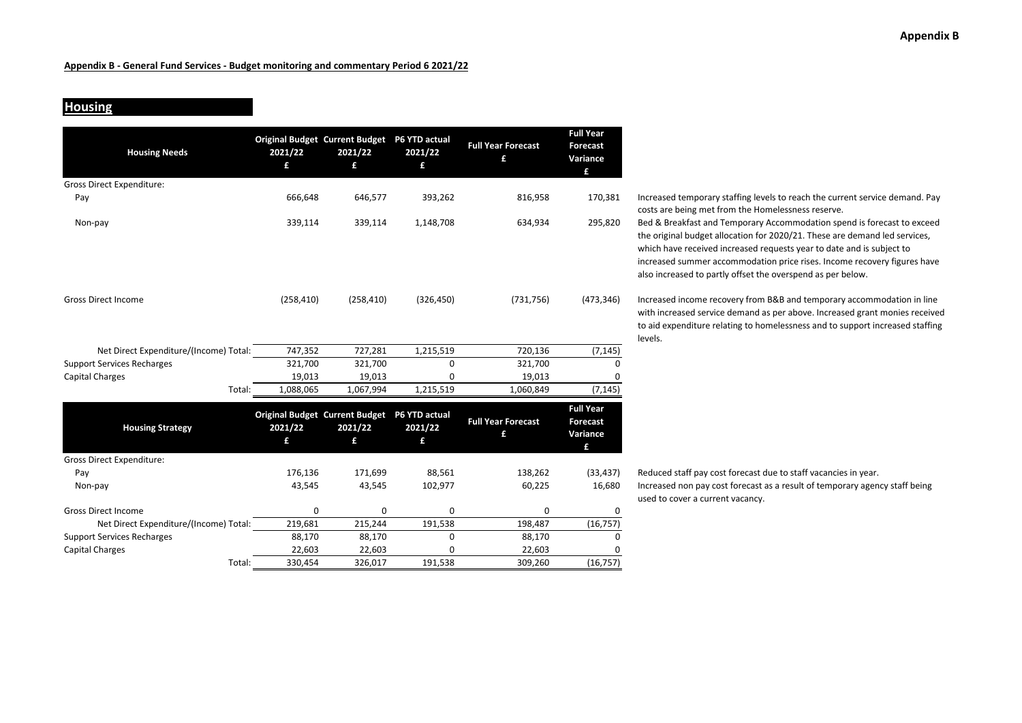## **Housing**

Gross Direct Expenditure:

| <b>Housing Needs</b>                   | 2021/22<br>£ | <b>Original Budget Current Budget</b><br>2021/22<br>£ | P6 YTD actual<br>2021/22<br>£ | <b>Full Year Forecast</b><br>£ | <b>Full Year</b><br><b>Forecast</b><br>Variance<br>£ |
|----------------------------------------|--------------|-------------------------------------------------------|-------------------------------|--------------------------------|------------------------------------------------------|
| Gross Direct Expenditure:              |              |                                                       |                               |                                |                                                      |
| Pay                                    | 666,648      | 646,577                                               | 393,262                       | 816,958                        | 170,381                                              |
| Non-pay                                | 339,114      | 339,114                                               | 1,148,708                     | 634,934                        | 295,820                                              |
| <b>Gross Direct Income</b>             | (258, 410)   | (258, 410)                                            | (326, 450)                    | (731, 756)                     | (473, 346)                                           |
| Net Direct Expenditure/(Income) Total: | 747,352      | 727,281                                               | 1,215,519                     | 720,136                        | (7, 145)                                             |
| <b>Support Services Recharges</b>      | 321,700      | 321,700                                               | 0                             | 321,700                        | 0                                                    |
| Capital Charges                        | 19,013       | 19,013                                                | 0                             | 19,013                         | 0                                                    |
| Total:                                 | 1,088,065    | 1,067,994                                             | 1,215,519                     | 1,060,849                      | (7, 145)                                             |
| <b>Housing Strategy</b>                | 2021/22      | <b>Original Budget Current Budget</b><br>2021/22      | P6 YTD actual<br>2021/22      | <b>Full Year Forecast</b><br>£ | <b>Full Year</b><br><b>Forecast</b><br>Variance      |

**£**

Gross Direct Income 0 0 0 0 0

Net Direct Expenditure/(Income) Total: 219,681 215,244 191,538 198,487 (16,757) Support Services Recharges 88,170 88,170 0 88,170 0 Capital Charges 22,603 22,603 0 22,603 0

**£**

Total: 330,454 326,017 191,538 309,260 (16,757)

**£**

 $\mathbf 0$ 

**£**

Increased temporary staffing levels to reach the current service demand. Pay costs are being met from the Homelessness reserve. Bed & Breakfast and Temporary Accommodation spend is forecast to exceed the original budget allocation for 2020/21. These are demand led services,

which have received increased requests year to date and is subject to increased summer accommodation price rises. Income recovery figures have also increased to partly offset the overspend as per below.

Increased income recovery from B&B and temporary accommodation in line with increased service demand as per above. Increased grant monies received to aid expenditure relating to homelessness and to support increased staffing levels.

Pay 176,136 171,699 88,561 138,262 (33,437) Reduced staff pay cost forecast due to staff vacancies in year. Non-pay extends the matrice of the matrice of 43,545 43,545 43,545 43,545 43,545 43,545 102,977 60,225 16,680 Increased non pay cost forecast as a result of temporary agency staff being used to cover <sup>a</sup> current vacancy.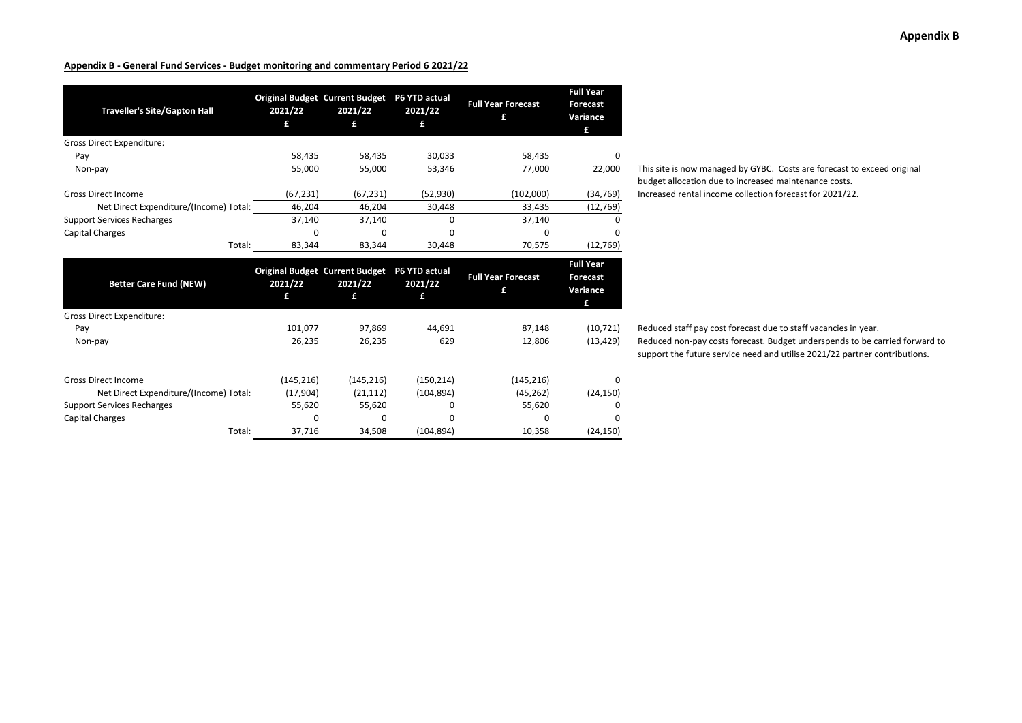| <b>Traveller's Site/Gapton Hall</b>    | 2021/22    | <b>Original Budget Current Budget</b><br>2021/22<br>£ | P6 YTD actual<br>2021/22 | <b>Full Year Forecast</b><br>£ | <b>Full Year</b><br><b>Forecast</b><br>Variance<br>£ |
|----------------------------------------|------------|-------------------------------------------------------|--------------------------|--------------------------------|------------------------------------------------------|
| <b>Gross Direct Expenditure:</b>       |            |                                                       |                          |                                |                                                      |
| Pay                                    | 58,435     | 58,435                                                | 30,033                   | 58,435                         | <sup>0</sup>                                         |
| Non-pay                                | 55,000     | 55,000                                                | 53,346                   | 77,000                         | 22,000                                               |
| <b>Gross Direct Income</b>             | (67, 231)  | (67, 231)                                             | (52, 930)                | (102,000)                      | (34, 769)                                            |
| Net Direct Expenditure/(Income) Total: | 46,204     | 46,204                                                | 30,448                   | 33,435                         | (12, 769)                                            |
| <b>Support Services Recharges</b>      | 37,140     | 37,140                                                | <sup>0</sup>             | 37,140                         |                                                      |
| <b>Capital Charges</b>                 | $\Omega$   | $\Omega$                                              | 0                        | 0                              | 0                                                    |
| Total:                                 | 83,344     | 83,344                                                | 30,448                   | 70,575                         | (12, 769)                                            |
|                                        |            |                                                       |                          |                                |                                                      |
| <b>Better Care Fund (NEW)</b>          | 2021/22    | <b>Original Budget Current Budget</b><br>2021/22<br>£ | P6 YTD actual<br>2021/22 | <b>Full Year Forecast</b><br>£ | <b>Full Year</b><br><b>Forecast</b><br>Variance<br>£ |
| <b>Gross Direct Expenditure:</b>       |            |                                                       |                          |                                |                                                      |
| Pay                                    | 101.077    | 97.869                                                | 44.691                   | 87,148                         | (10, 721)                                            |
| Non-pay                                | 26,235     | 26,235                                                | 629                      | 12,806                         | (13, 429)                                            |
| <b>Gross Direct Income</b>             | (145, 216) | (145, 216)                                            | (150, 214)               | (145, 216)                     | 0                                                    |
| Net Direct Expenditure/(Income) Total: | (17,904)   | (21, 112)                                             | (104, 894)               | (45, 262)                      | (24, 150)                                            |
| <b>Support Services Recharges</b>      | 55,620     | 55,620                                                | $\Omega$                 | 55,620                         | <sup>0</sup>                                         |
| <b>Capital Charges</b>                 | ŋ          | ŋ                                                     | ŋ                        | o                              | <sup>n</sup>                                         |

This site is now managed by GYBC. Costs are forecast to exceed original budget allocation due to increased maintenance costs. Increased rental income collection forecast for 2021/22.

Reduced staff pay cost forecast due to staff vacancies in year. Reduced non-pay costs forecast. Budget underspends to be carried forward to support the future service need and utilise 2021/22 partner contributions.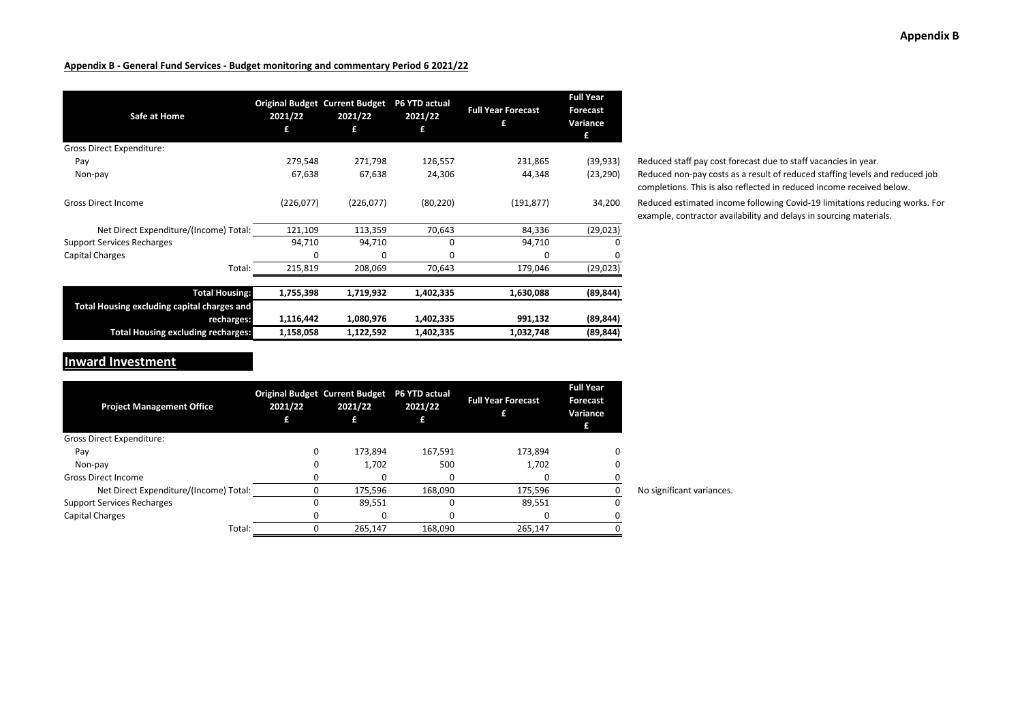| Safe at Home                                | 2021/22<br>£ | <b>Original Budget Current Budget</b><br>2021/22<br>£ | P6 YTD actual<br>2021/22<br>£ | <b>Full Year Forecast</b><br>£ | <b>Full Year</b><br><b>Forecast</b><br>Variance<br>£ |
|---------------------------------------------|--------------|-------------------------------------------------------|-------------------------------|--------------------------------|------------------------------------------------------|
| Gross Direct Expenditure:                   |              |                                                       |                               |                                |                                                      |
| Pay                                         | 279,548      | 271,798                                               | 126,557                       | 231,865                        | (39, 933)                                            |
| Non-pay                                     | 67,638       | 67,638                                                | 24,306                        | 44,348                         | (23, 290)                                            |
| <b>Gross Direct Income</b>                  | (226,077)    | (226,077)                                             | (80, 220)                     | (191, 877)                     | 34,200                                               |
| Net Direct Expenditure/(Income) Total:      | 121,109      | 113,359                                               | 70,643                        | 84,336                         | (29, 023)                                            |
| <b>Support Services Recharges</b>           | 94,710       | 94,710                                                | 0                             | 94,710                         | <sup>0</sup>                                         |
| Capital Charges                             | 0            | 0                                                     | 0                             | $\Omega$                       | 0                                                    |
| Total:                                      | 215,819      | 208,069                                               | 70,643                        | 179,046                        | (29, 023)                                            |
| <b>Total Housing:</b>                       | 1,755,398    | 1,719,932                                             | 1,402,335                     | 1,630,088                      | (89, 844)                                            |
| Total Housing excluding capital charges and |              |                                                       |                               |                                |                                                      |
| recharges:                                  | 1,116,442    | 1,080,976                                             | 1,402,335                     | 991,132                        | (89, 844)                                            |
| <b>Total Housing excluding recharges:</b>   | 1,158,058    | 1,122,592                                             | 1,402,335                     | 1,032,748                      | (89, 844)                                            |

Reduced staff pay cost forecast due to staff vacancies in year. Reduced non-pay costs as a result of reduced staffing levels and reduced job completions. This is also reflected in reduced income received below.

Reduced estimated income following Covid-19 limitations reducing works. For example, contractor availability and delays in sourcing materials.

## **Inward Investment**

| <b>Project Management Office</b>       | 2021/22 | <b>Original Budget Current Budget</b><br>2021/22 | P6 YTD actual<br>2021/22 | <b>Full Year Forecast</b> | <b>Full Year</b><br><b>Forecast</b><br>Variance<br>£ |                           |
|----------------------------------------|---------|--------------------------------------------------|--------------------------|---------------------------|------------------------------------------------------|---------------------------|
| Gross Direct Expenditure:              |         |                                                  |                          |                           |                                                      |                           |
| Pay                                    | 0       | 173.894                                          | 167.591                  | 173.894                   |                                                      |                           |
| Non-pay                                |         | 1,702                                            | 500                      | 1,702                     |                                                      |                           |
| <b>Gross Direct Income</b>             |         |                                                  |                          | 0                         |                                                      |                           |
| Net Direct Expenditure/(Income) Total: |         | 175.596                                          | 168.090                  | 175.596                   |                                                      | No significant variances. |
| <b>Support Services Recharges</b>      |         | 89,551                                           |                          | 89,551                    |                                                      |                           |
| Capital Charges                        |         |                                                  |                          |                           |                                                      |                           |
| Total:                                 |         | 265.147                                          | 168,090                  | 265,147                   |                                                      |                           |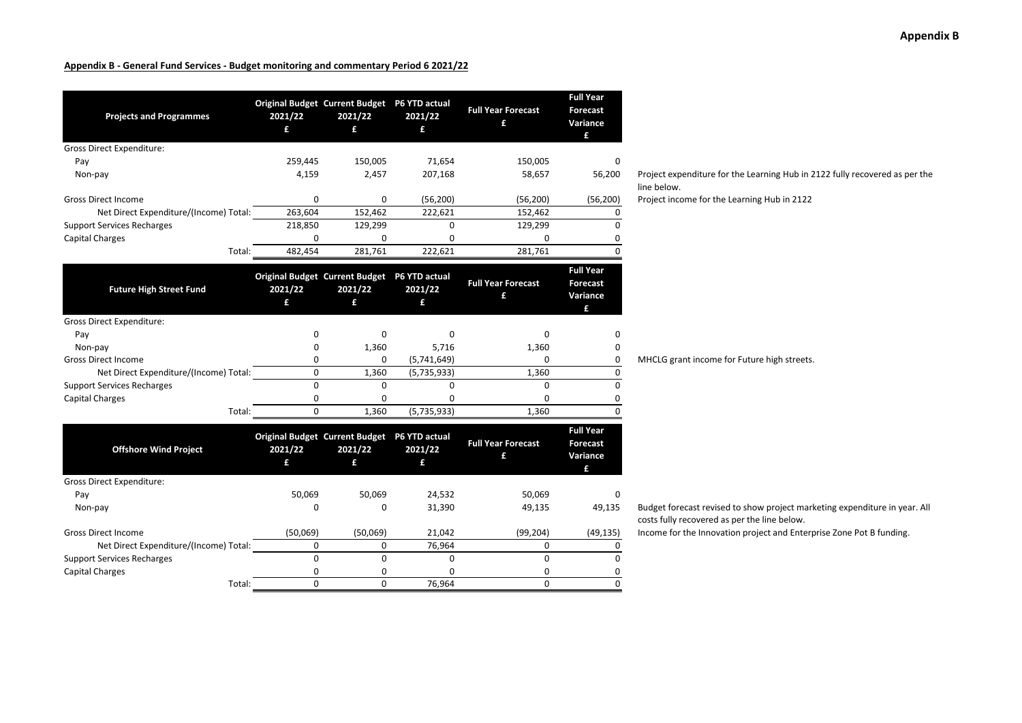| <b>Projects and Programmes</b>         | 2021/22<br>£ | Original Budget Current Budget P6 YTD actual<br>2021/22<br>£ | 2021/22<br>£                  | <b>Full Year Forecast</b><br>£ | <b>Full Year</b><br><b>Forecast</b><br>Variance<br>£ |
|----------------------------------------|--------------|--------------------------------------------------------------|-------------------------------|--------------------------------|------------------------------------------------------|
| <b>Gross Direct Expenditure:</b>       |              |                                                              |                               |                                |                                                      |
| Pay                                    | 259,445      | 150,005                                                      | 71,654                        | 150,005                        | 0                                                    |
| Non-pay                                | 4,159        | 2,457                                                        | 207,168                       | 58,657                         | 56,200                                               |
| <b>Gross Direct Income</b>             | 0            | 0                                                            | (56, 200)                     | (56, 200)                      | (56, 200)                                            |
| Net Direct Expenditure/(Income) Total: | 263,604      | 152,462                                                      | 222,621                       | 152,462                        | 0                                                    |
| <b>Support Services Recharges</b>      | 218,850      | 129,299                                                      | $\Omega$                      | 129,299                        | 0                                                    |
| <b>Capital Charges</b>                 | $\Omega$     | 0                                                            | 0                             | $\Omega$                       | 0                                                    |
| Total:                                 | 482,454      | 281,761                                                      | 222,621                       | 281,761                        | 0                                                    |
| <b>Future High Street Fund</b>         | 2021/22      | Original Budget Current Budget P6 YTD actual<br>2021/22      | 2021/22                       | <b>Full Year Forecast</b><br>£ | <b>Full Year</b><br><b>Forecast</b><br>Variance      |
|                                        | £            | £                                                            | £                             |                                | £                                                    |
| <b>Gross Direct Expenditure:</b>       |              |                                                              |                               |                                |                                                      |
| Pay                                    | 0            | $\Omega$                                                     | 0                             | 0                              | 0                                                    |
| Non-pay                                | 0            | 1,360                                                        | 5,716                         | 1,360                          | 0                                                    |
| <b>Gross Direct Income</b>             | 0            | 0                                                            | (5,741,649)                   | 0                              | 0                                                    |
| Net Direct Expenditure/(Income) Total: | $\Omega$     | 1,360                                                        | (5,735,933)                   | 1,360                          | 0                                                    |
| <b>Support Services Recharges</b>      | $\Omega$     | $\Omega$                                                     | 0                             | 0                              | $\Omega$                                             |
| <b>Capital Charges</b>                 | 0            | 0                                                            | 0                             | 0                              | 0                                                    |
| Total:                                 | $\Omega$     | 1,360                                                        | (5,735,933)                   | 1,360                          | 0                                                    |
| <b>Offshore Wind Project</b>           | 2021/22<br>£ | <b>Original Budget Current Budget</b><br>2021/22<br>£        | P6 YTD actual<br>2021/22<br>£ | <b>Full Year Forecast</b><br>£ | <b>Full Year</b><br><b>Forecast</b><br>Variance<br>f |
| <b>Gross Direct Expenditure:</b>       |              |                                                              |                               |                                |                                                      |
| Pay                                    | 50,069       | 50,069                                                       | 24,532                        | 50,069                         | $\Omega$                                             |
| Non-pay                                | 0            | $\Omega$                                                     | 31,390                        | 49,135                         | 49,135                                               |
| <b>Gross Direct Income</b>             | (50,069)     | (50,069)                                                     | 21,042                        | (99, 204)                      | (49, 135)                                            |
| Net Direct Expenditure/(Income) Total: | 0            | 0                                                            | 76,964                        | 0                              | 0                                                    |
| <b>Support Services Recharges</b>      | $\Omega$     | $\mathbf 0$                                                  | 0                             | 0                              | 0                                                    |
| <b>Capital Charges</b>                 | 0            | 0                                                            | 0                             | 0                              | 0                                                    |
| Total:                                 | $\Omega$     | $\Omega$                                                     | 76,964                        | $\Omega$                       | $\Omega$                                             |

Project expenditure for the Learning Hub in 2122 fully recovered as per the line below.

Project income for the Learning Hub in 2122

MHCLG grant income for Future high streets.

Budget forecast revised to show project marketing expenditure in year. All costs fully recovered as per the line below.

Income for the Innovation project and Enterprise Zone Pot B funding.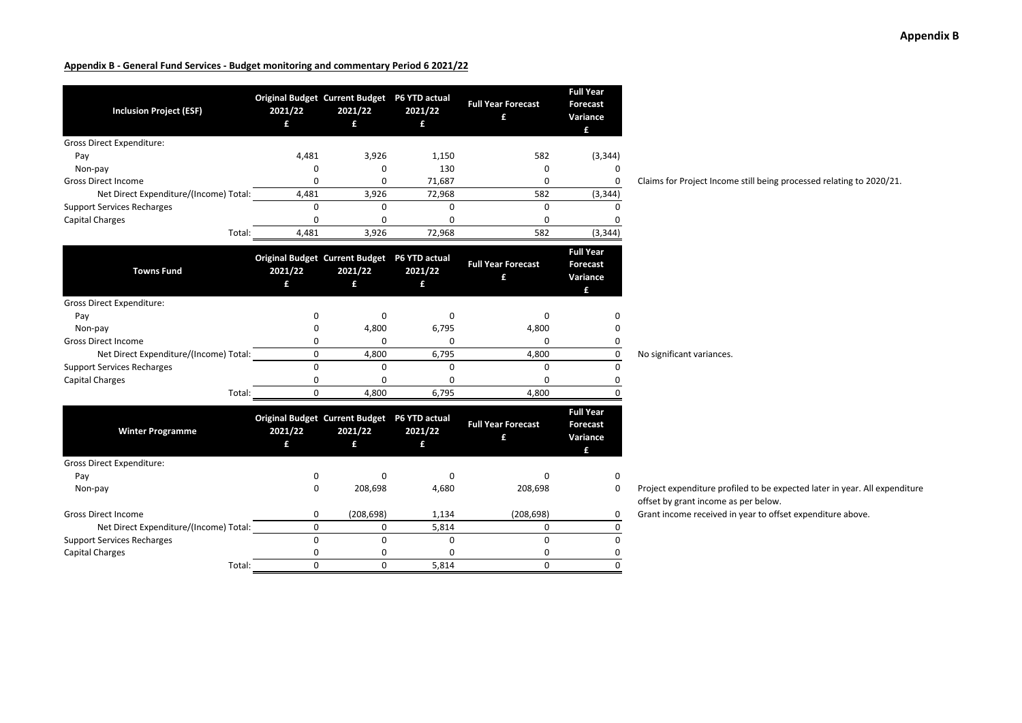| <b>Inclusion Project (ESF)</b>         | 2021/22 | <b>Original Budget Current Budget</b><br>2021/22<br>£ | P6 YTD actual<br>2021/22<br>£ | <b>Full Year Forecast</b> | <b>Full Year</b><br>Forecast<br>Variance<br>£ |
|----------------------------------------|---------|-------------------------------------------------------|-------------------------------|---------------------------|-----------------------------------------------|
| Gross Direct Expenditure:              |         |                                                       |                               |                           |                                               |
| Pay                                    | 4,481   | 3,926                                                 | 1,150                         | 582                       | (3, 344)                                      |
| Non-pay                                |         |                                                       | 130                           | 0                         | $\Omega$                                      |
| <b>Gross Direct Income</b>             |         |                                                       | 71,687                        |                           | 0                                             |
| Net Direct Expenditure/(Income) Total: | 4,481   | 3,926                                                 | 72,968                        | 582                       | (3, 344)                                      |
| <b>Support Services Recharges</b>      |         |                                                       |                               |                           | 0                                             |
| Capital Charges                        |         |                                                       |                               |                           | 0                                             |
| Total:                                 | 4,481   | 3,926                                                 | 72,968                        | 582                       | (3, 344)                                      |

Claims for Project Income still being processed relating to 2020/21.

| <b>Towns Fund</b>                      | 2021/22 | <b>Original Budget Current Budget</b><br>2021/22<br>£ | P6 YTD actual<br>2021/22 | <b>Full Year Forecast</b> | <b>Full Year</b><br><b>Forecast</b><br>Variance<br>£ |                           |
|----------------------------------------|---------|-------------------------------------------------------|--------------------------|---------------------------|------------------------------------------------------|---------------------------|
| <b>Gross Direct Expenditure:</b>       |         |                                                       |                          |                           |                                                      |                           |
| Pay                                    |         |                                                       |                          |                           |                                                      |                           |
| Non-pay                                |         | 4,800                                                 | 6,795                    | 4,800                     |                                                      |                           |
| <b>Gross Direct Income</b>             |         |                                                       |                          |                           |                                                      |                           |
| Net Direct Expenditure/(Income) Total: |         | 4,800                                                 | 6,795                    | 4,800                     |                                                      | No significant variances. |
| <b>Support Services Recharges</b>      |         |                                                       |                          |                           |                                                      |                           |
| Capital Charges                        |         |                                                       |                          |                           |                                                      |                           |
| Total:                                 |         | 4.800                                                 | 6.795                    | 4,800                     |                                                      |                           |

| <b>Winter Programme</b>                | 2021/22 | <b>Original Budget Current Budget</b><br>2021/22 | <b>P6 YTD actual</b><br>2021/22<br>£ | <b>Full Year Forecast</b> | <b>Full Year</b><br><b>Forecast</b><br>Variance<br>£ |
|----------------------------------------|---------|--------------------------------------------------|--------------------------------------|---------------------------|------------------------------------------------------|
| <b>Gross Direct Expenditure:</b>       |         |                                                  |                                      |                           |                                                      |
| Pay                                    |         |                                                  |                                      |                           |                                                      |
| Non-pay                                | 0       | 208.698                                          | 4,680                                | 208,698                   |                                                      |
| <b>Gross Direct Income</b>             | 0       | (208, 698)                                       | 1,134                                | (208, 698)                |                                                      |
| Net Direct Expenditure/(Income) Total: |         |                                                  | 5,814                                |                           |                                                      |
| <b>Support Services Recharges</b>      |         |                                                  |                                      |                           |                                                      |
| Capital Charges                        |         |                                                  |                                      |                           |                                                      |
| Total:                                 |         |                                                  | 5,814                                |                           |                                                      |

0 Project expenditure profiled to be expected later in year. All expenditure offset by grant income as per below.

 $\frac{0}{\sqrt{0}}$  Grant income received in year to offset expenditure above.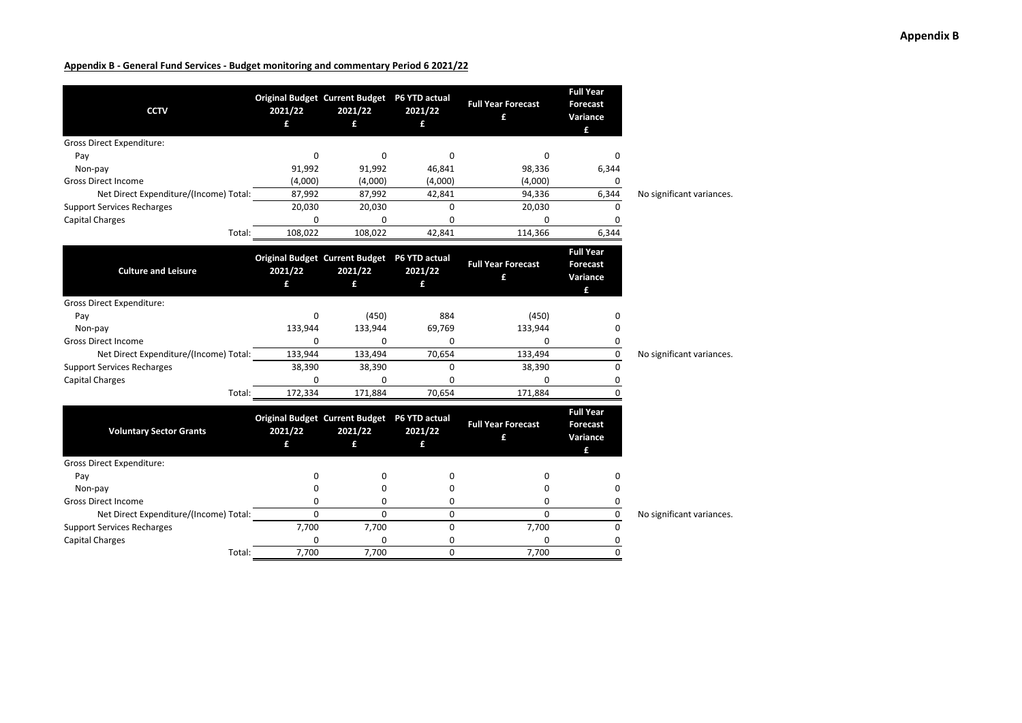| <b>CCTV</b>                                                    | 2021/22<br>f | Original Budget Current Budget P6 YTD actual<br>2021/22<br>£ | 2021/22<br>£ | <b>Full Year Forecast</b><br>£ | <b>Full Year</b><br><b>Forecast</b><br>Variance<br>£ |                           |
|----------------------------------------------------------------|--------------|--------------------------------------------------------------|--------------|--------------------------------|------------------------------------------------------|---------------------------|
| <b>Gross Direct Expenditure:</b>                               |              |                                                              |              |                                |                                                      |                           |
| Pay                                                            | 0<br>91,992  | $\Omega$<br>91,992                                           | 0<br>46,841  | 0<br>98,336                    | O<br>6,344                                           |                           |
| Non-pay<br><b>Gross Direct Income</b>                          | (4,000)      | (4,000)                                                      | (4,000)      | (4,000)                        |                                                      |                           |
| Net Direct Expenditure/(Income) Total:                         | 87,992       | 87,992                                                       | 42,841       | 94,336                         | 0<br>6,344                                           | No significant variances. |
| <b>Support Services Recharges</b>                              | 20,030       | 20,030                                                       | 0            | 20,030                         | $\Omega$                                             |                           |
| <b>Capital Charges</b>                                         | 0            | ŋ                                                            | 0            | 0                              | O                                                    |                           |
| Total:                                                         | 108,022      | 108,022                                                      | 42,841       | 114,366                        | 6,344                                                |                           |
| <b>Culture and Leisure</b><br><b>Gross Direct Expenditure:</b> | 2021/22<br>£ | Original Budget Current Budget P6 YTD actual<br>2021/22<br>£ | 2021/22<br>£ | <b>Full Year Forecast</b><br>£ | <b>Full Year</b><br><b>Forecast</b><br>Variance<br>£ |                           |
|                                                                | 0            | (450)                                                        | 884          | (450)                          | n                                                    |                           |
| Pay<br>Non-pay                                                 | 133,944      | 133,944                                                      | 69,769       | 133,944                        |                                                      |                           |
| <b>Gross Direct Income</b>                                     | 0            | O                                                            | 0            | 0                              | 0                                                    |                           |
| Net Direct Expenditure/(Income) Total:                         | 133,944      | 133,494                                                      | 70,654       | 133,494                        | 0                                                    | No significant variances. |
| <b>Support Services Recharges</b>                              | 38,390       | 38,390                                                       | 0            | 38,390                         | $\Omega$                                             |                           |
| <b>Capital Charges</b>                                         | 0            | $\Omega$                                                     | $\Omega$     | $\Omega$                       | 0                                                    |                           |
| Total:                                                         | 172,334      | 171,884                                                      | 70,654       | 171,884                        | $\Omega$                                             |                           |
| <b>Voluntary Sector Grants</b>                                 | 2021/22<br>£ | Original Budget Current Budget P6 YTD actual<br>2021/22<br>£ | 2021/22<br>£ | <b>Full Year Forecast</b><br>£ | <b>Full Year</b><br><b>Forecast</b><br>Variance<br>£ |                           |
| <b>Gross Direct Expenditure:</b>                               |              |                                                              |              |                                |                                                      |                           |
| Pay<br>Non-pay                                                 | 0<br>0       | 0<br>0                                                       | 0<br>0       | 0<br>0                         | 0<br>0                                               |                           |
| <b>Gross Direct Income</b>                                     | 0            | 0                                                            | 0            | 0                              | 0                                                    |                           |
| Net Direct Expenditure/(Income) Total:                         | $\Omega$     | $\Omega$                                                     | $\Omega$     | $\mathbf{0}$                   | 0                                                    | No significant variances. |
| <b>Support Services Recharges</b>                              | 7,700        | 7,700                                                        | 0            | 7,700                          | $\mathbf 0$                                          |                           |
| <b>Capital Charges</b>                                         | 0            | $\Omega$                                                     | 0            | 0                              | 0                                                    |                           |
| Total:                                                         | 7,700        | 7,700                                                        | $\Omega$     | 7,700                          | $\Omega$                                             |                           |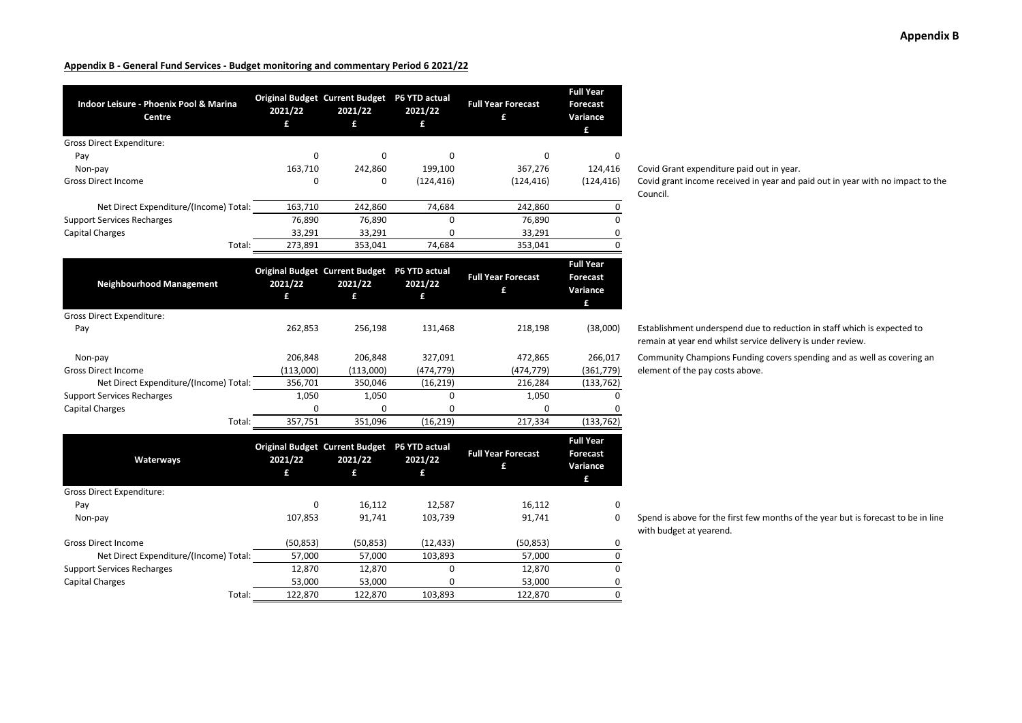| Indoor Leisure - Phoenix Pool & Marina<br>Centre | 2021/22<br>£ | <b>Original Budget Current Budget</b><br>2021/22<br>£ | P6 YTD actual<br>2021/22<br>£ | <b>Full Year Forecast</b><br>£ | <b>Full Year</b><br><b>Forecast</b><br>Variance<br>£ |
|--------------------------------------------------|--------------|-------------------------------------------------------|-------------------------------|--------------------------------|------------------------------------------------------|
| <b>Gross Direct Expenditure:</b>                 |              |                                                       |                               |                                |                                                      |
| Pay                                              | 0            | 0                                                     | 0                             | 0                              | 0                                                    |
| Non-pay                                          | 163,710      | 242,860                                               | 199,100                       | 367,276                        | 124,416                                              |
| <b>Gross Direct Income</b>                       | 0            | 0                                                     | (124, 416)                    | (124, 416)                     | (124, 416)                                           |
| Net Direct Expenditure/(Income) Total:           | 163,710      | 242,860                                               | 74,684                        | 242,860                        | 0                                                    |
| <b>Support Services Recharges</b>                | 76,890       | 76,890                                                | 0                             | 76,890                         | $\mathbf 0$                                          |
| <b>Capital Charges</b>                           | 33,291       | 33,291                                                | 0                             | 33,291                         | 0                                                    |
| Total:                                           | 273,891      | 353,041                                               | 74,684                        | 353,041                        | $\Omega$                                             |
| <b>Neighbourhood Management</b>                  | 2021/22<br>£ | <b>Original Budget Current Budget</b><br>2021/22<br>£ | P6 YTD actual<br>2021/22<br>£ | <b>Full Year Forecast</b><br>£ | <b>Full Year</b><br><b>Forecast</b><br>Variance<br>£ |
| <b>Gross Direct Expenditure:</b>                 |              |                                                       |                               |                                |                                                      |
| Pay                                              | 262,853      | 256,198                                               | 131,468                       | 218,198                        | (38,000)                                             |
| Non-pay                                          | 206,848      | 206,848                                               | 327,091                       | 472,865                        | 266,017                                              |
| <b>Gross Direct Income</b>                       | (113,000)    | (113,000)                                             | (474, 779)                    | (474, 779)                     | (361, 779)                                           |
| Net Direct Expenditure/(Income) Total:           | 356,701      | 350,046                                               | (16, 219)                     | 216,284                        | (133, 762)                                           |
| <b>Support Services Recharges</b>                | 1,050        | 1,050                                                 | 0                             | 1,050                          | $\Omega$                                             |
| <b>Capital Charges</b>                           | 0            | 0                                                     | 0                             | 0                              |                                                      |
| Total:                                           | 357,751      | 351,096                                               | (16, 219)                     | 217,334                        | (133, 762)                                           |
| Waterways                                        | 2021/22<br>£ | <b>Original Budget Current Budget</b><br>2021/22<br>£ | P6 YTD actual<br>2021/22<br>£ | <b>Full Year Forecast</b><br>£ | <b>Full Year</b><br><b>Forecast</b><br>Variance<br>£ |
| Gross Direct Expenditure:                        |              |                                                       |                               |                                |                                                      |
| Pay                                              | 0            | 16,112                                                | 12,587                        | 16,112                         | 0                                                    |
| Non-pay                                          | 107,853      | 91,741                                                | 103,739                       | 91,741                         | $\Omega$                                             |
| <b>Gross Direct Income</b>                       | (50, 853)    | (50, 853)                                             | (12, 433)                     | (50, 853)                      | 0                                                    |
| Net Direct Expenditure/(Income) Total:           | 57,000       | 57,000                                                | 103,893                       | 57,000                         | 0                                                    |
| <b>Support Services Recharges</b>                | 12,870       | 12,870                                                | 0                             | 12,870                         | $\mathbf 0$                                          |
| <b>Capital Charges</b>                           | 53,000       | 53,000                                                | $\Omega$                      | 53,000                         | $\mathsf 0$                                          |
| Total:                                           | 122.870      | 122.870                                               | 103.893                       | 122.870                        | 0                                                    |

Covid Grant expenditure paid out in year.

Covid grant income received in year and paid out in year with no impact to the Council.

Establishment underspend due to reduction in staff which is expected to remain at year end whilst service delivery is under review.

Community Champions Funding covers spending and as well as covering an element of the pay costs above.

Spend is above for the first few months of the year but is forecast to be in line with budget at yearend.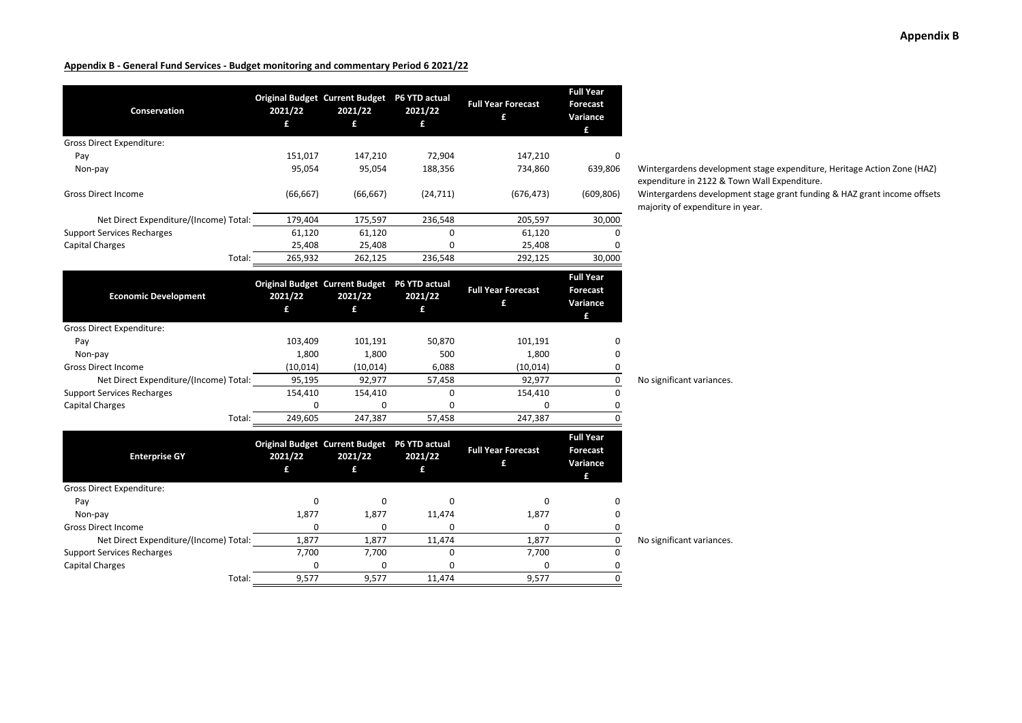| Conservation                           | 2021/22<br>£ | Original Budget Current Budget P6 YTD actual<br>2021/22<br>£ | 2021/22<br>£ | <b>Full Year Forecast</b><br>£ | <b>Full Year</b><br><b>Forecast</b><br>Variance<br>£ |                                                  |
|----------------------------------------|--------------|--------------------------------------------------------------|--------------|--------------------------------|------------------------------------------------------|--------------------------------------------------|
| <b>Gross Direct Expenditure:</b>       |              |                                                              |              |                                |                                                      |                                                  |
| Pay                                    | 151,017      | 147,210                                                      | 72,904       | 147,210                        | 0                                                    |                                                  |
| Non-pay                                | 95,054       | 95,054                                                       | 188,356      | 734,860                        | 639,806                                              | Wintergardens develop<br>expenditure in 2122 & T |
| <b>Gross Direct Income</b>             | (66, 667)    | (66, 667)                                                    | (24, 711)    | (676, 473)                     | (609, 806)                                           | Wintergardens develop<br>majority of expenditure |
| Net Direct Expenditure/(Income) Total: | 179,404      | 175,597                                                      | 236,548      | 205,597                        | 30,000                                               |                                                  |
| <b>Support Services Recharges</b>      | 61,120       | 61,120                                                       | $\Omega$     | 61,120                         | 0                                                    |                                                  |
| <b>Capital Charges</b>                 | 25,408       | 25,408                                                       | 0            | 25,408                         | <sup>0</sup>                                         |                                                  |
| Total:                                 | 265,932      | 262,125                                                      | 236,548      | 292,125                        | 30,000                                               |                                                  |
| <b>Economic Development</b>            | 2021/22<br>£ | Original Budget Current Budget P6 YTD actual<br>2021/22<br>£ | 2021/22<br>£ | <b>Full Year Forecast</b><br>£ | <b>Full Year</b><br><b>Forecast</b><br>Variance      |                                                  |
| <b>Gross Direct Expenditure:</b>       |              |                                                              |              |                                | £                                                    |                                                  |
| Pay                                    | 103,409      | 101,191                                                      | 50,870       | 101,191                        | 0                                                    |                                                  |
| Non-pay                                | 1,800        | 1,800                                                        | 500          | 1,800                          | 0                                                    |                                                  |
| <b>Gross Direct Income</b>             | (10, 014)    | (10, 014)                                                    | 6,088        | (10, 014)                      | 0                                                    |                                                  |
| Net Direct Expenditure/(Income) Total: | 95,195       | 92,977                                                       | 57,458       | 92,977                         | 0                                                    | No significant variances.                        |
| <b>Support Services Recharges</b>      | 154,410      | 154,410                                                      | 0            | 154,410                        | 0                                                    |                                                  |
| <b>Capital Charges</b>                 | $\mathbf 0$  | 0                                                            | 0            | 0                              | 0                                                    |                                                  |
| Total:                                 | 249,605      | 247,387                                                      | 57,458       | 247,387                        | $\Omega$                                             |                                                  |
|                                        |              | Original Budget Current Budget P6 YTD actual                 |              |                                | <b>Full Year</b>                                     |                                                  |
| <b>Enterprise GY</b>                   | 2021/22      | 2021/22                                                      | 2021/22      | <b>Full Year Forecast</b>      | <b>Forecast</b>                                      |                                                  |
|                                        | £            | £                                                            | £            | £                              | Variance<br>£                                        |                                                  |
| <b>Gross Direct Expenditure:</b>       |              |                                                              |              |                                |                                                      |                                                  |
| Pay                                    | 0            | 0                                                            | 0            | 0                              | 0                                                    |                                                  |
| Non-pay                                | 1,877        | 1,877                                                        | 11,474       | 1,877                          | 0                                                    |                                                  |
| <b>Gross Direct Income</b>             | 0            | 0                                                            | 0            | 0                              | 0                                                    |                                                  |
| Net Direct Expenditure/(Income) Total: | 1,877        | 1,877                                                        | 11,474       | 1,877                          | 0                                                    | No significant variances.                        |
| <b>Support Services Recharges</b>      | 7,700        | 7,700                                                        | $\mathbf 0$  | 7,700                          | 0                                                    |                                                  |
| <b>Capital Charges</b>                 | 0            | 0                                                            | 0            | 0                              | 0                                                    |                                                  |
| Total:                                 | 9,577        | 9,577                                                        | 11,474       | 9,577                          | $\Omega$                                             |                                                  |

**Appendix B**

dens development stage expenditure, Heritage Action Zone (HAZ) re in 2122 & Town Wall Expenditure.

dens development stage grant funding & HAZ grant income offsets f expenditure in year.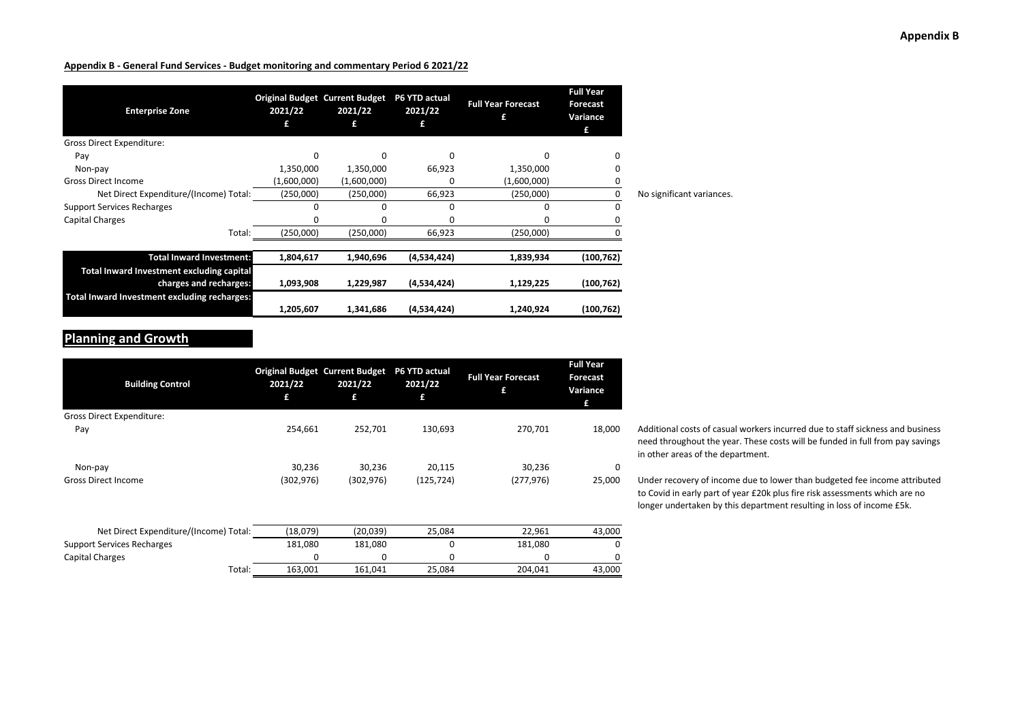| <b>Enterprise Zone</b>                                                     | 2021/22<br>£ | <b>Original Budget Current Budget</b><br>2021/22 | P6 YTD actual<br>2021/22<br>£ | <b>Full Year Forecast</b><br>£ | <b>Full Year</b><br><b>Forecast</b><br>Variance<br>£ |                           |
|----------------------------------------------------------------------------|--------------|--------------------------------------------------|-------------------------------|--------------------------------|------------------------------------------------------|---------------------------|
| Gross Direct Expenditure:                                                  |              |                                                  |                               |                                |                                                      |                           |
| Pay                                                                        |              | O                                                | O                             |                                |                                                      |                           |
| Non-pay                                                                    | 1,350,000    | 1,350,000                                        | 66,923                        | 1,350,000                      |                                                      |                           |
| <b>Gross Direct Income</b>                                                 | (1,600,000)  | (1,600,000)                                      | 0                             | (1,600,000)                    |                                                      |                           |
| Net Direct Expenditure/(Income) Total:                                     | (250,000)    | (250,000)                                        | 66,923                        | (250,000)                      | 0                                                    | No significant variances. |
| <b>Support Services Recharges</b>                                          |              |                                                  |                               |                                |                                                      |                           |
| Capital Charges                                                            |              |                                                  |                               |                                |                                                      |                           |
| Total:                                                                     | (250,000)    | (250,000)                                        | 66,923                        | (250,000)                      |                                                      |                           |
| <b>Total Inward Investment:</b>                                            | 1,804,617    | 1,940,696                                        | (4,534,424)                   | 1,839,934                      | (100, 762)                                           |                           |
| <b>Total Inward Investment excluding capital</b><br>charges and recharges: | 1,093,908    | 1,229,987                                        | (4,534,424)                   | 1,129,225                      | (100, 762)                                           |                           |
| Total Inward Investment excluding recharges:                               | 1,205,607    | 1,341,686                                        | (4,534,424)                   | 1,240,924                      | (100, 762)                                           |                           |

## **Planning and Growth**

| <b>Building Control</b>                | 2021/22<br>£ | <b>Original Budget Current Budget</b><br>2021/22<br>£ | P6 YTD actual<br>2021/22<br>£ | <b>Full Year Forecast</b><br>£ | <b>Full Year</b><br><b>Forecast</b><br>Variance<br>£ |
|----------------------------------------|--------------|-------------------------------------------------------|-------------------------------|--------------------------------|------------------------------------------------------|
| <b>Gross Direct Expenditure:</b>       |              |                                                       |                               |                                |                                                      |
| Pay                                    | 254,661      | 252,701                                               | 130,693                       | 270,701                        | 18,000                                               |
| Non-pay                                | 30,236       | 30,236                                                | 20,115                        | 30,236                         | 0                                                    |
| <b>Gross Direct Income</b>             | (302, 976)   | (302, 976)                                            | (125, 724)                    | (277, 976)                     | 25,000                                               |
|                                        |              |                                                       |                               |                                |                                                      |
| Net Direct Expenditure/(Income) Total: | (18,079)     | (20,039)                                              | 25,084                        | 22,961                         | 43,000                                               |
| <b>Support Services Recharges</b>      | 181,080      | 181,080                                               | 0                             | 181,080                        | $\Omega$                                             |
| Capital Charges                        | 0            | 0                                                     | 0                             | 0                              | 0                                                    |
| Total:                                 | 163,001      | 161,041                                               | 25,084                        | 204,041                        | 43,000                                               |

Additional costs of casual workers incurred due to staff sickness and business need throughout the year. These costs will be funded in full from pay savings in other areas of the department.

Under recovery of income due to lower than budgeted fee income attributed to Covid in early part of year £20k plus fire risk assessments which are no longer undertaken by this department resulting in loss of income £5k.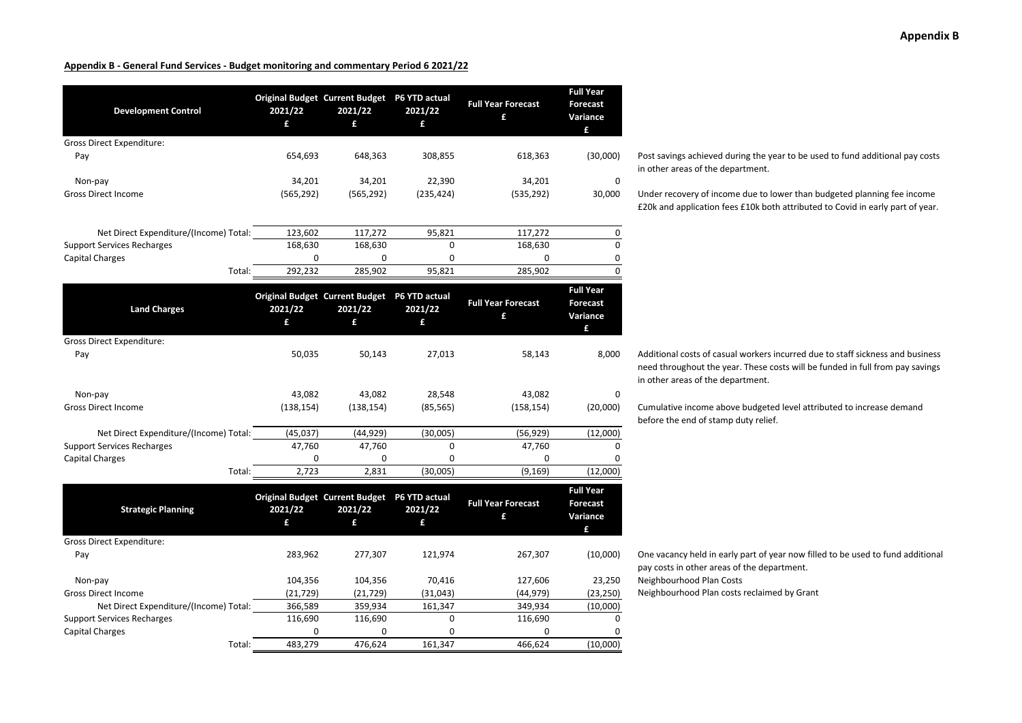| <b>Development Control</b>             | 2021/22<br>£ | <b>Original Budget Current Budget</b><br>2021/22<br>£ | P6 YTD actual<br>2021/22<br>£ | <b>Full Year Forecast</b><br>£ | <b>Full Year</b><br><b>Forecast</b><br>Variance<br>£ |
|----------------------------------------|--------------|-------------------------------------------------------|-------------------------------|--------------------------------|------------------------------------------------------|
| Gross Direct Expenditure:              |              |                                                       |                               |                                |                                                      |
| Pay                                    | 654,693      | 648,363                                               | 308,855                       | 618,363                        | (30,000)                                             |
| Non-pay                                | 34,201       | 34,201                                                | 22,390                        | 34,201                         | 0                                                    |
| <b>Gross Direct Income</b>             | (565, 292)   | (565, 292)                                            | (235, 424)                    | (535, 292)                     | 30,000                                               |
| Net Direct Expenditure/(Income) Total: | 123,602      | 117,272                                               | 95,821                        | 117,272                        | 0                                                    |
| <b>Support Services Recharges</b>      | 168,630      | 168,630                                               | $\Omega$                      | 168,630                        | $\mathbf 0$                                          |
| Capital Charges                        | 0            | 0                                                     | 0                             | 0                              | 0                                                    |
| Total:                                 | 292,232      | 285,902                                               | 95,821                        | 285,902                        | $\mathbf 0$                                          |
| <b>Land Charges</b>                    | 2021/22<br>£ | <b>Original Budget Current Budget</b><br>2021/22<br>£ | P6 YTD actual<br>2021/22<br>£ | <b>Full Year Forecast</b><br>£ | <b>Full Year</b><br><b>Forecast</b><br>Variance      |
|                                        |              |                                                       |                               |                                | £                                                    |
| Gross Direct Expenditure:              |              |                                                       |                               |                                |                                                      |
| Pay                                    | 50,035       | 50,143                                                | 27,013                        | 58,143                         | 8,000                                                |
| Non-pay                                | 43,082       | 43,082                                                | 28,548                        | 43,082                         |                                                      |
| Gross Direct Income                    | (138, 154)   | (138, 154)                                            | (85, 565)                     | (158, 154)                     | (20,000)                                             |
| Net Direct Expenditure/(Income) Total: | (45,037)     | (44, 929)                                             | (30,005)                      | (56, 929)                      | (12,000)                                             |
| <b>Support Services Recharges</b>      | 47,760       | 47,760                                                | 0                             | 47,760                         | $\Omega$                                             |
| <b>Capital Charges</b>                 | 0            | 0                                                     | 0                             | 0                              | 0                                                    |
| Total:                                 | 2,723        | 2,831                                                 | (30,005)                      | (9, 169)                       | (12,000)                                             |
| <b>Strategic Planning</b>              | 2021/22<br>£ | <b>Original Budget Current Budget</b><br>2021/22<br>£ | P6 YTD actual<br>2021/22<br>£ | <b>Full Year Forecast</b><br>£ | <b>Full Year</b><br><b>Forecast</b><br>Variance<br>£ |
| Gross Direct Expenditure:              |              |                                                       |                               |                                |                                                      |
| Pay                                    | 283,962      | 277,307                                               | 121,974                       | 267,307                        | (10,000)                                             |
| Non-pay                                | 104,356      | 104,356                                               | 70,416                        | 127,606                        | 23,250                                               |
| <b>Gross Direct Income</b>             | (21, 729)    | (21, 729)                                             | (31,043)                      | (44, 979)                      | (23, 250)                                            |
| Net Direct Expenditure/(Income) Total: | 366,589      | 359,934                                               | 161,347                       | 349,934                        | (10,000)                                             |
| <b>Support Services Recharges</b>      | 116,690      | 116,690                                               | 0                             | 116,690                        | $\Omega$                                             |
| Capital Charges                        | 0            | 0                                                     | 0                             | 0                              | 0                                                    |
| Total:                                 | 483.279      | 476.624                                               | 161.347                       | 466.624                        | (10.000)                                             |

#### Post savings achieved during the year to be used to fund additional pay costs in other areas of the department.

Under recovery of income due to lower than budgeted planning fee income £20k and application fees £10k both attributed to Covid in early part of year.

Additional costs of casual workers incurred due to staff sickness and business need throughout the year. These costs will be funded in full from pay savings in other areas of the department.

Cumulative income above budgeted level attributed to increase demand before the end of stamp duty relief.

One vacancy held in early part of year now filled to be used to fund additional pay costs in other areas of the department. Neighbourhood Plan Costs Neighbourhood Plan costs reclaimed by Grant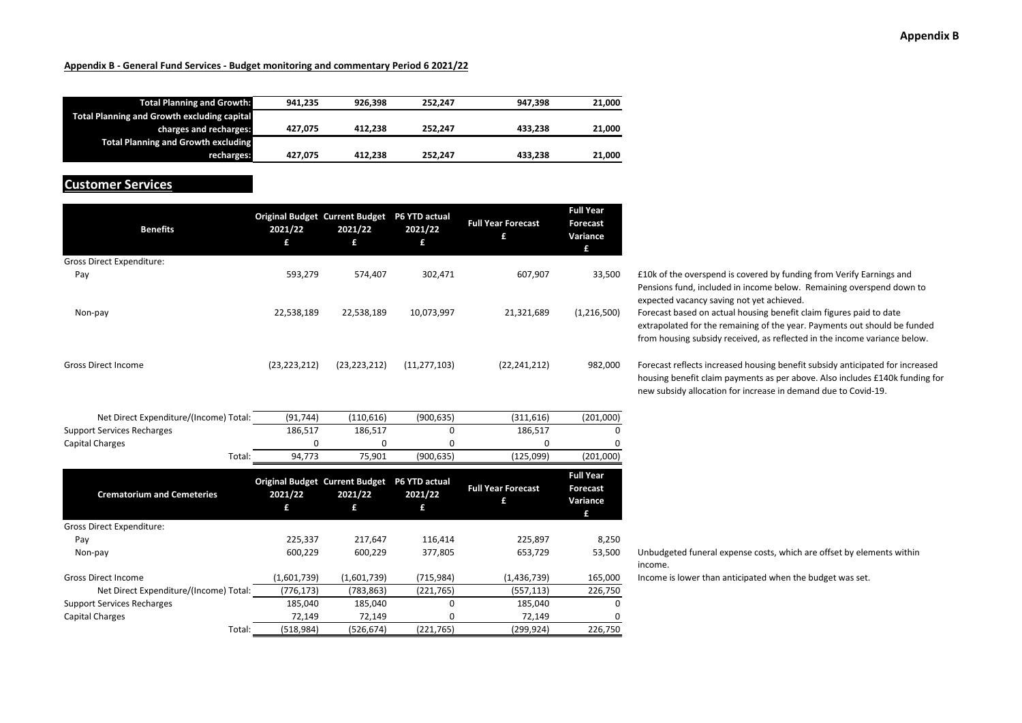#### **Appendix B**

#### **Appendix <sup>B</sup> ‐ General Fund Services ‐ Budget monitoring and commentary Period 6 2021/22**

| <b>Total Planning and Growth:</b>                  | 941.235 | 926.398 | 252.247 | 947.398 | 21.000 |
|----------------------------------------------------|---------|---------|---------|---------|--------|
| <b>Total Planning and Growth excluding capital</b> |         |         |         |         |        |
| charges and recharges:                             | 427.075 | 412.238 | 252.247 | 433.238 | 21,000 |
| <b>Total Planning and Growth excluding</b>         |         |         |         |         |        |
| recharges:                                         | 427.075 | 412.238 | 252.247 | 433.238 | 21,000 |

#### **Customer Services**

| <b>Benefits</b>                        | 2021/22<br>£   | <b>Original Budget Current Budget</b><br>2021/22<br>£ | P6 YTD actual<br>2021/22<br>£ | <b>Full Year Forecast</b><br>£ | <b>Full Year</b><br><b>Forecast</b><br>Variance<br>£ |
|----------------------------------------|----------------|-------------------------------------------------------|-------------------------------|--------------------------------|------------------------------------------------------|
| Gross Direct Expenditure:              |                |                                                       |                               |                                |                                                      |
| Pay                                    | 593,279        | 574,407                                               | 302,471                       | 607,907                        | 33,500                                               |
| Non-pay                                | 22,538,189     | 22,538,189                                            | 10,073,997                    | 21,321,689                     | (1,216,500)                                          |
| <b>Gross Direct Income</b>             | (23, 223, 212) | (23, 223, 212)                                        | (11, 277, 103)                | (22, 241, 212)                 | 982,000                                              |
| Net Direct Expenditure/(Income) Total: | (91, 744)      | (110, 616)                                            | (900, 635)                    | (311, 616)                     | (201,000)                                            |
| <b>Support Services Recharges</b>      | 186,517        | 186,517                                               | 0                             | 186,517                        | O                                                    |
| <b>Capital Charges</b>                 | 0              | 0                                                     | 0                             | 0                              | 0                                                    |
| Total:                                 | 94,773         | 75,901                                                | (900, 635)                    | (125,099)                      | (201,000)                                            |
| <b>Crematorium and Cemeteries</b>      | 2021/22<br>£   | <b>Original Budget Current Budget</b><br>2021/22<br>£ | P6 YTD actual<br>2021/22<br>£ | <b>Full Year Forecast</b><br>£ | <b>Full Year</b><br><b>Forecast</b><br>Variance<br>£ |
| Gross Direct Expenditure:              |                |                                                       |                               |                                |                                                      |
| Pay                                    | 225,337        | 217,647                                               | 116,414                       | 225,897                        | 8,250                                                |
| Non-pay                                | 600,229        | 600,229                                               | 377,805                       | 653,729                        | 53,500                                               |
| <b>Gross Direct Income</b>             | (1,601,739)    | (1,601,739)                                           | (715, 984)                    | (1,436,739)                    | 165,000                                              |
| Net Direct Expenditure/(Income) Total: | (776, 173)     | (783, 863)                                            | (221, 765)                    | (557, 113)                     | 226,750                                              |
| <b>Support Services Recharges</b>      | 185,040        | 185,040                                               | 0                             | 185,040                        | 0                                                    |
| <b>Capital Charges</b>                 | 72,149         | 72,149                                                | 0                             | 72,149                         | 0                                                    |
| Total:                                 | (518, 984)     | (526, 674)                                            | (221, 765)                    | (299, 924)                     | 226,750                                              |

£10k of the overspend is covered by funding from Verify Earnings and Pensions fund, included in income below. Remaining overspend down to expected vacancy saving not yet achieved. Forecast based on actual housing benefit claim figures paid to date extrapolated for the remaining of the year. Payments out should be funded from housing subsidy received, as reflected in the income variance below.

Forecast reflects increased housing benefit subsidy anticipated for increased housing benefit claim payments as per above. Also includes £140k funding for new subsidy allocation for increase in demand due to Covid‐19.

Unbudgeted funeral expense costs, which are offset by elements within income.

Income is lower than anticipated when the budget was set.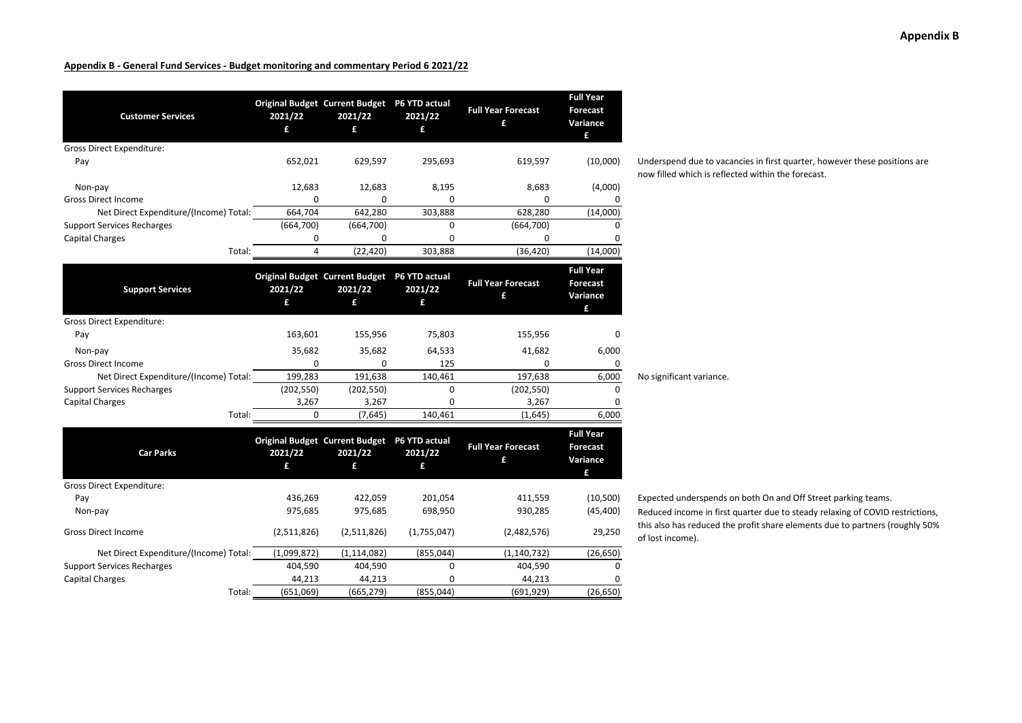| <b>Customer Services</b>                                    | 2021/22<br>£   | <b>Original Budget Current Budget</b><br>2021/22<br>£        | P6 YTD actual<br>2021/22<br>£ | <b>Full Year Forecast</b><br>£ | <b>Full Year</b><br><b>Forecast</b><br>Variance<br>£ |
|-------------------------------------------------------------|----------------|--------------------------------------------------------------|-------------------------------|--------------------------------|------------------------------------------------------|
| <b>Gross Direct Expenditure:</b>                            |                |                                                              |                               |                                |                                                      |
| Pay                                                         | 652,021        | 629,597                                                      | 295,693                       | 619,597                        | (10,000)                                             |
|                                                             |                |                                                              |                               |                                |                                                      |
| Non-pay                                                     | 12,683         | 12,683                                                       | 8,195                         | 8,683                          | (4,000)                                              |
| <b>Gross Direct Income</b>                                  | 0<br>664,704   | $\Omega$                                                     | 0                             | 0                              | 0                                                    |
| Net Direct Expenditure/(Income) Total:                      |                | 642,280                                                      | 303,888                       | 628,280                        | (14,000)                                             |
| <b>Support Services Recharges</b><br><b>Capital Charges</b> | (664,700)<br>0 | (664, 700)<br>0                                              | 0<br>0                        | (664, 700)<br>0                | 0<br>0                                               |
| Total:                                                      | $\overline{4}$ | (22, 420)                                                    | 303,888                       | (36, 420)                      | (14,000)                                             |
|                                                             |                |                                                              |                               |                                |                                                      |
| <b>Support Services</b>                                     | 2021/22<br>£   | Original Budget Current Budget P6 YTD actual<br>2021/22<br>£ | 2021/22<br>£                  | <b>Full Year Forecast</b><br>£ | <b>Full Year</b><br><b>Forecast</b><br>Variance<br>£ |
| Gross Direct Expenditure:                                   |                |                                                              |                               |                                |                                                      |
| Pay                                                         | 163,601        | 155,956                                                      | 75,803                        | 155,956                        | 0                                                    |
| Non-pay                                                     | 35,682         | 35,682                                                       | 64,533                        | 41,682                         | 6,000                                                |
| <b>Gross Direct Income</b>                                  | $\Omega$       | $\Omega$                                                     | 125                           | 0                              | 0                                                    |
| Net Direct Expenditure/(Income) Total:                      | 199,283        | 191,638                                                      | 140,461                       | 197,638                        | 6,000                                                |
| <b>Support Services Recharges</b>                           | (202, 550)     | (202, 550)                                                   | 0                             | (202, 550)                     | 0                                                    |
| <b>Capital Charges</b>                                      | 3,267          | 3,267                                                        | 0                             | 3,267                          | 0                                                    |
| Total:                                                      | $\Omega$       | (7,645)                                                      | 140,461                       | (1,645)                        | 6,000                                                |
| <b>Car Parks</b>                                            | 2021/22        | <b>Original Budget Current Budget</b><br>2021/22             | P6 YTD actual<br>2021/22      | <b>Full Year Forecast</b><br>£ | <b>Full Year</b><br><b>Forecast</b><br>Variance      |
|                                                             | £              | £                                                            | £                             |                                | £                                                    |
| <b>Gross Direct Expenditure:</b>                            |                |                                                              |                               |                                |                                                      |
| Pay                                                         | 436,269        | 422,059                                                      | 201,054                       | 411,559                        | (10, 500)                                            |
| Non-pay                                                     | 975,685        | 975,685                                                      | 698,950                       | 930,285                        | (45, 400)                                            |
| <b>Gross Direct Income</b>                                  | (2,511,826)    | (2,511,826)                                                  | (1,755,047)                   | (2,482,576)                    | 29,250                                               |
| Net Direct Expenditure/(Income) Total:                      | (1,099,872)    | (1, 114, 082)                                                | (855,044)                     | (1, 140, 732)                  | (26, 650)                                            |
| <b>Support Services Recharges</b>                           | 404,590        | 404,590                                                      | 0                             | 404,590                        | 0                                                    |
| <b>Capital Charges</b>                                      | 44,213         | 44,213                                                       | 0                             | 44,213                         | <sup>0</sup>                                         |
| Total:                                                      | (651,069)      | (665, 279)                                                   | (855, 044)                    | (691, 929)                     | (26, 650)                                            |

Underspend due to vacancies in first quarter, however these positions are now filled which is reflected within the forecast.

Expected underspends on both On and Off Street parking teams.

No significant variance.

Reduced income in first quarter due to steady relaxing of COVID restrictions, this also has reduced the profit share elements due to partners (roughly 50% of lost income).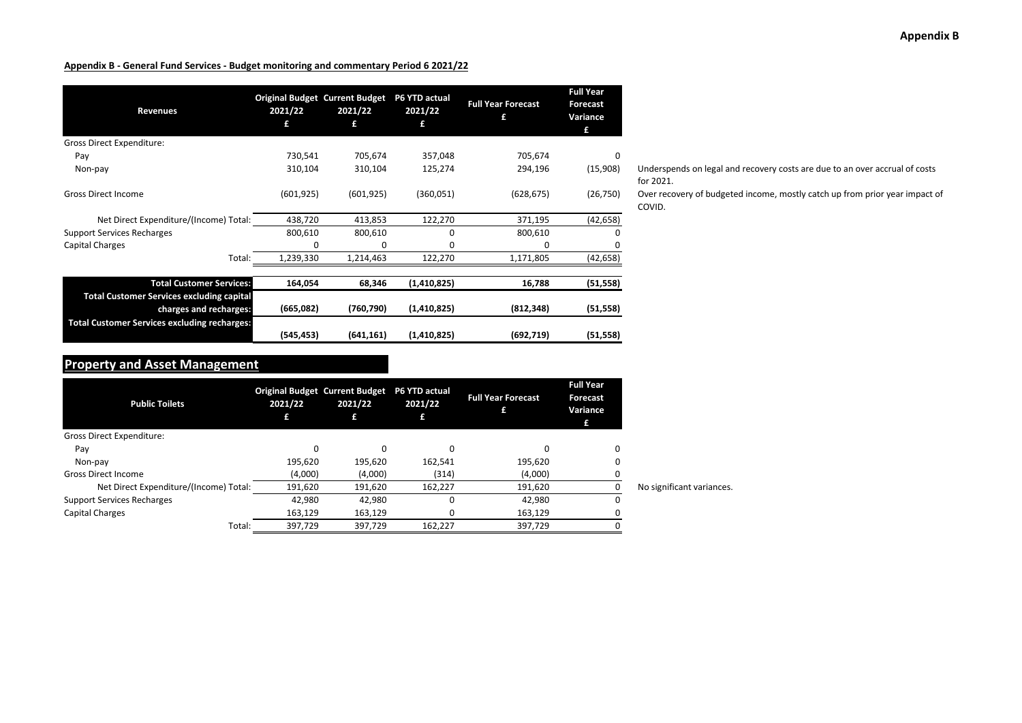| Revenues                                                                   | 2021/22<br>£ | <b>Original Budget Current Budget</b><br>2021/22<br>£ | P6 YTD actual<br>2021/22<br>£ | <b>Full Year Forecast</b><br>£ | <b>Full Year</b><br><b>Forecast</b><br>Variance<br>£ |
|----------------------------------------------------------------------------|--------------|-------------------------------------------------------|-------------------------------|--------------------------------|------------------------------------------------------|
| Gross Direct Expenditure:                                                  |              |                                                       |                               |                                |                                                      |
| Pay                                                                        | 730,541      | 705,674                                               | 357,048                       | 705,674                        | 0                                                    |
| Non-pay                                                                    | 310,104      | 310,104                                               | 125,274                       | 294,196                        | (15,908)                                             |
| <b>Gross Direct Income</b>                                                 | (601, 925)   | (601, 925)                                            | (360,051)                     | (628, 675)                     | (26, 750)                                            |
| Net Direct Expenditure/(Income) Total:                                     | 438,720      | 413,853                                               | 122,270                       | 371,195                        | (42, 658)                                            |
| <b>Support Services Recharges</b>                                          | 800,610      | 800,610                                               | 0                             | 800,610                        | 0                                                    |
| Capital Charges                                                            | ŋ            | $\Omega$                                              | 0                             | $\Omega$                       | 0                                                    |
| Total:                                                                     | 1,239,330    | 1,214,463                                             | 122,270                       | 1,171,805                      | (42, 658)                                            |
| <b>Total Customer Services:</b>                                            | 164,054      | 68,346                                                | (1,410,825)                   | 16,788                         | (51, 558)                                            |
| <b>Total Customer Services excluding capital</b><br>charges and recharges: | (665,082)    | (760, 790)                                            | (1,410,825)                   | (812, 348)                     | (51, 558)                                            |
| <b>Total Customer Services excluding recharges:</b>                        | (545, 453)   | (641, 161)                                            | (1,410,825)                   | (692, 719)                     | (51, 558)                                            |

Underspends on legal and recovery costs are due to an over accrual of costs for 2021.

Over recovery of budgeted income, mostly catch up from prior year impact of COVID.

## **Property and Asset Management**

| <b>Public Toilets</b>                  | <b>Original Budget Current Budget</b><br>2021/22<br>£ | 2021/22<br>£ | <b>P6 YTD actual</b><br>2021/22 | <b>Full Year Forecast</b> | <b>Full Year</b><br>Forecast<br>Variance<br>£ |                           |
|----------------------------------------|-------------------------------------------------------|--------------|---------------------------------|---------------------------|-----------------------------------------------|---------------------------|
| <b>Gross Direct Expenditure:</b>       |                                                       |              |                                 |                           |                                               |                           |
| Pay                                    |                                                       |              | 0                               |                           | 0                                             |                           |
| Non-pay                                | 195.620                                               | 195.620      | 162,541                         | 195.620                   | 0                                             |                           |
| <b>Gross Direct Income</b>             | (4,000)                                               | (4,000)      | (314)                           | (4,000)                   |                                               |                           |
| Net Direct Expenditure/(Income) Total: | 191,620                                               | 191,620      | 162,227                         | 191,620                   | 0                                             | No significant variances. |
| <b>Support Services Recharges</b>      | 42,980                                                | 42.980       | 0                               | 42.980                    | 0                                             |                           |
| Capital Charges                        | 163,129                                               | 163,129      | 0                               | 163,129                   |                                               |                           |
| Total:                                 | 397,729                                               | 397.729      | 162,227                         | 397,729                   |                                               |                           |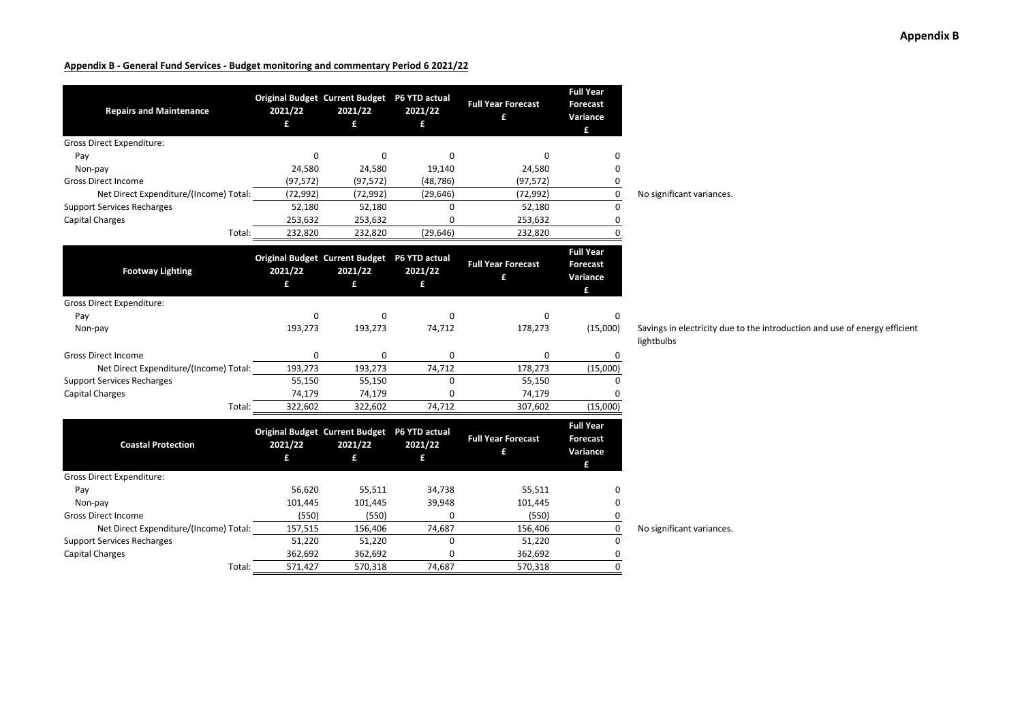| <b>Repairs and Maintenance</b>         | 2021/22<br>£ | Original Budget Current Budget P6 YTD actual<br>2021/22<br>£ | 2021/22<br>£ | <b>Full Year Forecast</b><br>£ | <b>Full Year</b><br><b>Forecast</b><br>Variance<br>£ |                                          |
|----------------------------------------|--------------|--------------------------------------------------------------|--------------|--------------------------------|------------------------------------------------------|------------------------------------------|
| <b>Gross Direct Expenditure:</b>       |              |                                                              |              |                                |                                                      |                                          |
| Pay                                    | 0            | $\Omega$                                                     | $\Omega$     | 0                              | 0                                                    |                                          |
| Non-pay                                | 24,580       | 24,580                                                       | 19,140       | 24,580                         | 0                                                    |                                          |
| <b>Gross Direct Income</b>             | (97, 572)    | (97, 572)                                                    | (48, 786)    | (97, 572)                      | 0                                                    |                                          |
| Net Direct Expenditure/(Income) Total: | (72, 992)    | (72, 992)                                                    | (29, 646)    | (72, 992)                      | 0                                                    | No significant variances.                |
| <b>Support Services Recharges</b>      | 52,180       | 52,180                                                       | $\mathbf 0$  | 52,180                         | 0                                                    |                                          |
| <b>Capital Charges</b>                 | 253,632      | 253,632                                                      | $\Omega$     | 253,632                        | 0                                                    |                                          |
| Total:                                 | 232,820      | 232,820                                                      | (29, 646)    | 232,820                        | $\Omega$                                             |                                          |
| <b>Footway Lighting</b>                | 2021/22<br>£ | Original Budget Current Budget P6 YTD actual<br>2021/22<br>£ | 2021/22<br>£ | <b>Full Year Forecast</b><br>£ | <b>Full Year</b><br><b>Forecast</b><br>Variance<br>£ |                                          |
| <b>Gross Direct Expenditure:</b>       |              |                                                              |              |                                |                                                      |                                          |
| Pay                                    | 0            | 0                                                            | $\Omega$     | 0                              | 0                                                    |                                          |
| Non-pay                                | 193,273      | 193,273                                                      | 74,712       | 178,273                        | (15,000)                                             | Savings in electricity due<br>lightbulbs |
| <b>Gross Direct Income</b>             | 0            | 0                                                            | $\mathbf 0$  | 0                              | 0                                                    |                                          |
| Net Direct Expenditure/(Income) Total: | 193,273      | 193,273                                                      | 74,712       | 178,273                        | (15,000)                                             |                                          |
| <b>Support Services Recharges</b>      | 55,150       | 55,150                                                       | $\mathbf 0$  | 55,150                         | 0                                                    |                                          |
| <b>Capital Charges</b>                 | 74,179       | 74,179                                                       | 0            | 74,179                         | n                                                    |                                          |
| Total:                                 | 322,602      | 322,602                                                      | 74,712       | 307,602                        | (15,000)                                             |                                          |
| <b>Coastal Protection</b>              | 2021/22<br>£ | Original Budget Current Budget P6 YTD actual<br>2021/22<br>£ | 2021/22<br>£ | <b>Full Year Forecast</b><br>£ | <b>Full Year</b><br><b>Forecast</b><br>Variance<br>£ |                                          |
| <b>Gross Direct Expenditure:</b>       |              |                                                              |              |                                |                                                      |                                          |
| Pay                                    | 56,620       | 55,511                                                       | 34,738       | 55,511                         | 0                                                    |                                          |
| Non-pay                                | 101,445      | 101,445                                                      | 39,948       | 101,445                        | 0                                                    |                                          |
| <b>Gross Direct Income</b>             | (550)        | (550)                                                        | $\mathbf 0$  | (550)                          | 0                                                    |                                          |
| Net Direct Expenditure/(Income) Total: | 157,515      | 156,406                                                      | 74,687       | 156,406                        | 0                                                    | No significant variances.                |
| <b>Support Services Recharges</b>      | 51,220       | 51,220                                                       | $\mathbf 0$  | 51,220                         | $\mathbf 0$                                          |                                          |
| <b>Capital Charges</b>                 | 362,692      | 362,692                                                      | 0            | 362,692                        | 0                                                    |                                          |
| Total:                                 | 571,427      | 570,318                                                      | 74.687       | 570,318                        | 0                                                    |                                          |

**Appendix B**

city due to the introduction and use of energy efficient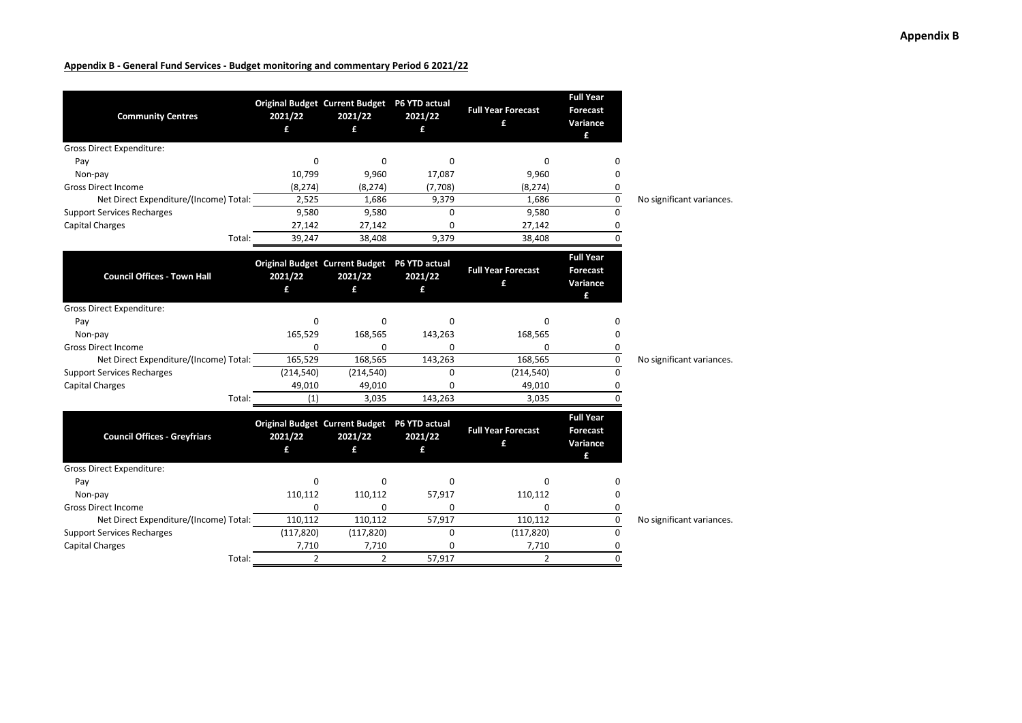| <b>Community Centres</b>               | 2021/22<br>£   | Original Budget Current Budget P6 YTD actual<br>2021/22<br>£ | 2021/22<br>£ | <b>Full Year Forecast</b><br>£ | <b>Full Year</b><br><b>Forecast</b><br>Variance<br>£ |                           |
|----------------------------------------|----------------|--------------------------------------------------------------|--------------|--------------------------------|------------------------------------------------------|---------------------------|
| <b>Gross Direct Expenditure:</b>       |                |                                                              |              |                                |                                                      |                           |
| Pay                                    | 0              | 0                                                            | 0            | 0                              | <sup>0</sup>                                         |                           |
| Non-pay                                | 10,799         | 9,960                                                        | 17,087       | 9,960                          | 0                                                    |                           |
| <b>Gross Direct Income</b>             | (8, 274)       | (8, 274)                                                     | (7,708)      | (8, 274)                       | 0                                                    |                           |
| Net Direct Expenditure/(Income) Total: | 2,525          | 1,686                                                        | 9,379        | 1.686                          | 0                                                    | No significant variances. |
| <b>Support Services Recharges</b>      | 9,580          | 9,580                                                        | $\Omega$     | 9,580                          | $\Omega$                                             |                           |
| <b>Capital Charges</b>                 | 27,142         | 27,142                                                       | 0            | 27,142                         | 0                                                    |                           |
| Total:                                 | 39,247         | 38,408                                                       | 9,379        | 38,408                         | $\Omega$                                             |                           |
| <b>Council Offices - Town Hall</b>     | 2021/22<br>£   | Original Budget Current Budget P6 YTD actual<br>2021/22<br>£ | 2021/22<br>£ | <b>Full Year Forecast</b><br>£ | <b>Full Year</b><br><b>Forecast</b><br>Variance<br>£ |                           |
| <b>Gross Direct Expenditure:</b>       |                |                                                              |              |                                |                                                      |                           |
| Pay                                    | 0              | 0                                                            | 0            | 0                              | $\Omega$                                             |                           |
| Non-pay                                | 165,529        | 168,565                                                      | 143,263      | 168,565                        | 0                                                    |                           |
| <b>Gross Direct Income</b>             | 0              | 0                                                            | 0            | 0                              | 0                                                    |                           |
| Net Direct Expenditure/(Income) Total: | 165,529        | 168,565                                                      | 143,263      | 168,565                        | 0                                                    | No significant variances. |
| <b>Support Services Recharges</b>      | (214, 540)     | (214, 540)                                                   | 0            | (214, 540)                     | $\Omega$                                             |                           |
| <b>Capital Charges</b>                 | 49,010         | 49,010                                                       | 0            | 49,010                         | 0                                                    |                           |
| Total:                                 | (1)            | 3,035                                                        | 143,263      | 3,035                          | <sup>n</sup>                                         |                           |
| <b>Council Offices - Greyfriars</b>    | 2021/22<br>£   | Original Budget Current Budget P6 YTD actual<br>2021/22<br>£ | 2021/22<br>f | <b>Full Year Forecast</b><br>£ | <b>Full Year</b><br><b>Forecast</b><br>Variance<br>£ |                           |
| <b>Gross Direct Expenditure:</b>       |                |                                                              |              |                                |                                                      |                           |
| Pay                                    | 0              | 0                                                            | 0            | <sup>0</sup>                   | O                                                    |                           |
| Non-pay                                | 110,112        | 110,112                                                      | 57,917       | 110,112                        | 0                                                    |                           |
| <b>Gross Direct Income</b>             | 0              | 0                                                            | 0            | $\Omega$                       | 0                                                    |                           |
| Net Direct Expenditure/(Income) Total: | 110,112        | 110,112                                                      | 57,917       | 110,112                        | 0                                                    | No significant variances. |
| <b>Support Services Recharges</b>      | (117, 820)     | (117, 820)                                                   | 0            | (117, 820)                     | $\Omega$                                             |                           |
| <b>Capital Charges</b>                 | 7,710          | 7,710                                                        | 0            | 7,710                          | 0                                                    |                           |
| Total:                                 | $\overline{2}$ | $\overline{2}$                                               | 57,917       | $\overline{2}$                 | $\Omega$                                             |                           |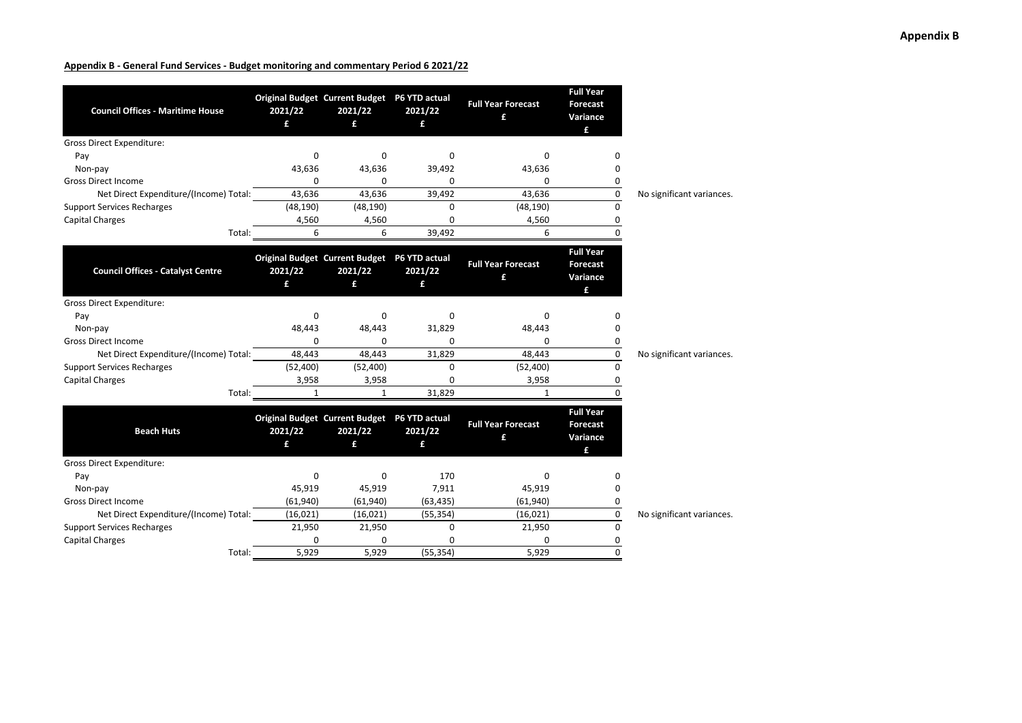| <b>Council Offices - Maritime House</b>  | 2021/22<br>£ | Original Budget Current Budget P6 YTD actual<br>2021/22<br>£ | 2021/22<br>£ | <b>Full Year Forecast</b><br>£ | <b>Full Year</b><br><b>Forecast</b><br>Variance<br>£ |                           |
|------------------------------------------|--------------|--------------------------------------------------------------|--------------|--------------------------------|------------------------------------------------------|---------------------------|
| <b>Gross Direct Expenditure:</b>         |              |                                                              |              |                                |                                                      |                           |
| Pay                                      | 0            | 0                                                            | $\Omega$     | 0                              | n                                                    |                           |
| Non-pay                                  | 43,636       | 43,636                                                       | 39,492       | 43,636                         | o                                                    |                           |
| <b>Gross Direct Income</b>               | 0            | 0                                                            | 0            | 0                              | 0                                                    |                           |
| Net Direct Expenditure/(Income) Total:   | 43,636       | 43,636                                                       | 39,492       | 43,636                         | 0                                                    | No significant variances. |
| <b>Support Services Recharges</b>        | (48, 190)    | (48, 190)                                                    | $\Omega$     | (48, 190)                      | $\Omega$                                             |                           |
| <b>Capital Charges</b>                   | 4,560        | 4,560                                                        | 0            | 4,560                          | 0                                                    |                           |
| Total:                                   | 6            | 6                                                            | 39,492       | 6                              | $\Omega$                                             |                           |
| <b>Council Offices - Catalyst Centre</b> | 2021/22<br>£ | Original Budget Current Budget P6 YTD actual<br>2021/22<br>£ | 2021/22<br>£ | <b>Full Year Forecast</b><br>£ | <b>Full Year</b><br><b>Forecast</b><br>Variance<br>£ |                           |
| Gross Direct Expenditure:                |              |                                                              |              |                                |                                                      |                           |
| Pay                                      | $\Omega$     | 0                                                            | $\Omega$     | 0                              | n                                                    |                           |
| Non-pay                                  | 48,443       | 48,443                                                       | 31,829       | 48,443                         | ი                                                    |                           |
| <b>Gross Direct Income</b>               | 0            | 0                                                            | 0            | 0                              | 0                                                    |                           |
| Net Direct Expenditure/(Income) Total:   | 48,443       | 48,443                                                       | 31,829       | 48,443                         | 0                                                    | No significant variances. |
| <b>Support Services Recharges</b>        | (52, 400)    | (52, 400)                                                    | 0            | (52, 400)                      | 0                                                    |                           |
| <b>Capital Charges</b>                   | 3,958        | 3,958                                                        | 0            | 3,958                          | 0                                                    |                           |
| Total:                                   | $\mathbf{1}$ | 1                                                            | 31,829       | 1                              | U                                                    |                           |
| <b>Beach Huts</b>                        | 2021/22<br>£ | Original Budget Current Budget P6 YTD actual<br>2021/22<br>£ | 2021/22<br>£ | <b>Full Year Forecast</b><br>£ | <b>Full Year</b><br><b>Forecast</b><br>Variance<br>£ |                           |
| <b>Gross Direct Expenditure:</b>         |              |                                                              |              |                                |                                                      |                           |
| Pay                                      | 0            | 0                                                            | 170          | 0                              | 0                                                    |                           |
| Non-pay                                  | 45,919       | 45,919                                                       | 7,911        | 45,919                         | 0                                                    |                           |
| <b>Gross Direct Income</b>               | (61, 940)    | (61, 940)                                                    | (63, 435)    | (61, 940)                      | 0                                                    |                           |
| Net Direct Expenditure/(Income) Total:   | (16, 021)    | (16, 021)                                                    | (55, 354)    | (16, 021)                      | 0                                                    | No significant variances  |
| <b>Support Services Recharges</b>        | 21,950       | 21,950                                                       | $\Omega$     | 21,950                         | $\Omega$                                             |                           |
| <b>Capital Charges</b>                   | $\Omega$     | 0                                                            | O            | <sup>0</sup>                   | 0                                                    |                           |
| Total:                                   | 5,929        | 5,929                                                        | (55, 354)    | 5,929                          | 0                                                    |                           |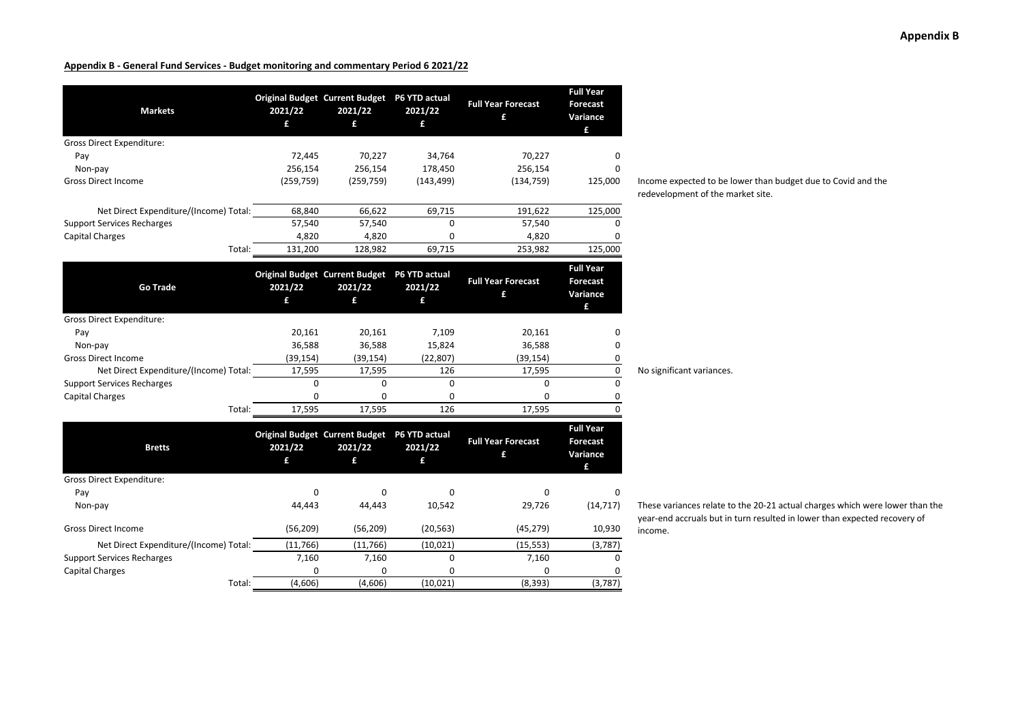| <b>Markets</b>                         | 2021/22<br>£ | <b>Original Budget Current Budget</b><br>2021/22<br>£ | P6 YTD actual<br>2021/22<br>£ | <b>Full Year Forecast</b><br>£ | <b>Full Year</b><br>Forecast<br>Variance<br>£        |
|----------------------------------------|--------------|-------------------------------------------------------|-------------------------------|--------------------------------|------------------------------------------------------|
| Gross Direct Expenditure:              |              |                                                       |                               |                                |                                                      |
| Pay                                    | 72,445       | 70,227                                                | 34,764                        | 70,227                         | 0                                                    |
| Non-pay                                | 256,154      | 256,154                                               | 178,450                       | 256,154                        | <sup>0</sup>                                         |
| <b>Gross Direct Income</b>             | (259, 759)   | (259, 759)                                            | (143, 499)                    | (134, 759)                     | 125,000                                              |
| Net Direct Expenditure/(Income) Total: | 68,840       | 66,622                                                | 69,715                        | 191,622                        | 125,000                                              |
| <b>Support Services Recharges</b>      | 57,540       | 57,540                                                | $\Omega$                      | 57,540                         |                                                      |
| <b>Capital Charges</b>                 | 4,820        | 4,820                                                 | 0                             | 4,820                          | 0                                                    |
| Total:                                 | 131,200      | 128,982                                               | 69,715                        | 253,982                        | 125,000                                              |
| <b>Go Trade</b>                        | 2021/22      | <b>Original Budget Current Budget</b><br>2021/22      | P6 YTD actual<br>2021/22      | <b>Full Year Forecast</b><br>£ | <b>Full Year</b><br>Forecast<br>Variance             |
|                                        | £            | £                                                     | £                             |                                | £                                                    |
| <b>Gross Direct Expenditure:</b>       |              |                                                       |                               |                                |                                                      |
| Pay                                    | 20,161       | 20,161                                                | 7,109                         | 20,161                         | 0                                                    |
| Non-pay                                | 36,588       | 36,588                                                | 15,824                        | 36,588                         | 0                                                    |
| <b>Gross Direct Income</b>             | (39, 154)    | (39, 154)                                             | (22, 807)                     | (39, 154)                      | 0                                                    |
| Net Direct Expenditure/(Income) Total: | 17,595       | 17,595                                                | 126                           | 17,595                         | 0                                                    |
| <b>Support Services Recharges</b>      | 0            | 0                                                     | $\Omega$                      | 0                              | $\Omega$                                             |
| <b>Capital Charges</b>                 | 0            | 0                                                     | 0                             | 0                              | 0                                                    |
| Total:                                 | 17,595       | 17,595                                                | 126                           | 17,595                         | 0                                                    |
| <b>Bretts</b>                          | 2021/22<br>£ | <b>Original Budget Current Budget</b><br>2021/22<br>£ | P6 YTD actual<br>2021/22<br>£ | <b>Full Year Forecast</b><br>£ | <b>Full Year</b><br><b>Forecast</b><br>Variance<br>£ |
| <b>Gross Direct Expenditure:</b>       |              |                                                       |                               |                                |                                                      |
| Pay                                    | 0            | 0                                                     | <sup>0</sup>                  | 0                              | <sup>0</sup>                                         |
| Non-pay                                | 44,443       | 44,443                                                | 10,542                        | 29,726                         | (14, 717)                                            |
| <b>Gross Direct Income</b>             | (56, 209)    | (56, 209)                                             | (20, 563)                     | (45, 279)                      | 10,930                                               |
| Net Direct Expenditure/(Income) Total: | (11, 766)    | (11,766)                                              | (10, 021)                     | (15, 553)                      | (3,787)                                              |
| <b>Support Services Recharges</b>      | 7,160        | 7,160                                                 | 0                             | 7,160                          | $\Omega$                                             |
| <b>Capital Charges</b>                 | O            | O                                                     | o                             | O                              |                                                      |
| Total:                                 | (4,606)      | (4,606)                                               | (10, 021)                     | (8, 393)                       | (3,787)                                              |

Income expected to be lower than budget due to Covid and the redevelopment of the market site.

No significant variances.

income.

These variances relate to the 20‐21 actual charges which were lower than the year‐end accruals but in turn resulted in lower than expected recovery of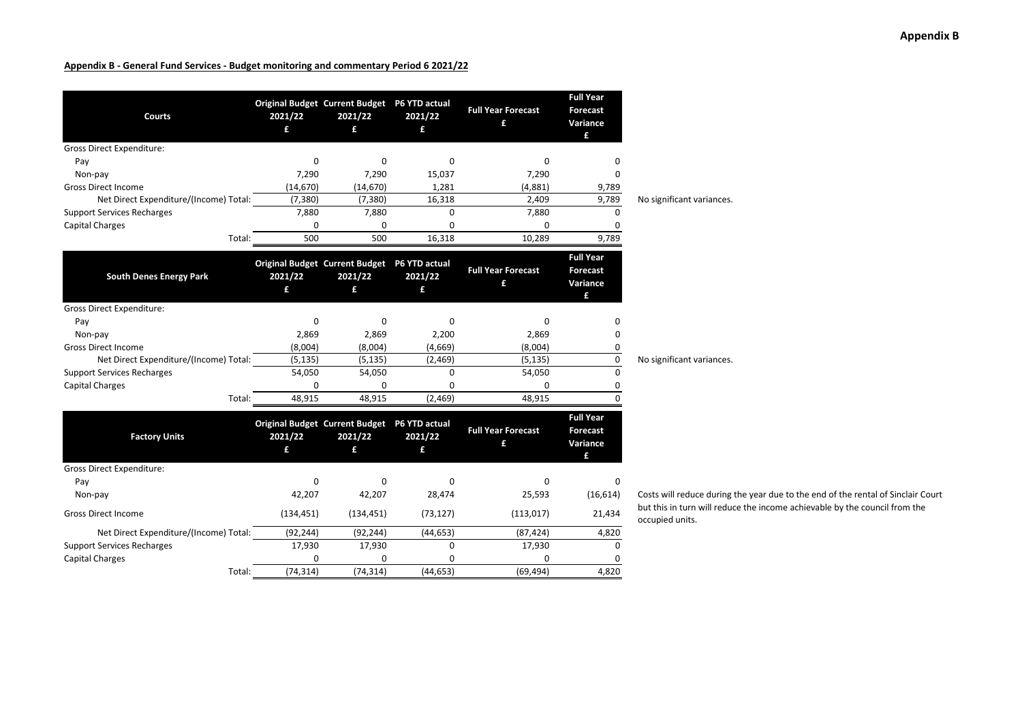| <b>Courts</b>                          | 2021/22<br>£ | Original Budget Current Budget P6 YTD actual<br>2021/22<br>£ | 2021/22<br>£ | <b>Full Year Forecast</b><br>£ | <b>Full Year</b><br><b>Forecast</b><br>Variance<br>£ |                                               |
|----------------------------------------|--------------|--------------------------------------------------------------|--------------|--------------------------------|------------------------------------------------------|-----------------------------------------------|
| <b>Gross Direct Expenditure:</b>       |              |                                                              |              |                                |                                                      |                                               |
| Pay                                    | 0            | 0                                                            | 0            | 0                              | O                                                    |                                               |
| Non-pay                                | 7,290        | 7,290                                                        | 15,037       | 7,290                          | 0                                                    |                                               |
| <b>Gross Direct Income</b>             | (14, 670)    | (14, 670)                                                    | 1,281        | (4,881)                        | 9,789                                                |                                               |
| Net Direct Expenditure/(Income) Total: | (7, 380)     | (7, 380)                                                     | 16,318       | 2,409                          | 9,789                                                | No significant variances.                     |
| <b>Support Services Recharges</b>      | 7,880        | 7,880                                                        | $\Omega$     | 7,880                          | $\Omega$                                             |                                               |
| <b>Capital Charges</b>                 | $\Omega$     | 0                                                            | 0            | $\Omega$                       | 0                                                    |                                               |
| Total:                                 | 500          | 500                                                          | 16,318       | 10,289                         | 9,789                                                |                                               |
| <b>South Denes Energy Park</b>         | 2021/22<br>£ | Original Budget Current Budget P6 YTD actual<br>2021/22<br>£ | 2021/22<br>£ | <b>Full Year Forecast</b><br>£ | <b>Full Year</b><br>Forecast<br>Variance<br>£        |                                               |
| <b>Gross Direct Expenditure:</b>       |              |                                                              |              |                                |                                                      |                                               |
| Pay                                    | $\Omega$     | 0                                                            | $\Omega$     | $\Omega$                       | 0                                                    |                                               |
| Non-pay                                | 2,869        | 2,869                                                        | 2,200        | 2,869                          | 0                                                    |                                               |
| <b>Gross Direct Income</b>             | (8,004)      | (8,004)                                                      | (4,669)      | (8,004)                        | 0                                                    |                                               |
| Net Direct Expenditure/(Income) Total: | (5, 135)     | (5, 135)                                                     | (2,469)      | (5, 135)                       | 0                                                    | No significant variances.                     |
| <b>Support Services Recharges</b>      | 54,050       | 54,050                                                       | $\Omega$     | 54,050                         | $\Omega$                                             |                                               |
| <b>Capital Charges</b>                 | $\Omega$     | 0                                                            | $\Omega$     | 0                              | 0                                                    |                                               |
| Total:                                 | 48,915       | 48,915                                                       | (2,469)      | 48,915                         | $\Omega$                                             |                                               |
| <b>Factory Units</b>                   | 2021/22<br>£ | Original Budget Current Budget P6 YTD actual<br>2021/22<br>£ | 2021/22<br>£ | <b>Full Year Forecast</b><br>£ | <b>Full Year</b><br><b>Forecast</b><br>Variance<br>£ |                                               |
| <b>Gross Direct Expenditure:</b>       |              |                                                              |              |                                |                                                      |                                               |
| Pay<br>Non-pay                         | 0<br>42,207  | 0<br>42,207                                                  | 0<br>28,474  | 0<br>25,593                    | 0<br>(16, 614)                                       | Costs will reduce during                      |
| <b>Gross Direct Income</b>             | (134, 451)   | (134, 451)                                                   | (73, 127)    | (113, 017)                     | 21,434                                               | but this in turn will redu<br>occupied units. |
| Net Direct Expenditure/(Income) Total: | (92, 244)    | (92, 244)                                                    | (44, 653)    | (87, 424)                      | 4,820                                                |                                               |
| <b>Support Services Recharges</b>      | 17,930       | 17,930                                                       | 0            | 17,930                         | 0                                                    |                                               |
| <b>Capital Charges</b>                 | 0            | 0                                                            | 0            | 0                              | O                                                    |                                               |
| Total:                                 | (74, 314)    | (74, 314)                                                    | (44, 653)    | (69, 494)                      | 4.820                                                |                                               |

uring the year due to the end of the rental of Sinclair Court reduce the income achievable by the council from the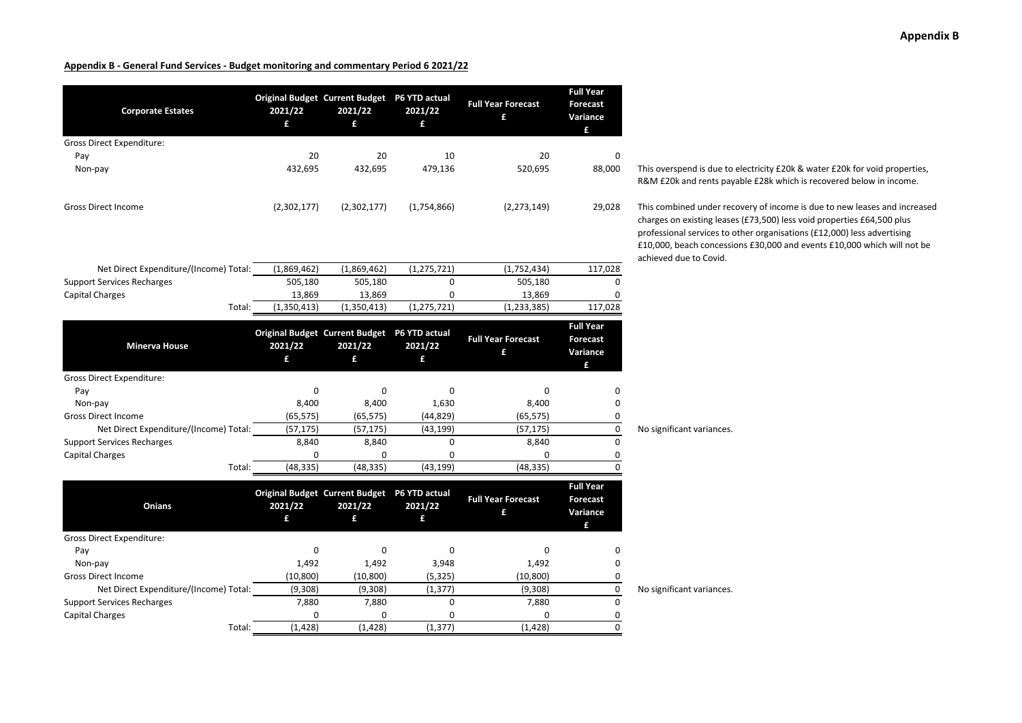| <b>Corporate Estates</b>               | 2021/22<br>£ | Original Budget Current Budget P6 YTD actual<br>2021/22<br>£ | 2021/22<br>£  | <b>Full Year Forecast</b><br>£ | <b>Full Year</b><br><b>Forecast</b><br>Variance<br>£ |                                                                                                                                       |
|----------------------------------------|--------------|--------------------------------------------------------------|---------------|--------------------------------|------------------------------------------------------|---------------------------------------------------------------------------------------------------------------------------------------|
| <b>Gross Direct Expenditure:</b>       |              |                                                              |               |                                |                                                      |                                                                                                                                       |
| Pay                                    | 20           | 20                                                           | 10            | 20                             | 0                                                    |                                                                                                                                       |
| Non-pay                                | 432,695      | 432,695                                                      | 479,136       | 520,695                        | 88,000                                               | This overspend is due to<br>R&M £20k and rents pay                                                                                    |
| <b>Gross Direct Income</b>             | (2,302,177)  | (2,302,177)                                                  | (1,754,866)   | (2, 273, 149)                  | 29,028                                               | This combined under red<br>charges on existing lease<br>professional services to<br>£10,000, beach concessi<br>achieved due to Covid. |
| Net Direct Expenditure/(Income) Total: | (1,869,462)  | (1,869,462)                                                  | (1, 275, 721) | (1,752,434)                    | 117,028                                              |                                                                                                                                       |
| <b>Support Services Recharges</b>      | 505,180      | 505,180                                                      | $\mathbf 0$   | 505,180                        | $\Omega$                                             |                                                                                                                                       |
| <b>Capital Charges</b>                 | 13,869       | 13,869                                                       | 0             | 13,869                         | 0                                                    |                                                                                                                                       |
| Total:                                 | (1,350,413)  | (1,350,413)                                                  | (1, 275, 721) | (1, 233, 385)                  | 117,028                                              |                                                                                                                                       |
| <b>Minerva House</b>                   | 2021/22<br>£ | Original Budget Current Budget P6 YTD actual<br>2021/22<br>£ | 2021/22<br>£  | <b>Full Year Forecast</b><br>£ | <b>Full Year</b><br><b>Forecast</b><br>Variance<br>£ |                                                                                                                                       |
| <b>Gross Direct Expenditure:</b>       |              |                                                              |               |                                |                                                      |                                                                                                                                       |
| Pay                                    | 0            | 0                                                            | 0             | 0                              | 0                                                    |                                                                                                                                       |
| Non-pay                                | 8,400        | 8,400                                                        | 1,630         | 8,400                          | 0                                                    |                                                                                                                                       |
| <b>Gross Direct Income</b>             | (65, 575)    | (65, 575)                                                    | (44, 829)     | (65, 575)                      | 0                                                    |                                                                                                                                       |
| Net Direct Expenditure/(Income) Total: | (57, 175)    | (57, 175)                                                    | (43, 199)     | (57, 175)                      | $\pmb{0}$                                            | No significant variances.                                                                                                             |
| <b>Support Services Recharges</b>      | 8,840        | 8,840                                                        | 0             | 8,840                          | $\mathbf 0$                                          |                                                                                                                                       |
| <b>Capital Charges</b>                 | $\mathbf 0$  | $\mathbf 0$                                                  | $\mathbf 0$   | 0                              | 0                                                    |                                                                                                                                       |
| Total:                                 | (48, 335)    | (48, 335)                                                    | (43, 199)     | (48, 335)                      | 0                                                    |                                                                                                                                       |
| Onians                                 | 2021/22<br>£ | Original Budget Current Budget P6 YTD actual<br>2021/22<br>£ | 2021/22<br>£  | <b>Full Year Forecast</b><br>£ | <b>Full Year</b><br>Forecast<br>Variance<br>£        |                                                                                                                                       |
| Gross Direct Expenditure:              |              |                                                              |               |                                |                                                      |                                                                                                                                       |
| Pay                                    | $\mathbf 0$  | $\mathbf 0$                                                  | $\mathbf 0$   | 0                              | 0                                                    |                                                                                                                                       |
| Non-pay                                | 1,492        | 1,492                                                        | 3,948         | 1,492                          | 0                                                    |                                                                                                                                       |
| <b>Gross Direct Income</b>             | (10, 800)    | (10, 800)                                                    | (5, 325)      | (10, 800)                      | 0                                                    |                                                                                                                                       |
| Net Direct Expenditure/(Income) Total: | (9,308)      | (9,308)                                                      | (1, 377)      | (9,308)                        | $\pmb{0}$                                            | No significant variances.                                                                                                             |
| <b>Support Services Recharges</b>      | 7,880        | 7,880                                                        | $\Omega$      | 7,880                          | $\mathbf 0$                                          |                                                                                                                                       |
| Capital Charges                        | $\mathbf 0$  | 0                                                            | 0             | $\Omega$                       | 0                                                    |                                                                                                                                       |
| Total:                                 | (1.428)      | (1.428)                                                      | (1.377)       | (1.428)                        | $\Omega$                                             |                                                                                                                                       |

is overspend is due to electricity £20k & water £20k for void properties, R&M £20k and rents payable £28k which is recovered below in income.

is combined under recovery of income is due to new leases and increased arges on existing leases (£73,500) less void properties £64,500 plus pfessional services to other organisations (£12,000) less advertising £10,000, beach concessions £30,000 and events £10,000 which will not be achieved due to Covid.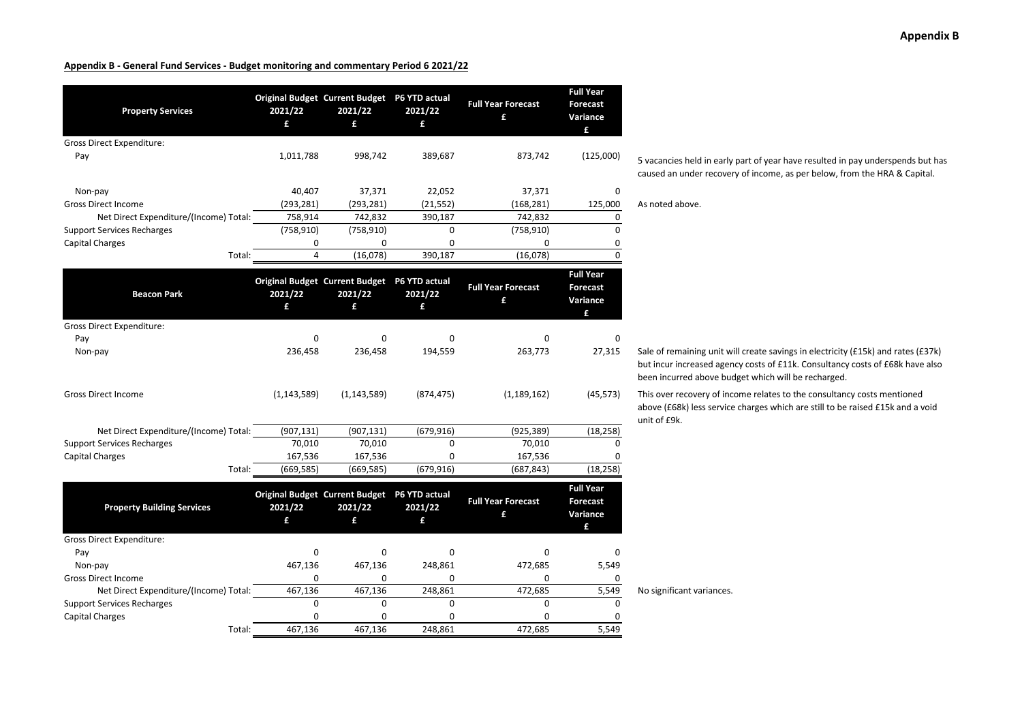| <b>Property Services</b>               | 2021/22<br>£   | Original Budget Current Budget P6 YTD actual<br>2021/22<br>£ | 2021/22<br>£ | <b>Full Year Forecast</b><br>£ | <b>Full Year</b><br><b>Forecast</b><br>Variance<br>£ |                                                                                |
|----------------------------------------|----------------|--------------------------------------------------------------|--------------|--------------------------------|------------------------------------------------------|--------------------------------------------------------------------------------|
| <b>Gross Direct Expenditure:</b>       |                |                                                              |              |                                |                                                      |                                                                                |
| Pay                                    | 1,011,788      | 998,742                                                      | 389,687      | 873,742                        | (125,000)                                            | 5 vacancies held in early<br>caused an under recover                           |
| Non-pay                                | 40,407         | 37,371                                                       | 22,052       | 37,371                         | 0                                                    |                                                                                |
| <b>Gross Direct Income</b>             | (293, 281)     | (293, 281)                                                   | (21, 552)    | (168, 281)                     | 125,000                                              | As noted above.                                                                |
| Net Direct Expenditure/(Income) Total: | 758,914        | 742,832                                                      | 390,187      | 742,832                        | 0                                                    |                                                                                |
| <b>Support Services Recharges</b>      | (758, 910)     | (758, 910)                                                   | 0            | (758, 910)                     | 0                                                    |                                                                                |
| <b>Capital Charges</b>                 | 0              | 0                                                            | 0            | 0                              | 0                                                    |                                                                                |
| Total:                                 | $\overline{4}$ | (16,078)                                                     | 390,187      | (16,078)                       | $\Omega$                                             |                                                                                |
| <b>Beacon Park</b>                     | 2021/22<br>£   | Original Budget Current Budget P6 YTD actual<br>2021/22<br>£ | 2021/22<br>£ | <b>Full Year Forecast</b><br>£ | <b>Full Year</b><br><b>Forecast</b><br>Variance      |                                                                                |
|                                        |                |                                                              |              |                                | £                                                    |                                                                                |
| <b>Gross Direct Expenditure:</b>       |                |                                                              |              |                                |                                                      |                                                                                |
| Pay                                    | 0              | $\mathbf 0$                                                  | 0            | 0                              | 0                                                    |                                                                                |
| Non-pay                                | 236,458        | 236,458                                                      | 194,559      | 263,773                        | 27,315                                               | Sale of remaining unit w<br>but incur increased ager<br>been incurred above bu |
| <b>Gross Direct Income</b>             | (1, 143, 589)  | (1, 143, 589)                                                | (874, 475)   | (1, 189, 162)                  | (45, 573)                                            | This over recovery of inc<br>above (£68k) less service<br>unit of £9k.         |
| Net Direct Expenditure/(Income) Total: | (907, 131)     | (907, 131)                                                   | (679, 916)   | (925, 389)                     | (18, 258)                                            |                                                                                |
| <b>Support Services Recharges</b>      | 70,010         | 70,010                                                       | $\mathbf 0$  | 70,010                         | $\Omega$                                             |                                                                                |
| <b>Capital Charges</b>                 | 167,536        | 167,536                                                      | 0            | 167,536                        | 0                                                    |                                                                                |
| Total:                                 | (669, 585)     | (669, 585)                                                   | (679, 916)   | (687, 843)                     | (18, 258)                                            |                                                                                |
| <b>Property Building Services</b>      | 2021/22<br>£   | Original Budget Current Budget P6 YTD actual<br>2021/22<br>£ | 2021/22<br>£ | <b>Full Year Forecast</b><br>£ | <b>Full Year</b><br><b>Forecast</b><br>Variance<br>£ |                                                                                |
| Gross Direct Expenditure:              |                |                                                              |              |                                |                                                      |                                                                                |
| Pay                                    | $\mathbf 0$    | 0                                                            | $\mathbf 0$  | 0                              | 0                                                    |                                                                                |
| Non-pay                                | 467,136        | 467,136                                                      | 248,861      | 472,685                        | 5,549                                                |                                                                                |
| <b>Gross Direct Income</b>             | 0              | 0                                                            | 0            | 0                              | 0                                                    |                                                                                |
| Net Direct Expenditure/(Income) Total: | 467,136        | 467,136                                                      | 248,861      | 472,685                        | 5,549                                                | No significant variances.                                                      |
| <b>Support Services Recharges</b>      | $\Omega$       | $\Omega$                                                     | 0            | $\Omega$                       | $\Omega$                                             |                                                                                |
| <b>Capital Charges</b>                 | 0              | 0                                                            | 0            | 0                              | 0                                                    |                                                                                |
| Total:                                 | 467.136        | 467.136                                                      | 248.861      | 472.685                        | 5.549                                                |                                                                                |

5 vacancies held in early part of year have resulted in pay underspends but has caused an under recovery of income, as per below, from the HRA & Capital.

Sale of remaining unit will create savings in electricity (£15k) and rates (£37k) but incur increased agency costs of £11k. Consultancy costs of £68k have also been incurred above budget which will be recharged.

This over recovery of income relates to the consultancy costs mentioned above (£68k) less service charges which are still to be raised £15k and <sup>a</sup> void unit of £9k.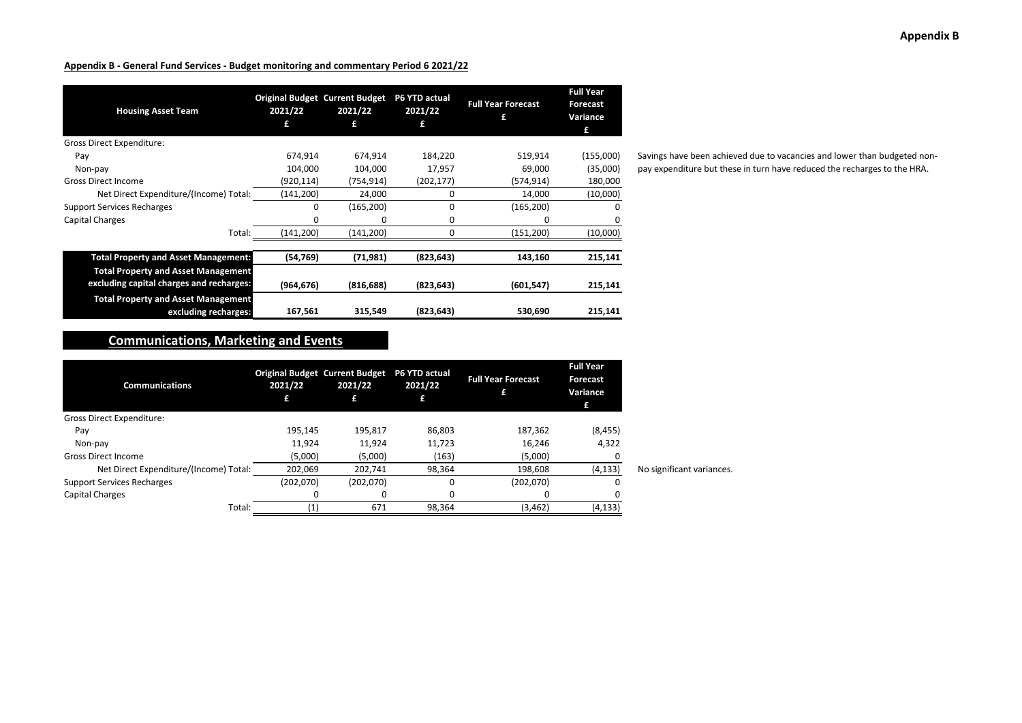| <b>Housing Asset Team</b>                                                              | 2021/22    | <b>Original Budget Current Budget</b><br>2021/22<br>£ | P6 YTD actual<br>2021/22<br>£ | <b>Full Year Forecast</b><br>£ | <b>Full Year</b><br><b>Forecast</b><br>Variance<br>£ |
|----------------------------------------------------------------------------------------|------------|-------------------------------------------------------|-------------------------------|--------------------------------|------------------------------------------------------|
| Gross Direct Expenditure:                                                              |            |                                                       |                               |                                |                                                      |
| Pay                                                                                    | 674,914    | 674,914                                               | 184,220                       | 519,914                        | (155,000)                                            |
| Non-pay                                                                                | 104,000    | 104,000                                               | 17,957                        | 69,000                         | (35,000)                                             |
| <b>Gross Direct Income</b>                                                             | (920,114)  | (754,914)                                             | (202, 177)                    | (574,914)                      | 180,000                                              |
| Net Direct Expenditure/(Income) Total:                                                 | (141,200)  | 24,000                                                | 0                             | 14,000                         | (10,000)                                             |
| <b>Support Services Recharges</b>                                                      | 0          | (165, 200)                                            | 0                             | (165, 200)                     | 0                                                    |
| Capital Charges                                                                        | 0          | 0                                                     | 0                             |                                | 0                                                    |
| Total:                                                                                 | (141,200)  | (141,200)                                             | 0                             | (151,200)                      | (10,000)                                             |
| <b>Total Property and Asset Management:</b>                                            | (54, 769)  | (71, 981)                                             | (823, 643)                    | 143,160                        | 215,141                                              |
| <b>Total Property and Asset Management</b><br>excluding capital charges and recharges: | (964, 676) | (816, 688)                                            | (823, 643)                    | (601, 547)                     | 215,141                                              |
| <b>Total Property and Asset Management</b><br>excluding recharges:                     | 167,561    | 315,549                                               | (823, 643)                    | 530,690                        | 215,141                                              |

Savings have been achieved due to vacancies and lower than budgeted non‐ pay expenditure but these in turn have reduced the recharges to the HRA.

## **Communications, Marketing and Events**

| <b>Communications</b>                  | <b>Original Budget Current Budget</b><br>2021/22 | 2021/22   | <b>P6 YTD actual</b><br>2021/22 | <b>Full Year Forecast</b> | <b>Full Year</b><br>Forecast<br>Variance<br>£ |                           |
|----------------------------------------|--------------------------------------------------|-----------|---------------------------------|---------------------------|-----------------------------------------------|---------------------------|
| Gross Direct Expenditure:              |                                                  |           |                                 |                           |                                               |                           |
| Pay                                    | 195,145                                          | 195,817   | 86,803                          | 187,362                   | (8, 455)                                      |                           |
| Non-pay                                | 11,924                                           | 11,924    | 11,723                          | 16.246                    | 4,322                                         |                           |
| <b>Gross Direct Income</b>             | (5,000)                                          | (5,000)   | (163)                           | (5,000)                   |                                               |                           |
| Net Direct Expenditure/(Income) Total: | 202,069                                          | 202,741   | 98,364                          | 198,608                   | (4, 133)                                      | No significant variances. |
| <b>Support Services Recharges</b>      | (202,070)                                        | (202,070) | 0                               | (202,070)                 | 0                                             |                           |
| Capital Charges                        |                                                  |           | 0                               |                           |                                               |                           |
| Total:                                 | $\left( 1\right)$                                | 671       | 98.364                          | (3, 462)                  | (4, 133)                                      |                           |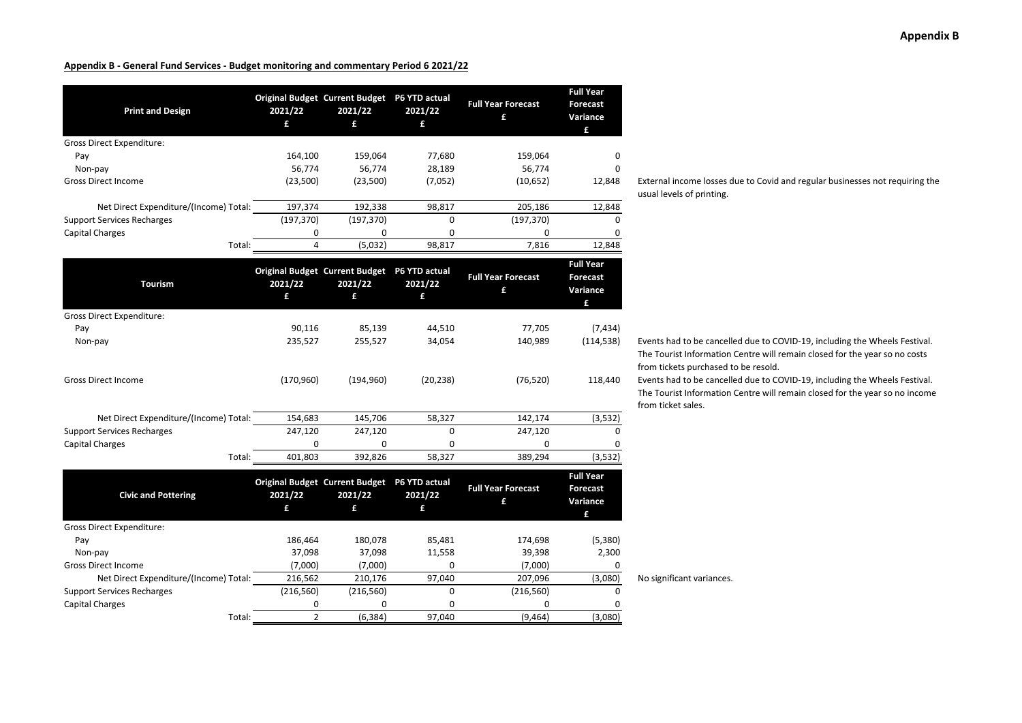| <b>Print and Design</b>                | 2021/22<br>£   | Original Budget Current Budget P6 YTD actual<br>2021/22<br>£ | 2021/22<br>£ | <b>Full Year Forecast</b><br>£ | <b>Full Year</b><br><b>Forecast</b><br>Variance<br>£ |                                                                                 |
|----------------------------------------|----------------|--------------------------------------------------------------|--------------|--------------------------------|------------------------------------------------------|---------------------------------------------------------------------------------|
| Gross Direct Expenditure:              |                |                                                              |              |                                |                                                      |                                                                                 |
| Pay                                    | 164,100        | 159,064                                                      | 77,680       | 159,064                        | 0                                                    |                                                                                 |
| Non-pay                                | 56,774         | 56,774                                                       | 28,189       | 56,774                         | 0                                                    |                                                                                 |
| <b>Gross Direct Income</b>             | (23,500)       | (23,500)                                                     | (7,052)      | (10, 652)                      | 12,848                                               | External income losses d<br>usual levels of printing.                           |
| Net Direct Expenditure/(Income) Total: | 197,374        | 192,338                                                      | 98,817       | 205,186                        | 12,848                                               |                                                                                 |
| <b>Support Services Recharges</b>      | (197, 370)     | (197, 370)                                                   | 0            | (197, 370)                     | 0                                                    |                                                                                 |
| Capital Charges                        | 0              | 0                                                            | 0            | 0                              | 0                                                    |                                                                                 |
| Total:                                 | $\overline{4}$ | (5,032)                                                      | 98,817       | 7,816                          | 12,848                                               |                                                                                 |
| <b>Tourism</b>                         | 2021/22<br>£   | Original Budget Current Budget P6 YTD actual<br>2021/22<br>£ | 2021/22<br>£ | <b>Full Year Forecast</b><br>£ | <b>Full Year</b><br><b>Forecast</b><br>Variance<br>£ |                                                                                 |
| Gross Direct Expenditure:              |                |                                                              |              |                                |                                                      |                                                                                 |
| Pay                                    | 90,116         | 85,139                                                       | 44,510       | 77,705                         | (7, 434)                                             |                                                                                 |
| Non-pay                                | 235,527        | 255,527                                                      | 34,054       | 140,989                        | (114, 538)                                           | Events had to be cancell<br>The Tourist Information<br>from tickets purchased t |
| <b>Gross Direct Income</b>             | (170,960)      | (194, 960)                                                   | (20, 238)    | (76, 520)                      | 118,440                                              | Events had to be cancell<br>The Tourist Information<br>from ticket sales.       |
| Net Direct Expenditure/(Income) Total: | 154,683        | 145,706                                                      | 58,327       | 142,174                        | (3,532)                                              |                                                                                 |
| <b>Support Services Recharges</b>      | 247,120        | 247,120                                                      | 0            | 247,120                        | 0                                                    |                                                                                 |
| Capital Charges                        | $\mathbf 0$    | 0                                                            | 0            | 0                              |                                                      |                                                                                 |
| Total:                                 | 401,803        | 392,826                                                      | 58,327       | 389,294                        | (3,532)                                              |                                                                                 |
| <b>Civic and Pottering</b>             | 2021/22<br>£   | Original Budget Current Budget P6 YTD actual<br>2021/22<br>£ | 2021/22<br>£ | <b>Full Year Forecast</b><br>£ | <b>Full Year</b><br><b>Forecast</b><br>Variance<br>£ |                                                                                 |
| Gross Direct Expenditure:              |                |                                                              |              |                                |                                                      |                                                                                 |
| Pay                                    | 186,464        | 180,078                                                      | 85,481       | 174,698                        | (5,380)                                              |                                                                                 |
| Non-pay                                | 37,098         | 37,098                                                       | 11,558       | 39,398                         | 2,300                                                |                                                                                 |
| <b>Gross Direct Income</b>             | (7,000)        | (7,000)                                                      | 0            | (7,000)                        | 0                                                    |                                                                                 |
| Net Direct Expenditure/(Income) Total: | 216,562        | 210,176                                                      | 97,040       | 207,096                        | (3,080)                                              | No significant variances.                                                       |
| <b>Support Services Recharges</b>      | (216, 560)     | (216, 560)                                                   | 0            | (216, 560)                     | 0                                                    |                                                                                 |
| Capital Charges                        | 0              | 0                                                            | 0            | 0                              | 0                                                    |                                                                                 |
| Total:                                 | $\overline{2}$ | (6, 384)                                                     | 97,040       | (9, 464)                       | (3,080)                                              |                                                                                 |

External income losses due to Covid and regular businesses not requiring the usual levels of printing.

Events had to be cancelled due to COVID-19, including the Wheels Festival. The Tourist Information Centre will remain closed for the year so no costs from tickets purchased to be resold.

Events had to be cancelled due to COVID-19, including the Wheels Festival. The Tourist Information Centre will remain closed for the year so no income from ticket sales.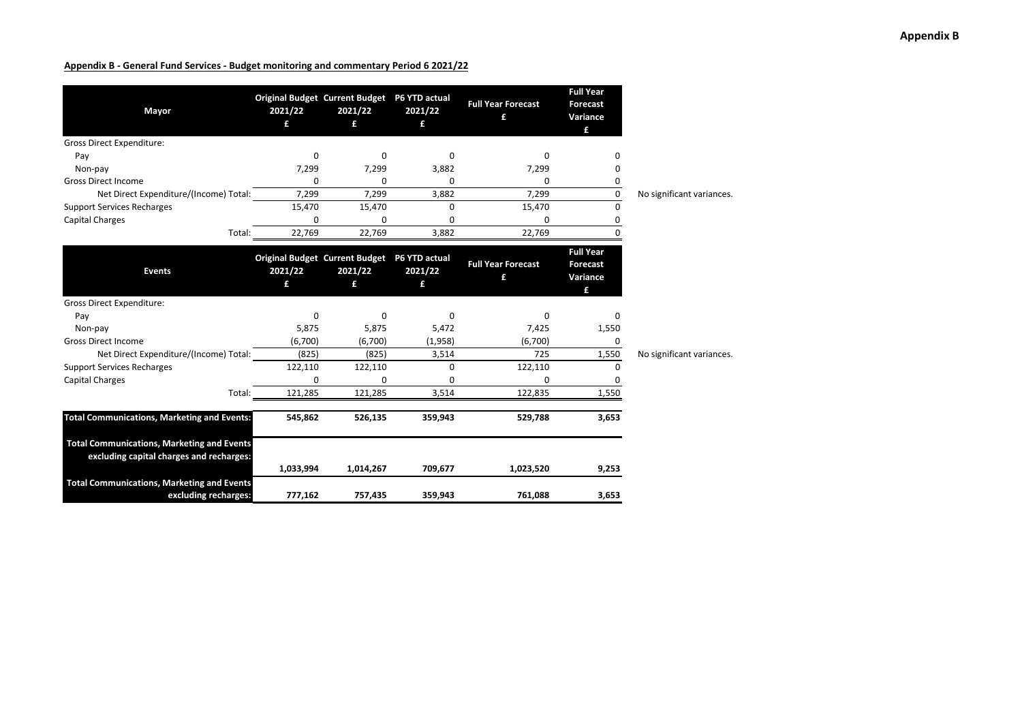| Mayor                                                                                         | 2021/22<br>£ | Original Budget Current Budget P6 YTD actual<br>2021/22<br>£ | 2021/22<br>£ | <b>Full Year Forecast</b><br>£ | <b>Full Year</b><br><b>Forecast</b><br>Variance |                           |
|-----------------------------------------------------------------------------------------------|--------------|--------------------------------------------------------------|--------------|--------------------------------|-------------------------------------------------|---------------------------|
| <b>Gross Direct Expenditure:</b>                                                              |              |                                                              |              |                                | £                                               |                           |
| Pay                                                                                           | 0            | 0                                                            | 0            | 0                              | ŋ                                               |                           |
| Non-pay                                                                                       | 7,299        | 7,299                                                        | 3,882        | 7,299                          | 0                                               |                           |
| <b>Gross Direct Income</b>                                                                    | 0            | 0                                                            | 0            | $\Omega$                       | 0                                               |                           |
| Net Direct Expenditure/(Income) Total:                                                        | 7,299        | 7,299                                                        | 3,882        | 7,299                          | 0                                               | No significant variances. |
| <b>Support Services Recharges</b>                                                             | 15,470       | 15,470                                                       | 0            | 15,470                         | 0                                               |                           |
| Capital Charges                                                                               | 0            | 0                                                            | 0            | 0                              | 0                                               |                           |
| Total:                                                                                        | 22,769       | 22,769                                                       | 3,882        | 22,769                         | ŋ                                               |                           |
| <b>Events</b>                                                                                 | 2021/22<br>£ | Original Budget Current Budget P6 YTD actual<br>2021/22<br>£ | 2021/22<br>£ | <b>Full Year Forecast</b><br>£ | <b>Full Year</b><br>Forecast<br>Variance        |                           |
| <b>Gross Direct Expenditure:</b>                                                              |              |                                                              |              |                                | £                                               |                           |
| Pay                                                                                           | 0            | $\Omega$                                                     | $\mathbf 0$  | 0                              | 0                                               |                           |
| Non-pay                                                                                       | 5,875        | 5,875                                                        | 5,472        | 7,425                          | 1,550                                           |                           |
| <b>Gross Direct Income</b>                                                                    | (6,700)      | (6,700)                                                      | (1,958)      | (6,700)                        | 0                                               |                           |
| Net Direct Expenditure/(Income) Total:                                                        | (825)        | (825)                                                        | 3,514        | 725                            | 1,550                                           | No significant variances. |
| <b>Support Services Recharges</b>                                                             | 122,110      | 122,110                                                      | 0            | 122,110                        | 0                                               |                           |
| <b>Capital Charges</b>                                                                        | 0            | ŋ                                                            | <sup>0</sup> | <sup>0</sup>                   | 0                                               |                           |
| Total:                                                                                        | 121,285      | 121,285                                                      | 3,514        | 122,835                        | 1,550                                           |                           |
| <b>Total Communications, Marketing and Events:</b>                                            | 545,862      | 526,135                                                      | 359,943      | 529,788                        | 3,653                                           |                           |
| <b>Total Communications, Marketing and Events</b><br>excluding capital charges and recharges: |              |                                                              |              |                                |                                                 |                           |
|                                                                                               | 1,033,994    | 1,014,267                                                    | 709,677      | 1,023,520                      | 9,253                                           |                           |
| <b>Total Communications, Marketing and Events</b><br>excluding recharges:                     | 777,162      | 757,435                                                      | 359,943      | 761,088                        | 3,653                                           |                           |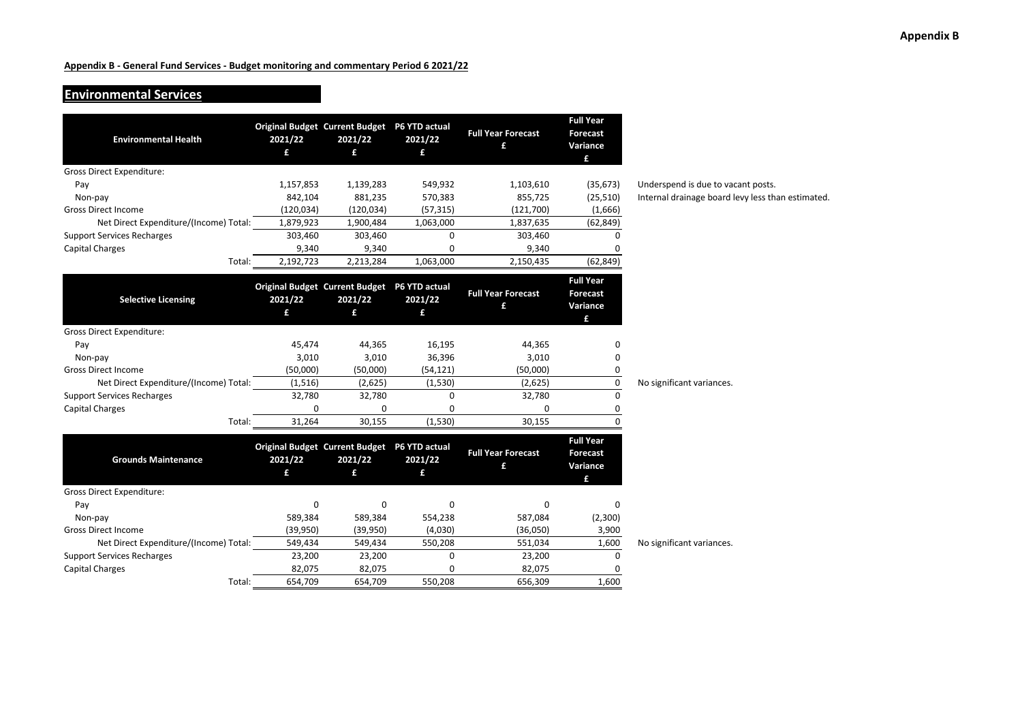#### **Environmental Services**

| <b>Environmental Health</b>            | Original Budget Current Budget P6 YTD actual<br>2021/22<br>£ | 2021/22<br>£ | 2021/22<br>£ | <b>Full Year Forecast</b><br>£ | <b>Full Year</b><br><b>Forecast</b><br>Variance<br>£ |                                                   |
|----------------------------------------|--------------------------------------------------------------|--------------|--------------|--------------------------------|------------------------------------------------------|---------------------------------------------------|
| <b>Gross Direct Expenditure:</b>       |                                                              |              |              |                                |                                                      |                                                   |
| Pay                                    | 1,157,853                                                    | 1,139,283    | 549,932      | 1,103,610                      | (35, 673)                                            | Underspend is due to vacant posts.                |
| Non-pay                                | 842,104                                                      | 881,235      | 570,383      | 855,725                        | (25, 510)                                            | Internal drainage board levy less than estimated. |
| <b>Gross Direct Income</b>             | (120, 034)                                                   | (120, 034)   | (57, 315)    | (121,700)                      | (1,666)                                              |                                                   |
| Net Direct Expenditure/(Income) Total: | 1,879,923                                                    | 1,900,484    | 1,063,000    | 1,837,635                      | (62, 849)                                            |                                                   |
| <b>Support Services Recharges</b>      | 303,460                                                      | 303,460      | $\Omega$     | 303,460                        | $\Omega$                                             |                                                   |
| Capital Charges                        | 9,340                                                        | 9,340        | 0            | 9,340                          |                                                      |                                                   |
| Total:                                 | 2,192,723                                                    | 2,213,284    | 1,063,000    | 2,150,435                      | (62, 849)                                            |                                                   |
| <b>Selective Licensing</b>             | Original Budget Current Budget P6 YTD actual<br>2021/22<br>£ | 2021/22<br>£ | 2021/22<br>£ | <b>Full Year Forecast</b><br>£ | <b>Full Year</b><br><b>Forecast</b><br>Variance<br>£ |                                                   |
| <b>Gross Direct Expenditure:</b>       |                                                              |              |              |                                |                                                      |                                                   |
| Pay                                    | 45,474                                                       | 44,365       | 16,195       | 44,365                         | 0                                                    |                                                   |
| Non-pay                                | 3,010                                                        | 3,010        | 36,396       | 3,010                          | 0                                                    |                                                   |
| <b>Gross Direct Income</b>             | (50,000)                                                     | (50,000)     | (54, 121)    | (50,000)                       | 0                                                    |                                                   |
| Net Direct Expenditure/(Income) Total: | (1, 516)                                                     | (2,625)      | (1,530)      | (2,625)                        | $\mathsf 0$                                          | No significant variances.                         |
| <b>Support Services Recharges</b>      | 32,780                                                       | 32,780       | 0            | 32,780                         | 0                                                    |                                                   |
| Capital Charges                        | $\Omega$                                                     | 0            | $\Omega$     | 0                              | 0                                                    |                                                   |
| Total:                                 | 31,264                                                       | 30,155       | (1,530)      | 30,155                         | $\Omega$                                             |                                                   |
| <b>Grounds Maintenance</b>             | Original Budget Current Budget P6 YTD actual<br>2021/22<br>£ | 2021/22<br>£ | 2021/22<br>£ | <b>Full Year Forecast</b><br>£ | <b>Full Year</b><br><b>Forecast</b><br>Variance<br>£ |                                                   |
| <b>Gross Direct Expenditure:</b>       |                                                              |              |              |                                |                                                      |                                                   |
| Pay                                    | $\Omega$                                                     | 0            | 0            | 0                              | 0                                                    |                                                   |
| Non-pay                                | 589,384                                                      | 589,384      | 554,238      | 587,084                        | (2,300)                                              |                                                   |
| <b>Gross Direct Income</b>             | (39, 950)                                                    | (39,950)     | (4,030)      | (36,050)                       | 3,900                                                |                                                   |
| Net Direct Expenditure/(Income) Total: | 549,434                                                      | 549,434      | 550,208      | 551,034                        | 1,600                                                | No significant variances.                         |
| <b>Support Services Recharges</b>      | 23,200                                                       | 23,200       | 0            | 23,200                         | 0                                                    |                                                   |
| Capital Charges                        | 82,075                                                       | 82,075       | 0            | 82,075                         | 0                                                    |                                                   |
| Total:                                 | 654,709                                                      | 654,709      | 550.208      | 656,309                        | 1,600                                                |                                                   |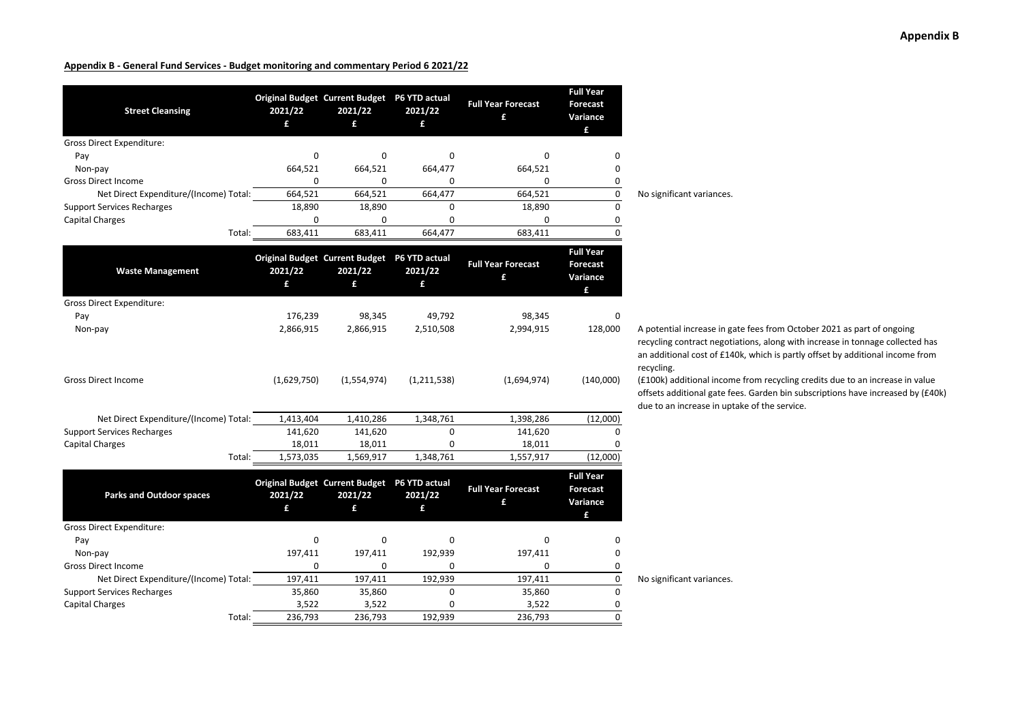| <b>Street Cleansing</b>                | 2021/22<br>£ | Original Budget Current Budget P6 YTD actual<br>2021/22<br>£ | 2021/22<br>£ | <b>Full Year Forecast</b><br>£ | <b>Full Year</b><br><b>Forecast</b><br>Variance<br>£ |                                                                                                  |
|----------------------------------------|--------------|--------------------------------------------------------------|--------------|--------------------------------|------------------------------------------------------|--------------------------------------------------------------------------------------------------|
| Gross Direct Expenditure:              |              |                                                              |              |                                |                                                      |                                                                                                  |
| Pay                                    | 0            | 0                                                            | 0            | 0                              | 0                                                    |                                                                                                  |
| Non-pay                                | 664,521      | 664,521                                                      | 664,477      | 664,521                        | 0                                                    |                                                                                                  |
| <b>Gross Direct Income</b>             | $\mathbf 0$  | 0                                                            | 0            | 0                              | 0                                                    |                                                                                                  |
| Net Direct Expenditure/(Income) Total: | 664,521      | 664,521                                                      | 664,477      | 664,521                        | 0                                                    | No significant variances.                                                                        |
| <b>Support Services Recharges</b>      | 18,890       | 18,890                                                       | $\Omega$     | 18,890                         | $\mathbf 0$                                          |                                                                                                  |
| <b>Capital Charges</b>                 | $\mathbf 0$  | 0                                                            | 0            | 0                              | 0                                                    |                                                                                                  |
| Total:                                 | 683,411      | 683,411                                                      | 664,477      | 683,411                        | $\Omega$                                             |                                                                                                  |
| <b>Waste Management</b>                | 2021/22<br>£ | Original Budget Current Budget P6 YTD actual<br>2021/22<br>£ | 2021/22<br>£ | <b>Full Year Forecast</b><br>£ | <b>Full Year</b><br><b>Forecast</b><br>Variance<br>£ |                                                                                                  |
| <b>Gross Direct Expenditure:</b>       |              |                                                              |              |                                |                                                      |                                                                                                  |
| Pay                                    | 176,239      | 98,345                                                       | 49,792       | 98,345                         | 0                                                    |                                                                                                  |
| Non-pay                                | 2,866,915    | 2,866,915                                                    | 2,510,508    | 2,994,915                      | 128,000                                              | A potential increase in g<br>recycling contract negot<br>an additional cost of £14               |
| <b>Gross Direct Income</b>             | (1,629,750)  | (1,554,974)                                                  | (1,211,538)  | (1,694,974)                    | (140,000)                                            | recycling.<br>(£100k) additional incon<br>offsets additional gate fe<br>due to an increase in up |
| Net Direct Expenditure/(Income) Total: | 1,413,404    | 1,410,286                                                    | 1,348,761    | 1,398,286                      | (12,000)                                             |                                                                                                  |
| <b>Support Services Recharges</b>      | 141,620      | 141,620                                                      | 0            | 141,620                        | $\Omega$                                             |                                                                                                  |
| <b>Capital Charges</b>                 | 18,011       | 18,011                                                       | 0            | 18,011                         | 0                                                    |                                                                                                  |
| Total:                                 | 1,573,035    | 1,569,917                                                    | 1,348,761    | 1,557,917                      | (12,000)                                             |                                                                                                  |
| <b>Parks and Outdoor spaces</b>        | 2021/22<br>£ | Original Budget Current Budget P6 YTD actual<br>2021/22<br>£ | 2021/22<br>£ | <b>Full Year Forecast</b><br>£ | <b>Full Year</b><br><b>Forecast</b><br>Variance<br>£ |                                                                                                  |
| Gross Direct Expenditure:              |              |                                                              |              |                                |                                                      |                                                                                                  |
| Pay                                    | 0            | $\mathbf 0$                                                  | 0            | 0                              | 0                                                    |                                                                                                  |
| Non-pay                                | 197,411      | 197,411                                                      | 192,939      | 197,411                        | 0                                                    |                                                                                                  |
| <b>Gross Direct Income</b>             | 0            | 0                                                            | 0            | 0                              | 0                                                    |                                                                                                  |
| Net Direct Expenditure/(Income) Total: | 197,411      | 197,411                                                      | 192,939      | 197,411                        | $\overline{\mathbf{0}}$                              | No significant variances.                                                                        |
| <b>Support Services Recharges</b>      | 35,860       | 35,860                                                       | 0            | 35,860                         | 0                                                    |                                                                                                  |
| <b>Capital Charges</b>                 | 3,522        | 3,522                                                        | 0            | 3,522                          | 0                                                    |                                                                                                  |
| Total:                                 | 236.793      | 236.793                                                      | 192.939      | 236.793                        | $\Omega$                                             |                                                                                                  |

ntial increase in gate fees from October 2021 as part of ongoing ng contract negotiations, along with increase in tonnage collected has itional cost of £140k, which is partly offset by additional income from ነg.

) additional income from recycling credits due to an increase in value additional gate fees. Garden bin subscriptions have increased by (£40k) an increase in uptake of the service.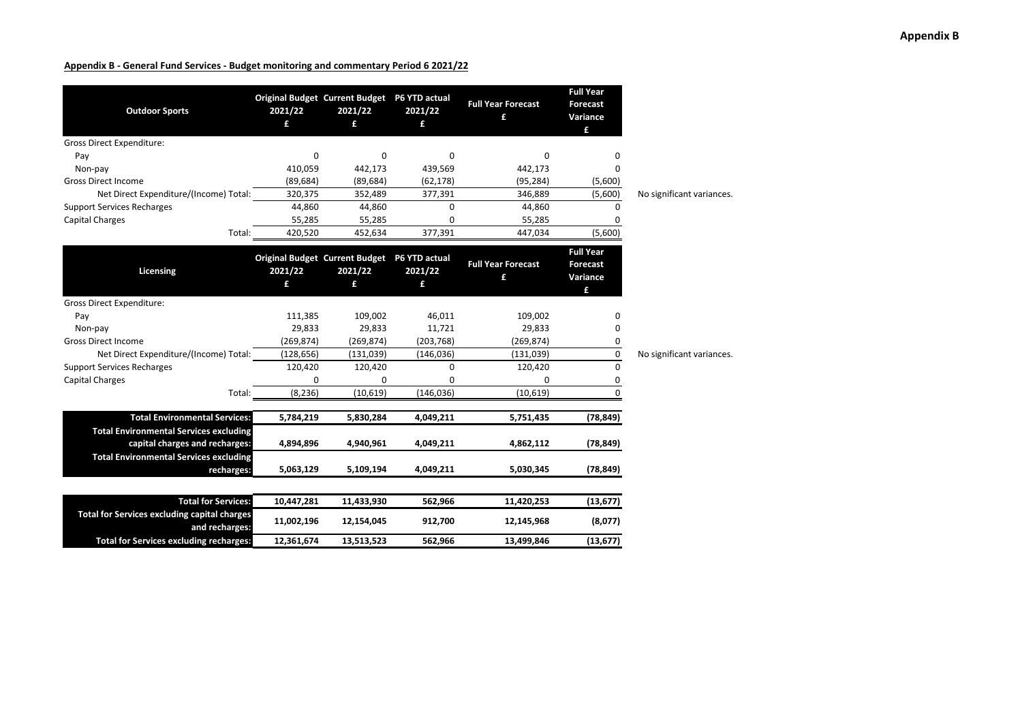| <b>Outdoor Sports</b>                                          | Original Budget Current Budget P6 YTD actual<br>2021/22<br>£ | 2021/22<br>£ | 2021/22<br>£ | <b>Full Year Forecast</b><br>£ | <b>Full Year</b><br><b>Forecast</b><br>Variance<br>£ |                           |
|----------------------------------------------------------------|--------------------------------------------------------------|--------------|--------------|--------------------------------|------------------------------------------------------|---------------------------|
| <b>Gross Direct Expenditure:</b>                               |                                                              |              |              |                                |                                                      |                           |
| Pay                                                            | 0                                                            | $\Omega$     | 0            | 0                              | 0                                                    |                           |
| Non-pay                                                        | 410,059                                                      | 442,173      | 439,569      | 442,173                        | $\Omega$                                             |                           |
| <b>Gross Direct Income</b>                                     | (89, 684)                                                    | (89, 684)    | (62, 178)    | (95, 284)                      | (5,600)                                              |                           |
| Net Direct Expenditure/(Income) Total:                         | 320,375                                                      | 352,489      | 377,391      | 346,889                        | (5,600)                                              | No significant variances. |
| <b>Support Services Recharges</b>                              | 44,860                                                       | 44,860       | 0            | 44,860                         | 0                                                    |                           |
| <b>Capital Charges</b>                                         | 55,285                                                       | 55,285       | $\Omega$     | 55,285                         | 0                                                    |                           |
| Total:                                                         | 420,520                                                      | 452,634      | 377,391      | 447,034                        | (5,600)                                              |                           |
| Licensing                                                      | Original Budget Current Budget P6 YTD actual<br>2021/22      | 2021/22      | 2021/22      | <b>Full Year Forecast</b><br>£ | <b>Full Year</b><br>Forecast<br>Variance             |                           |
|                                                                | £                                                            | £            | £            |                                | £                                                    |                           |
| <b>Gross Direct Expenditure:</b>                               |                                                              |              |              |                                |                                                      |                           |
| Pay                                                            | 111,385                                                      | 109,002      | 46,011       | 109,002                        | 0                                                    |                           |
| Non-pay                                                        | 29,833                                                       | 29,833       | 11,721       | 29,833                         | 0                                                    |                           |
| <b>Gross Direct Income</b>                                     | (269, 874)                                                   | (269, 874)   | (203, 768)   | (269, 874)                     | 0                                                    |                           |
| Net Direct Expenditure/(Income) Total:                         | (128, 656)                                                   | (131,039)    | (146, 036)   | (131,039)                      | 0                                                    | No significant variances. |
| <b>Support Services Recharges</b>                              | 120,420                                                      | 120,420      | 0            | 120,420                        | 0                                                    |                           |
| <b>Capital Charges</b>                                         | 0                                                            | 0            | $\Omega$     | 0                              | 0                                                    |                           |
| Total:                                                         | (8, 236)                                                     | (10, 619)    | (146, 036)   | (10, 619)                      | $\Omega$                                             |                           |
|                                                                |                                                              |              |              |                                |                                                      |                           |
| <b>Total Environmental Services:</b>                           | 5,784,219                                                    | 5,830,284    | 4,049,211    | 5,751,435                      | (78, 849)                                            |                           |
| <b>Total Environmental Services excluding</b>                  |                                                              |              | 4,049,211    | 4,862,112                      |                                                      |                           |
| capital charges and recharges:                                 | 4,894,896                                                    | 4,940,961    |              |                                | (78, 849)                                            |                           |
| <b>Total Environmental Services excluding</b><br>recharges:    | 5,063,129                                                    | 5,109,194    | 4,049,211    | 5,030,345                      | (78, 849)                                            |                           |
|                                                                |                                                              |              |              |                                |                                                      |                           |
| <b>Total for Services:</b>                                     | 10,447,281                                                   | 11,433,930   | 562,966      | 11,420,253                     | (13, 677)                                            |                           |
| Total for Services excluding capital charges<br>and recharges: | 11,002,196                                                   | 12,154,045   | 912,700      | 12,145,968                     | (8,077)                                              |                           |
| <b>Total for Services excluding recharges:</b>                 | 12,361,674                                                   | 13,513,523   | 562,966      | 13,499,846                     | (13, 677)                                            |                           |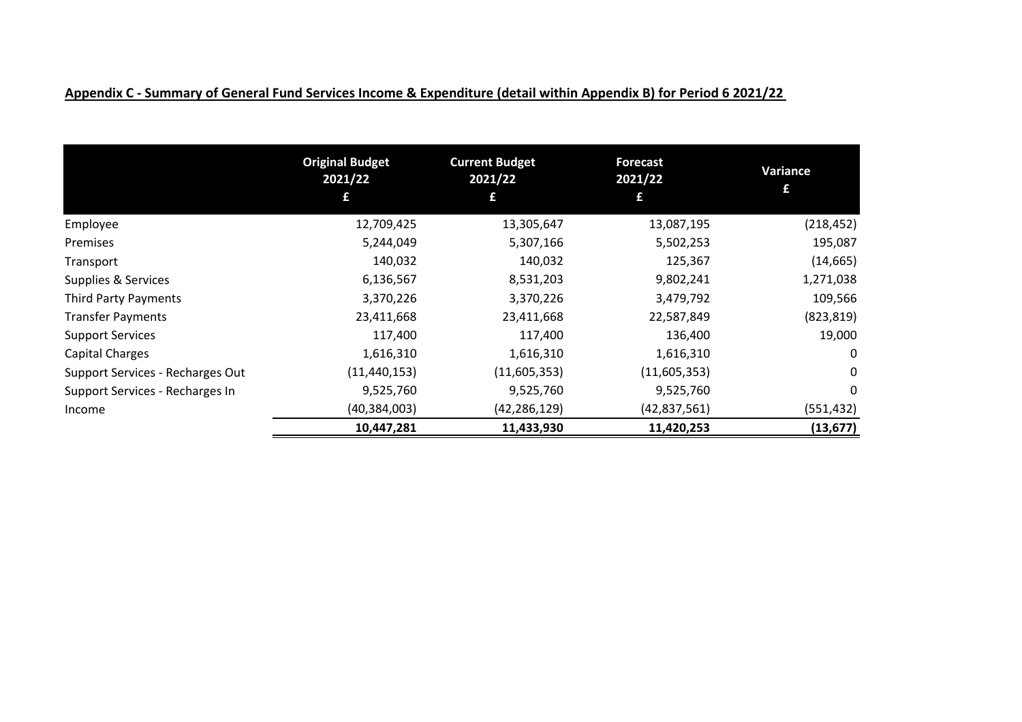|                                  | <b>Original Budget</b><br>2021/22<br>£ | <b>Current Budget</b><br>2021/22<br>£ | <b>Forecast</b><br>2021/22<br>£ | Variance<br>£ |
|----------------------------------|----------------------------------------|---------------------------------------|---------------------------------|---------------|
| Employee                         | 12,709,425                             | 13,305,647                            | 13,087,195                      | (218, 452)    |
| Premises                         | 5,244,049                              | 5,307,166                             | 5,502,253                       | 195,087       |
| Transport                        | 140,032                                | 140,032                               | 125,367                         | (14, 665)     |
| Supplies & Services              | 6,136,567                              | 8,531,203                             | 9,802,241                       | 1,271,038     |
| Third Party Payments             | 3,370,226                              | 3,370,226                             | 3,479,792                       | 109,566       |
| <b>Transfer Payments</b>         | 23,411,668                             | 23,411,668                            | 22,587,849                      | (823, 819)    |
| <b>Support Services</b>          | 117,400                                | 117,400                               | 136,400                         | 19,000        |
| Capital Charges                  | 1,616,310                              | 1,616,310                             | 1,616,310                       | 0             |
| Support Services - Recharges Out | (11, 440, 153)                         | (11,605,353)                          | (11,605,353)                    | 0             |
| Support Services - Recharges In  | 9,525,760                              | 9,525,760                             | 9,525,760                       | 0             |
| Income                           | (40, 384, 003)                         | (42, 286, 129)                        | (42, 837, 561)                  | (551, 432)    |
|                                  | 10,447,281                             | 11,433,930                            | 11,420,253                      | (13, 677)     |

# **Appendix C - Summary of General Fund Services Income & Expenditure (detail within Appendix B) for Period 6 2021/22**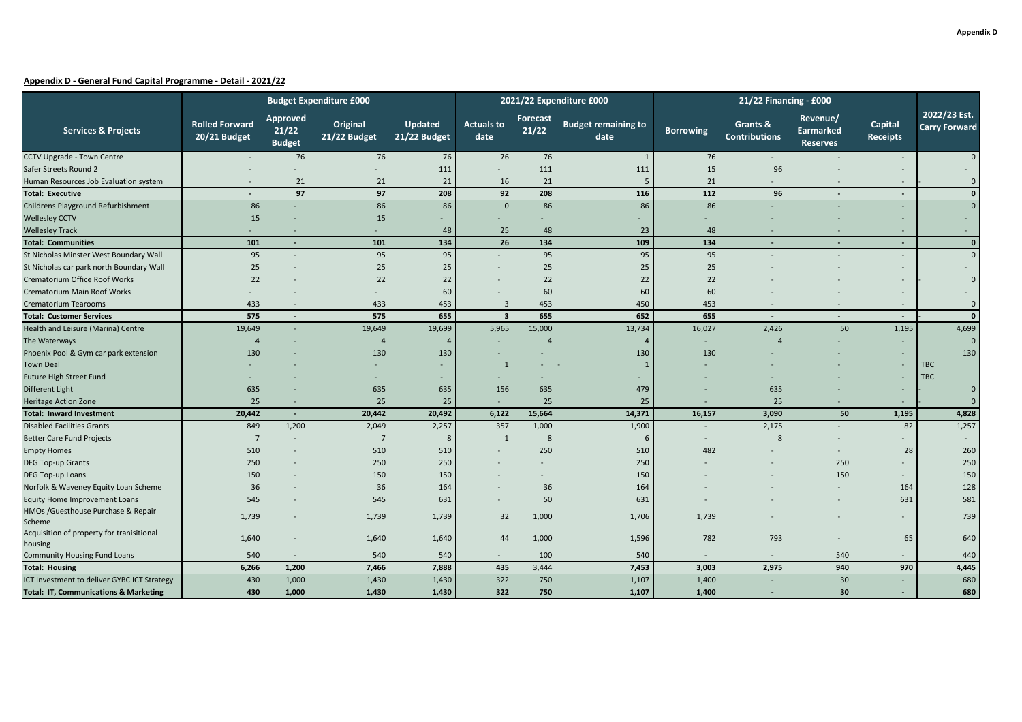|                                                      |                                       |                                           | <b>Budget Expenditure £000</b> |                         |                           |                   | 2021/22 Expenditure £000           | 21/22 Financing - £000   |                                  |                                                 |                            |                                      |
|------------------------------------------------------|---------------------------------------|-------------------------------------------|--------------------------------|-------------------------|---------------------------|-------------------|------------------------------------|--------------------------|----------------------------------|-------------------------------------------------|----------------------------|--------------------------------------|
| <b>Services &amp; Projects</b>                       | <b>Rolled Forward</b><br>20/21 Budget | <b>Approved</b><br>21/22<br><b>Budget</b> | Original<br>21/22 Budget       | Updated<br>21/22 Budget | <b>Actuals to</b><br>date | Forecast<br>21/22 | <b>Budget remaining to</b><br>date | <b>Borrowing</b>         | Grants &<br><b>Contributions</b> | Revenue/<br><b>Earmarked</b><br><b>Reserves</b> | Capital<br><b>Receipts</b> | 2022/23 Est.<br><b>Carry Forward</b> |
| CCTV Upgrade - Town Centre                           |                                       | 76                                        | 76                             | 76                      | 76                        | 76                | $\overline{1}$                     | 76                       |                                  |                                                 |                            | $\mathbf{0}$                         |
| Safer Streets Round 2                                |                                       |                                           |                                | 111                     | $\sim$                    | 111               | 111                                | 15                       | 96                               |                                                 |                            |                                      |
| Human Resources Job Evaluation system                |                                       | 21                                        | 21                             | 21                      | 16                        | 21                |                                    | 21                       |                                  |                                                 |                            | $\mathbf 0$                          |
| <b>Total: Executive</b>                              |                                       | 97                                        | 97                             | 208                     | 92                        | 208               | 116                                | 112                      | 96                               |                                                 | $\blacksquare$             | $\mathbf 0$                          |
| Childrens Playground Refurbishment                   | 86                                    |                                           | 86                             | 86                      | $\Omega$                  | 86                | 86                                 | 86                       |                                  |                                                 |                            | $\Omega$                             |
| <b>Wellesley CCTV</b>                                | 15                                    |                                           | 15                             |                         |                           |                   |                                    |                          |                                  |                                                 |                            |                                      |
| <b>Wellesley Track</b>                               | $\sim$                                |                                           | ÷.                             | 48                      | 25                        | 48                | 23                                 | 48                       |                                  |                                                 | ÷.                         | $\sim$                               |
| <b>Total: Communities</b>                            | 101                                   |                                           | 101                            | 134                     | 26                        | 134               | 109                                | 134                      |                                  | Ξ.                                              | $\blacksquare$             | $\mathbf{0}$                         |
| St Nicholas Minster West Boundary Wall               | 95                                    |                                           | 95                             | 95                      |                           | 95                | 95                                 | 95                       |                                  |                                                 |                            | $\mathbf{0}$                         |
| St Nicholas car park north Boundary Wall             | 25                                    |                                           | 25                             | 25                      |                           | 25                | 25                                 | 25                       |                                  |                                                 |                            |                                      |
| Crematorium Office Roof Works                        | 22                                    |                                           | 22                             | 22                      |                           | 22                | 22                                 | 22                       |                                  |                                                 |                            | $\mathbf 0$                          |
| Crematorium Main Roof Works                          |                                       |                                           |                                | 60                      |                           | 60                | 60                                 | 60                       |                                  |                                                 |                            |                                      |
| <b>Crematorium Tearooms</b>                          | 433                                   |                                           | 433                            | 453                     | 3                         | 453               | 450                                | 453                      |                                  |                                                 |                            | $\mathbf 0$                          |
| <b>Total: Customer Services</b>                      | 575                                   |                                           | 575                            | 655                     | $\overline{\mathbf{3}}$   | 655               | 652                                | 655                      |                                  |                                                 | $\blacksquare$             | $\mathbf{0}$                         |
| Health and Leisure (Marina) Centre                   | 19,649                                |                                           | 19,649                         | 19,699                  | 5,965                     | 15,000            | 13,734                             | 16,027                   | 2,426                            | 50                                              | 1,195                      | 4,699                                |
| The Waterways                                        | $\overline{4}$                        |                                           | $\overline{4}$                 | $\Delta$                |                           | $\overline{4}$    | $\Delta$                           |                          |                                  |                                                 |                            | $\mathbf{0}$                         |
| Phoenix Pool & Gym car park extension                | 130                                   |                                           | 130                            | 130                     |                           |                   | 130                                | 130                      |                                  |                                                 |                            | 130                                  |
| <b>Town Deal</b>                                     |                                       |                                           |                                | $\sim$                  | 1                         |                   | -1                                 |                          |                                  |                                                 |                            | <b>TBC</b>                           |
| Future High Street Fund                              |                                       |                                           |                                |                         |                           |                   |                                    |                          |                                  |                                                 |                            | <b>TBC</b>                           |
| Different Light                                      | 635                                   |                                           | 635                            | 635                     | 156                       | 635               | 479                                |                          | 635                              |                                                 |                            | $\overline{0}$                       |
| <b>Heritage Action Zone</b>                          | 25                                    |                                           | 25                             | 25                      | я.                        | 25                | 25                                 |                          | 25                               |                                                 |                            | $\mathbf 0$                          |
| <b>Total: Inward Investment</b>                      | 20,442                                | $\overline{\phantom{a}}$                  | 20,442                         | 20,492                  | 6,122                     | 15,664            | 14,371                             | 16,157                   | 3,090                            | 50                                              | 1,195                      | 4,828                                |
| <b>Disabled Facilities Grants</b>                    | 849                                   | 1,200                                     | 2,049                          | 2,257                   | 357                       | 1,000             | 1,900                              |                          | 2,175                            |                                                 | 82                         | 1,257                                |
| <b>Better Care Fund Projects</b>                     | $\overline{7}$                        |                                           | $\overline{7}$                 |                         | -1                        | 8                 | 6                                  |                          | 8                                |                                                 |                            |                                      |
| <b>Empty Homes</b>                                   | 510                                   |                                           | 510                            | 510                     |                           | 250               | 510                                | 482                      |                                  |                                                 | 28                         | 260                                  |
| <b>DFG Top-up Grants</b>                             | 250                                   |                                           | 250                            | 250                     |                           |                   | 250                                |                          |                                  | 250                                             |                            | 250                                  |
| DFG Top-up Loans                                     | 150                                   |                                           | 150                            | 150                     |                           |                   | 150                                |                          |                                  | 150                                             |                            | 150                                  |
| Norfolk & Waveney Equity Loan Scheme                 | 36                                    |                                           | 36                             | 164                     |                           | 36                | 164                                |                          |                                  |                                                 | 164                        | 128                                  |
| Equity Home Improvement Loans                        | 545                                   |                                           | 545                            | 631                     |                           | 50                | 631                                |                          |                                  |                                                 | 631                        | 581                                  |
| HMOs /Guesthouse Purchase & Repair<br>Scheme         | 1,739                                 |                                           | 1,739                          | 1,739                   | 32                        | 1,000             | 1,706                              | 1,739                    |                                  |                                                 |                            | 739                                  |
| Acquisition of property for tranisitional<br>housing | 1,640                                 |                                           | 1,640                          | 1,640                   | 44                        | 1,000             | 1,596                              | 782                      | 793                              |                                                 | 65                         | 640                                  |
| <b>Community Housing Fund Loans</b>                  | 540                                   |                                           | 540                            | 540                     | $\sim$                    | 100               | 540                                | $\overline{\phantom{a}}$ |                                  | 540                                             |                            | 440                                  |
| <b>Total: Housing</b>                                | 6,266                                 | 1,200                                     | 7,466                          | 7,888                   | 435                       | 3,444             | 7,453                              | 3,003                    | 2,975                            | 940                                             | 970                        | 4,445                                |
| ICT Investment to deliver GYBC ICT Strategy          | 430                                   | 1,000                                     | 1,430                          | 1,430                   | 322                       | 750               | 1,107                              | 1,400                    |                                  | 30                                              |                            | 680                                  |
| <b>Total: IT, Communications &amp; Marketing</b>     | 430                                   | 1,000                                     | 1,430                          | 1,430                   | 322                       | 750               | 1,107                              | 1,400                    |                                  | 30                                              |                            | 680                                  |